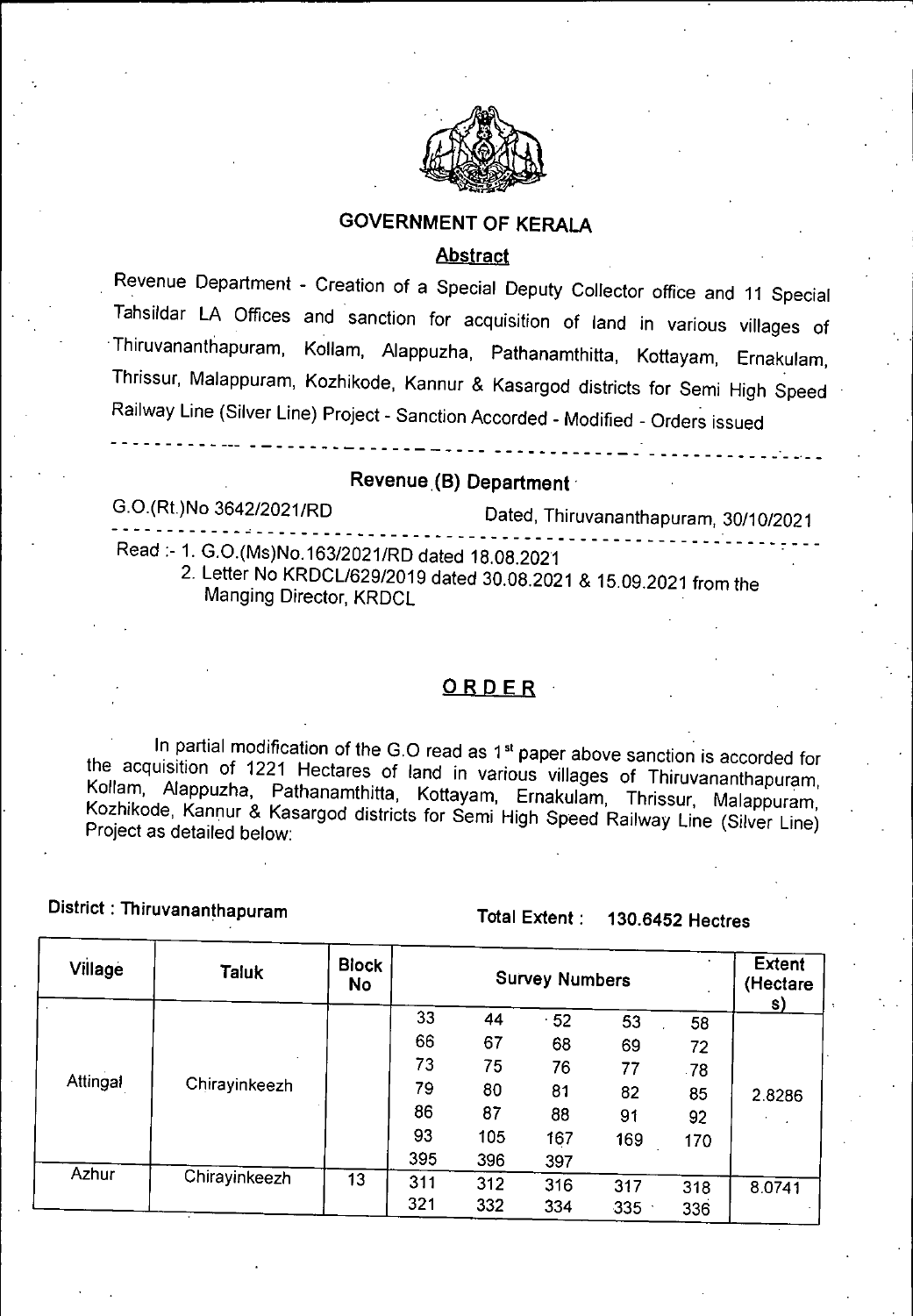

### **GOVERNMENT OF KERALA**

### **Abstract**

Revenue Department - Creation of a Special Deputy Collector office and 11 Special Tahsildar LA Offices and sanction for acquisition of land in various villages of Thiruvananthapuram, Kollam, Alappuzha, Pathanamthitta, Kottayam, Ernakulam, Thrissur, Malappuram, Kozhikode, Kannur & Kasargod districts for Semi High Speed Railway Line (Silver Line) Project - Sanction Accorded - Modified - Orders issued

### Revenue **(B) Department**

G.O.(Rt.)No 3642/2021/RD Dated, Thiruvananthapuram, 30/10/2021

Read:- 1. G.O.(Ms)No.163/2021/RD dated 18.08.2021

2. Letter No KRDCL/629/2019 dated 30.08.2021 & 15.09.2021 from the Manging Director, KRDCL

### ORDER

In partial modification of the G.O read as 1<sup>st</sup> paper above sanction is accorded for the acquisition of 1221 Hectares of land in various villages of Thiruvananthapuram, Kollam, Alappuzha Pathanamthitta, Kottayam, Ernakulam, Thrissur, Malappuram, Kozhikode, Kannur & Kasargod districts for Semi High Speed Railway Line (Silver Line) Project as detailed below:

District : Thiruvananthapuram Total Extent: 130.6452 Hectres

| Village<br><b>Taluk</b> |                           | <b>Block</b><br><b>No</b> |     | <b>Extent</b><br>(Hectare<br>S) |     |     |     |        |
|-------------------------|---------------------------|---------------------------|-----|---------------------------------|-----|-----|-----|--------|
|                         |                           |                           | 33  | 44                              | 52  | 53  | 58  |        |
|                         |                           | 66                        | 67  | 68                              | 69  | 72  |     |        |
|                         |                           | 73                        | 75  | 76                              | 77  | .78 |     |        |
|                         | Attingal<br>Chirayinkeezh |                           | 79  | 80                              | 81  | 82  | 85  | 28286  |
|                         |                           |                           | 86  | 87                              | 88  | 91  | 92  |        |
|                         |                           |                           | 93  | 105                             | 167 | 169 | 170 |        |
|                         |                           | 395                       | 396 | 397                             |     |     |     |        |
| Azhur                   | Chirayinkeezh             | 13                        | 311 | 312                             | 316 | 317 | 318 | 8.0741 |
|                         |                           |                           | 321 | 332                             | 334 | 335 | 336 |        |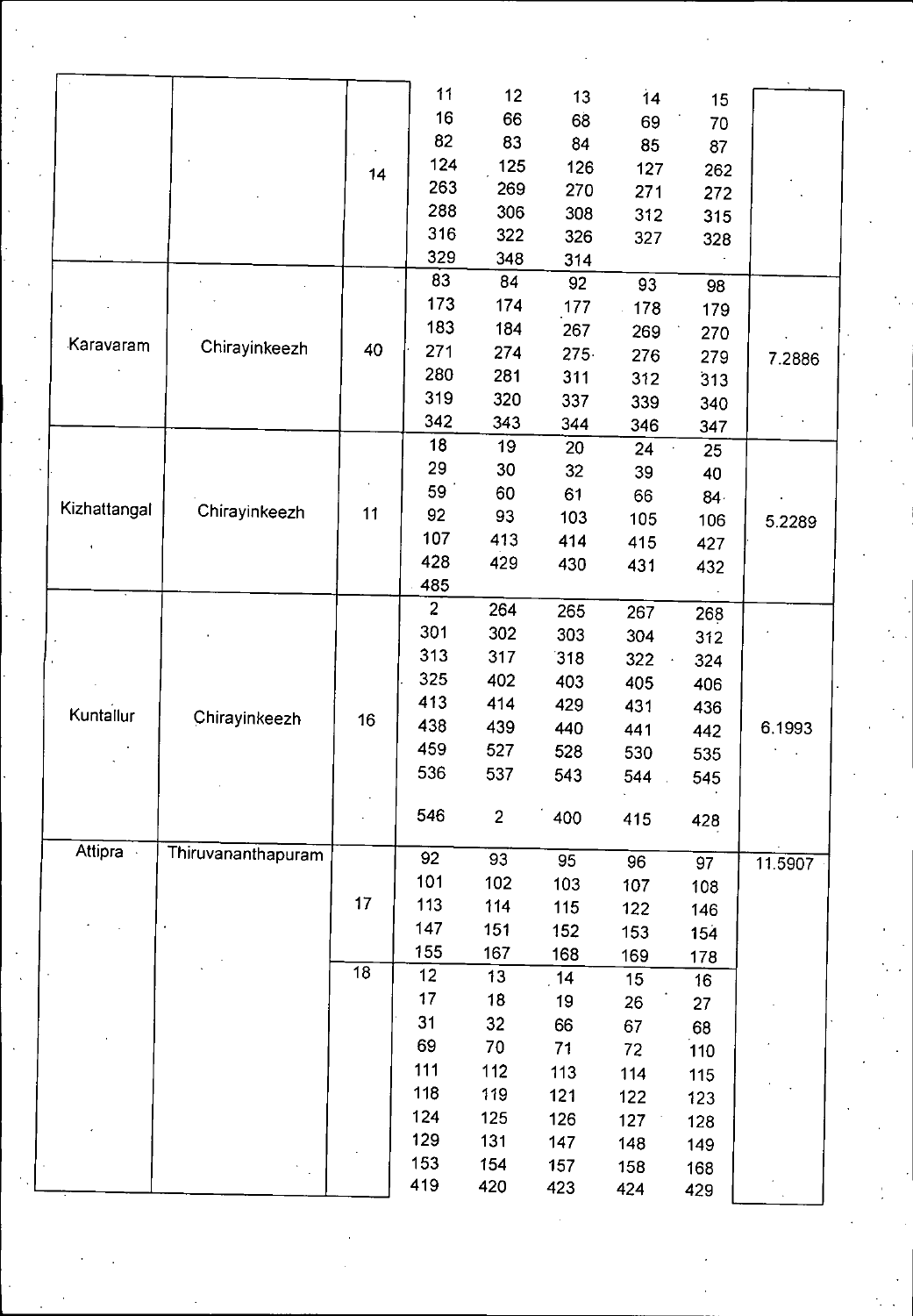|              |                    |                 | 11             | 12             | 13      | 14  | 15  |         |  |
|--------------|--------------------|-----------------|----------------|----------------|---------|-----|-----|---------|--|
|              |                    |                 | 16             | 66             | 68      | 69  | 70  |         |  |
|              |                    |                 | 82             | 83             | 84      | 85  | 87  |         |  |
|              |                    | 14              | 124            | 125            | 126     | 127 | 262 |         |  |
|              |                    |                 | 263            | 269            | 270     | 271 | 272 |         |  |
|              |                    |                 | 288            | 306            | 308     | 312 | 315 |         |  |
|              |                    |                 | 316            | 322            | 326     | 327 | 328 |         |  |
|              |                    |                 | 329            | 348            | 314     |     |     |         |  |
|              |                    |                 | 83             | 84             | 92      | 93  | 98  |         |  |
|              |                    |                 | 173            | 174            | 177     | 178 | 179 |         |  |
|              |                    |                 | 183            | 184            | 267     | 269 | 270 |         |  |
| Karavaram    | Chirayinkeezh      | 40              | 271            | 274            | $275 -$ | 276 | 279 | 7.2886  |  |
|              |                    |                 | 280            | 281            | 311     | 312 | 313 |         |  |
|              |                    |                 | 319            | 320            | 337     | 339 | 340 |         |  |
|              |                    |                 | 342            | 343            | 344     | 346 | 347 |         |  |
|              |                    |                 | 18             | 19             | 20      | 24  | 25  |         |  |
|              |                    |                 | 29             | 30             | 32      | 39  | 40  |         |  |
|              |                    |                 | 59             | 60             | 61      | 66  | 84  |         |  |
| Kizhattangal | Chirayinkeezh      | 11              | 92             | 93             | 103     | 105 | 106 | 5.2289  |  |
|              |                    |                 | 107            | 413            | 414     | 415 | 427 |         |  |
|              |                    |                 | 428            | 429            | 430     | 431 | 432 |         |  |
|              |                    |                 | 485            |                |         |     |     |         |  |
|              |                    |                 | $\overline{2}$ | 264            | 265     | 267 | 268 |         |  |
|              |                    |                 | 301            | 302            | 303     | 304 | 312 |         |  |
|              |                    |                 | 313            | 317            | 318     | 322 | 324 |         |  |
|              |                    |                 | 325            | 402            | 403     | 405 | 406 |         |  |
| Kuntallur    |                    |                 | 413            | 414            | 429     | 431 | 436 |         |  |
|              | Chirayinkeezh      | 16              | 438            | 439            | 440     | 441 | 442 | 6.1993  |  |
|              |                    |                 | 459            | 527            | 528     | 530 | 535 |         |  |
|              |                    |                 | 536            | 537            | 543     | 544 | 545 |         |  |
|              |                    |                 |                |                |         |     |     |         |  |
|              |                    |                 | 546            | $\overline{c}$ | 400     | 415 | 428 |         |  |
| Attipra      | Thiruvananthapuram |                 |                |                |         |     |     |         |  |
|              |                    |                 | 92             | 93             | 95      | 96  | 97  | 11.5907 |  |
|              |                    | 17              | 101            | 102            | 103     | 107 | 108 |         |  |
|              |                    |                 | 113            | 114            | 115     | 122 | 146 |         |  |
|              |                    |                 | 147            | 151            | 152     | 153 | 154 |         |  |
|              |                    | $\overline{18}$ | 155            | 167            | 168     | 169 | 178 |         |  |
|              |                    |                 | 12             | 13             | 14      | 15  | 16  |         |  |
|              |                    |                 | 17             | 18             | 19      | 26  | 27  |         |  |
|              |                    |                 | 31             | 32             | 66      | 67  | 68  |         |  |
|              |                    |                 | 69             | 70             | 71      | 72  | 110 |         |  |
|              |                    |                 | 111            | 112            | 113     | 114 | 115 |         |  |
|              |                    |                 | 118            | 119            | 121     | 122 | 123 |         |  |
|              |                    |                 | 124            | 125            | 126     | 127 | 128 |         |  |
|              |                    |                 | 129            | 131            | 147     | 148 | 149 |         |  |
|              |                    |                 | 153            | 154            | 157     | 158 | 168 |         |  |
|              |                    |                 | 419            | 420            | 423     | 424 | 429 |         |  |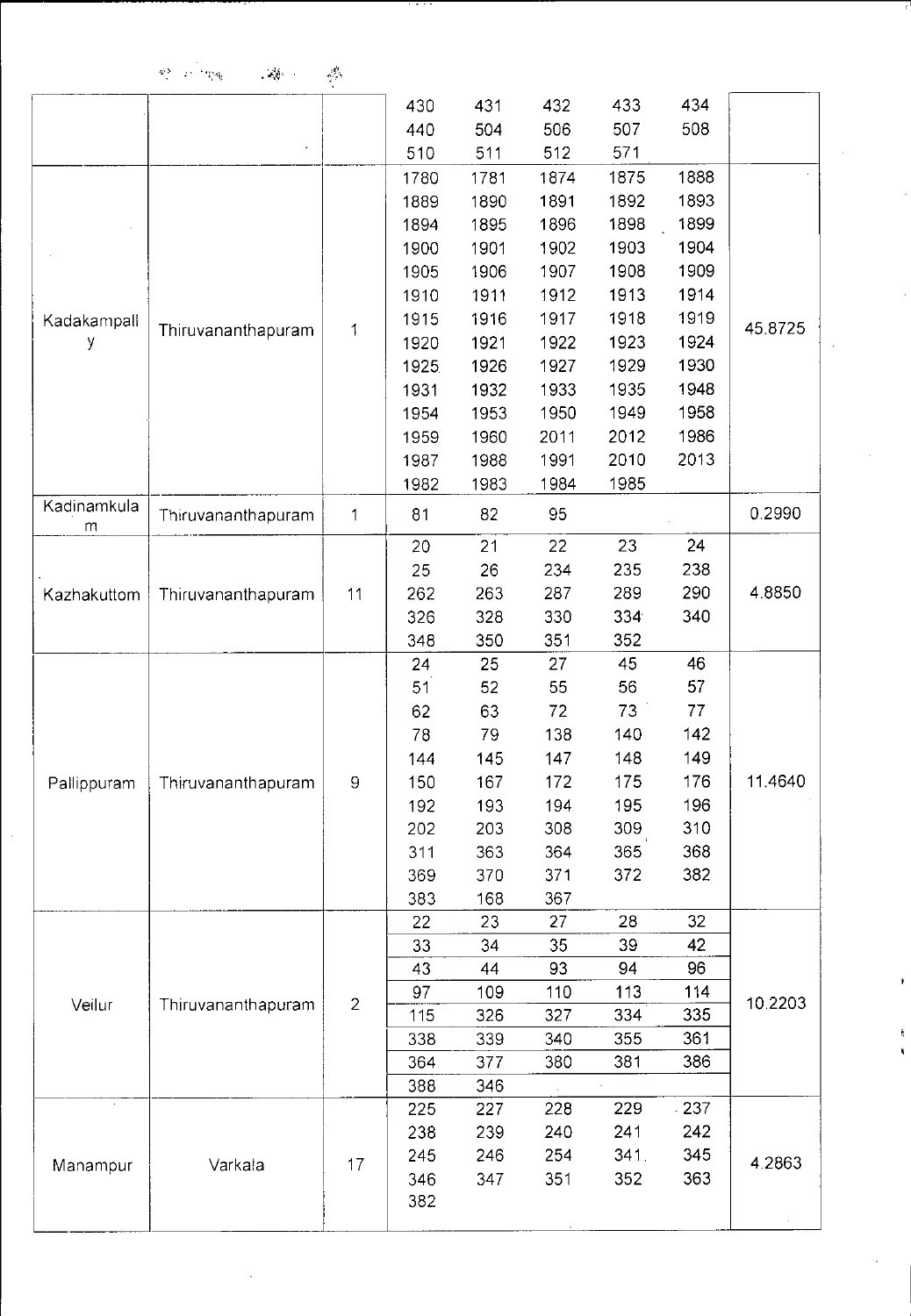| $\mathcal{R}^{(N)}_{\mathcal{M}}=\mathcal{L}^{(N)}_{\mathcal{M}}$ . Then | $\mathcal{L}(\mathfrak{g})$ . | $\mathbb{Z}_p^{\mathbb{Z}_p}$ |
|--------------------------------------------------------------------------|-------------------------------|-------------------------------|
|                                                                          |                               |                               |

|             |                    |                | 430   | 431  | 432  | 433  | 434  |           |
|-------------|--------------------|----------------|-------|------|------|------|------|-----------|
|             |                    |                | 440   | 504  | 506  | 507  | 508  |           |
|             |                    |                | 510   | 511  | 512  | 571  |      |           |
|             |                    |                | 1780  | 1781 | 1874 | 1875 | 1888 |           |
|             |                    |                | 1889  | 1890 | 1891 | 1892 | 1893 |           |
|             |                    |                | 1894  | 1895 | 1896 | 1898 | 1899 |           |
|             |                    |                | 1900  | 1901 | 1902 | 1903 | 1904 |           |
|             |                    |                | 1905  | 1906 | 1907 | 1908 | 1909 |           |
|             |                    |                | 1910  | 1911 | 1912 | 1913 | 1914 |           |
| Kadakampall |                    |                | 1915  | 1916 | 1917 | 1918 | 1919 |           |
| у           | Thiruvananthapuram | 1              | 1920  | 1921 | 1922 | 1923 | 1924 | 45.8725   |
|             |                    |                | 1925. | 1926 | 1927 | 1929 | 1930 |           |
|             |                    |                | 1931  | 1932 | 1933 | 1935 | 1948 |           |
|             |                    |                | 1954  | 1953 | 1950 | 1949 | 1958 |           |
|             |                    |                | 1959  | 1960 | 2011 | 2012 | 1986 |           |
|             |                    |                | 1987  | 1988 | 1991 | 2010 | 2013 |           |
|             |                    |                | 1982  | 1983 | 1984 | 1985 |      |           |
| Kadinamkula |                    |                |       |      |      |      |      | 0.2990    |
| ${\sf m}$   | Thiruvananthapuram | $\mathbf 1$    | 81    | 82   | 95   |      |      |           |
|             |                    |                | 20    | 21   | 22   | 23   | 24   |           |
|             | Thiruvananthapuram |                | 25    | 26   | 234  | 235  | 238  |           |
| Kazhakuttom |                    | 11             | 262   | 263  | 287  | 289  | 290  | 48850     |
|             |                    |                | 326   | 328  | 330  | 334  | 340  |           |
|             |                    |                | 348   | 350  | 351  | 352  |      |           |
|             |                    |                | 24    | 25   | 27   | 45   | 46   |           |
|             |                    |                | 51    | 52   | 55   | 56   | 57   |           |
|             |                    | 9              | 62    | 63   | 72   | 73   | 77   | 11.4640   |
|             |                    |                | 78    | 79   | 138  | 140  | 142  |           |
|             |                    |                | 144   | 145  | 147  | 148  | 149  |           |
| Pallippuram | Thiruvananthapuram |                | 150   | 167  | 172  | 175  | 176  |           |
|             |                    |                | 192   | 193  | 194  | 195  | 196  |           |
|             |                    |                | 202   | 203  | 308  | 309  | 310  |           |
|             |                    |                | 311   | 363  | 364  | 365  | 368  |           |
|             |                    |                | 369   | 370  | 371  | 372  | 382  |           |
|             |                    |                | 383   | 168  | 367  |      |      |           |
|             |                    |                | 22    | 23   | 27   | 28   | 32   |           |
|             |                    |                | 33    | 34   | 35   | 39   | 42   |           |
|             |                    |                | 43    | 44   | 93   | 94   | 96   |           |
| Veilur      | Thiruvananthapuram | $\overline{2}$ | 97    | 109  | 110  | 113  | 114  | 10.2203   |
|             |                    |                | 115   | 326  | 327  | 334  | 335  |           |
|             |                    |                | 338   | 339  | 340  | 355  | 361  |           |
|             |                    |                | 364   | 377  | 380  | 381  | 386  |           |
| $\epsilon$  |                    |                | 388   | 346  |      |      |      |           |
|             |                    |                | 225   | 227  | 228  | 229  | 237  |           |
|             |                    |                | 238   | 239  | 240  | 241  | 242  | 4 2 8 6 3 |
| Manampur    | Varkala            | 17             | 245   | 246  | 254  | 341. | 345  |           |
|             |                    |                | 346   | 347  | 351  | 352  | 363  |           |
|             |                    |                | 382   |      |      |      |      |           |
|             |                    |                |       |      |      |      |      |           |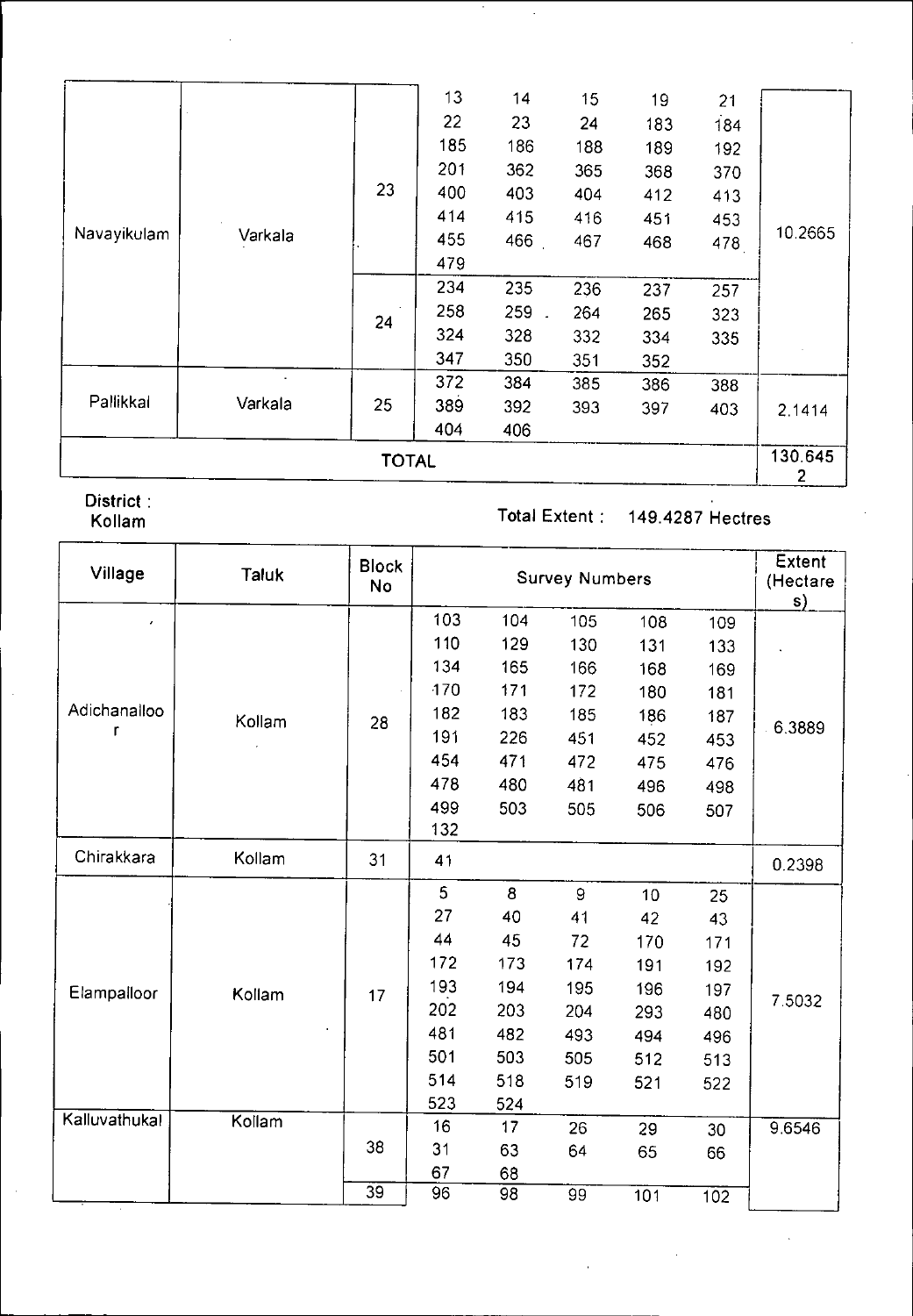|                        |         |    | 13  | 14  | 15  | 19  | 21  |         |  |
|------------------------|---------|----|-----|-----|-----|-----|-----|---------|--|
|                        |         |    | 22  | 23  | 24  | 183 | 184 |         |  |
|                        |         |    | 185 | 186 | 188 | 189 | 192 |         |  |
|                        |         |    | 201 | 362 | 365 | 368 | 370 |         |  |
| Navayikulam<br>Varkala |         | 23 | 400 | 403 | 404 | 412 | 413 |         |  |
|                        |         |    | 414 | 415 | 416 | 451 | 453 |         |  |
|                        |         |    | 455 | 466 | 467 | 468 | 478 | 10.2665 |  |
|                        |         |    | 479 |     |     |     |     |         |  |
|                        |         | 24 | 234 | 235 | 236 | 237 | 257 |         |  |
|                        |         |    | 258 | 259 | 264 | 265 | 323 |         |  |
|                        |         |    | 324 | 328 | 332 | 334 | 335 |         |  |
|                        |         |    | 347 | 350 | 351 | 352 |     |         |  |
|                        |         |    | 372 | 384 | 385 | 386 | 388 |         |  |
| Pallikkal              | Varkala | 25 | 389 | 392 | 393 | 397 | 403 | 2.1414  |  |
|                        |         |    | 404 | 406 |     |     |     |         |  |
| <b>TOTAL</b>           |         |    |     |     |     |     |     |         |  |

District :<br>Kollam

## Total Extent : 149.4287 Hectres

| Village       | <b>Taluk</b> | <b>Block</b><br><b>No</b> |     | <b>Survey Numbers</b> |     |     |     |        |  |  |
|---------------|--------------|---------------------------|-----|-----------------------|-----|-----|-----|--------|--|--|
| $\pmb{\cdot}$ |              |                           | 103 | 104                   | 105 | 108 | 109 | s)     |  |  |
|               |              |                           | 110 | 129                   | 130 | 131 | 133 |        |  |  |
|               |              |                           | 134 | 165                   | 166 | 168 | 169 |        |  |  |
|               |              |                           | 170 | 171                   | 172 | 180 | 181 |        |  |  |
| Adichanalloo  | Kollam       | 28                        | 182 | 183                   | 185 | 186 | 187 |        |  |  |
| r             |              |                           | 191 | 226                   | 451 | 452 | 453 | 6.3889 |  |  |
|               |              |                           | 454 | 471                   | 472 | 475 | 476 |        |  |  |
|               |              |                           | 478 | 480                   | 481 | 496 | 498 |        |  |  |
|               |              |                           | 499 | 503                   | 505 | 506 | 507 |        |  |  |
|               |              |                           | 132 |                       |     |     |     |        |  |  |
| Chirakkara    | Kollam       | 31                        | 41  |                       |     |     |     | 0.2398 |  |  |
|               |              |                           | 5   | 8                     | 9   | 10  | 25  |        |  |  |
|               |              |                           | 27  | 40                    | 41  | 42  | 43  |        |  |  |
|               |              |                           | 44  | 45                    | 72  | 170 | 171 |        |  |  |
|               |              |                           | 172 | 173                   | 174 | 191 | 192 |        |  |  |
| Elampalloor   | Kollam       | 17                        | 193 | 194                   | 195 | 196 | 197 |        |  |  |
|               |              |                           | 202 | 203                   | 204 | 293 | 480 | 7.5032 |  |  |
|               |              |                           | 481 | 482                   | 493 | 494 | 496 |        |  |  |
|               |              |                           | 501 | 503                   | 505 | 512 | 513 |        |  |  |
|               |              |                           | 514 | 518                   | 519 | 521 | 522 |        |  |  |
|               |              |                           | 523 | 524                   |     |     |     |        |  |  |
| Kalluvathukal | Kollam       |                           | 16  | 17                    | 26  | 29  | 30  | 9.6546 |  |  |
|               |              | 38                        | 31  | 63                    | 64  | 65  | 66  |        |  |  |
|               |              |                           | 67  | 68                    |     |     |     |        |  |  |
|               |              | 39                        | 96  | $\overline{98}$       | 99  | 101 | 102 |        |  |  |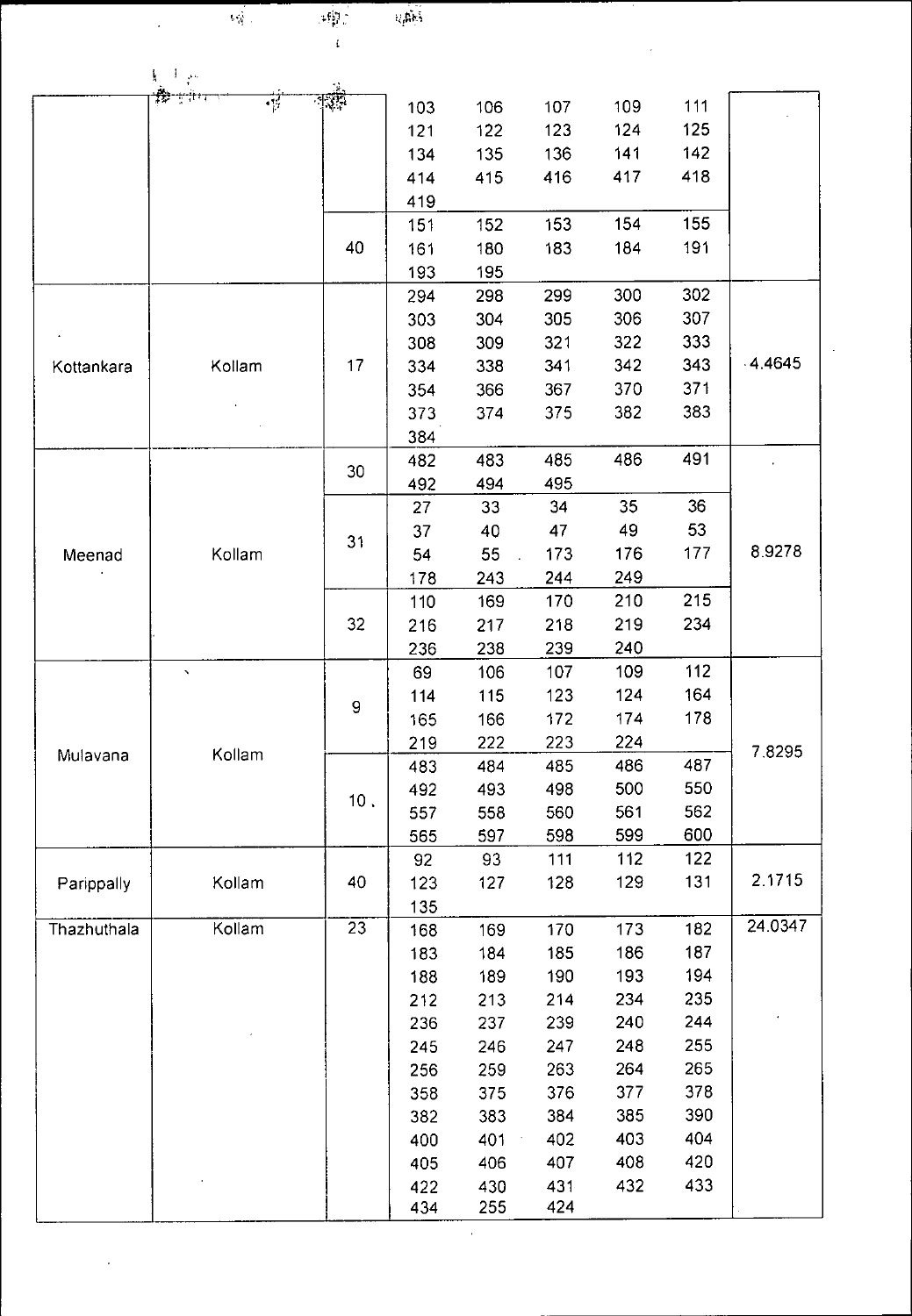| ٠<br>$\mathcal{A}_{\mathcal{M}}^{\text{L}}$ | $i_{\zeta}$ |
|---------------------------------------------|-------------|
|                                             |             |

 $\label{eq:4} \mathbb{E}[\mathbf{q}^{\prime}]$ 

 $\mathcal{L}^{\text{max}}_{\text{max}}$  and  $\mathcal{L}^{\text{max}}_{\text{max}}$ 

 $\hat{\mathcal{A}}$ 

| $i_3$ ditas |
|-------------|
|             |

 $\bar{z}$ 

 $\frac{1}{\sqrt{2}}$ 

|                    | 【一】 《                 |                 |            |            |            |     |     |         |
|--------------------|-----------------------|-----------------|------------|------------|------------|-----|-----|---------|
|                    | $-1.7$                |                 | 103        | 106        | 107        | 109 | 111 |         |
|                    |                       |                 | 121        | 122        | 123        | 124 | 125 |         |
|                    |                       |                 | 134        | 135        | 136        | 141 | 142 |         |
|                    |                       |                 | 414        | 415        | 416        | 417 | 418 |         |
|                    |                       |                 | 419        |            |            |     |     |         |
|                    |                       |                 | 151        | 152        | 153        | 154 | 155 |         |
|                    |                       | 40              | 161        | 180        | 183        | 184 | 191 |         |
|                    |                       |                 | 193        | 195        |            |     |     |         |
|                    |                       |                 | 294        | 298        | 299        | 300 | 302 |         |
|                    |                       |                 | 303        | 304        | 305        | 306 | 307 |         |
|                    |                       |                 | 308        | 309        | 321        | 322 | 333 |         |
| Kottankara         | Kollam                | 17              | 334        | 338        | 341        | 342 | 343 | .4.4645 |
|                    |                       |                 | 354        | 366        | 367        | 370 | 371 |         |
|                    |                       |                 | 373        | 374        | 375        | 382 | 383 |         |
|                    |                       |                 | 384        |            |            |     |     |         |
|                    |                       |                 | 482        | 483        | 485        | 486 | 491 |         |
|                    |                       | 30              | 492        | 494        | 495        |     |     |         |
|                    |                       |                 | 27         | 33         | 34         | 35  | 36  |         |
| Meenad             |                       |                 | 37         | 40         | 47         | 49  | 53  |         |
|                    | Kollam                | 31              | 54         | 55         | 173        | 176 | 177 | 8.9278  |
|                    |                       |                 | 178        | 243        | 244        | 249 |     |         |
|                    |                       |                 | 110        | 169        | 170        | 210 | 215 |         |
|                    |                       | 32              | 216        | 217        | 218        | 219 | 234 |         |
|                    |                       |                 | 236        | 238        | 239        | 240 |     |         |
|                    | $\boldsymbol{\gamma}$ |                 | 69         | 106        | 107        | 109 | 112 |         |
|                    |                       |                 | 114        | 115        | 123        | 124 | 164 | 7.8295  |
|                    | Kollam                | 9               | 165        | 166        | 172        | 174 | 178 |         |
|                    |                       |                 | 219        | 222        | 223        | 224 |     |         |
| Mulavana           |                       |                 | 483        | 484        | 485        | 486 | 487 |         |
|                    |                       | 10.             | 492        | 493        | 498        | 500 | 550 |         |
|                    |                       |                 | 557        | 558        | 560        | 561 | 562 |         |
|                    |                       |                 | 565        | 597        | 598        | 599 | 600 |         |
|                    |                       |                 | 92         | 93         | 111        | 112 | 122 |         |
| Parippally         | Kollam                | 40              | 123        | 127        | 128        | 129 | 131 | 2.1715  |
|                    |                       |                 | 135        |            |            |     |     |         |
| <b>Thazhuthala</b> | Kollam                | $\overline{23}$ | 168        | 169        | 170        | 173 | 182 | 24.0347 |
|                    |                       |                 | 183        | 184        | 185        | 186 | 187 |         |
|                    |                       |                 | 188        | 189        | 190        | 193 | 194 |         |
|                    |                       |                 | 212        | 213        | 214        | 234 | 235 |         |
|                    |                       |                 | 236        | 237        | 239        | 240 | 244 |         |
|                    |                       |                 | 245        | 246        | 247        | 248 | 255 |         |
|                    |                       |                 | 256        | 259        | 263        | 264 | 265 |         |
|                    |                       |                 | 358        | 375        | 376        | 377 | 378 |         |
|                    |                       |                 | 382        | 383        | 384        | 385 | 390 |         |
|                    |                       |                 | 400        | 401        | 402        | 403 | 404 |         |
|                    |                       |                 |            | 406        | 407        | 408 | 420 |         |
|                    |                       |                 | 405        |            |            | 432 | 433 |         |
|                    |                       |                 | 422<br>434 | 430<br>255 | 431<br>424 |     |     |         |
|                    |                       |                 |            |            |            |     |     |         |

 $\hat{\mathcal{A}}$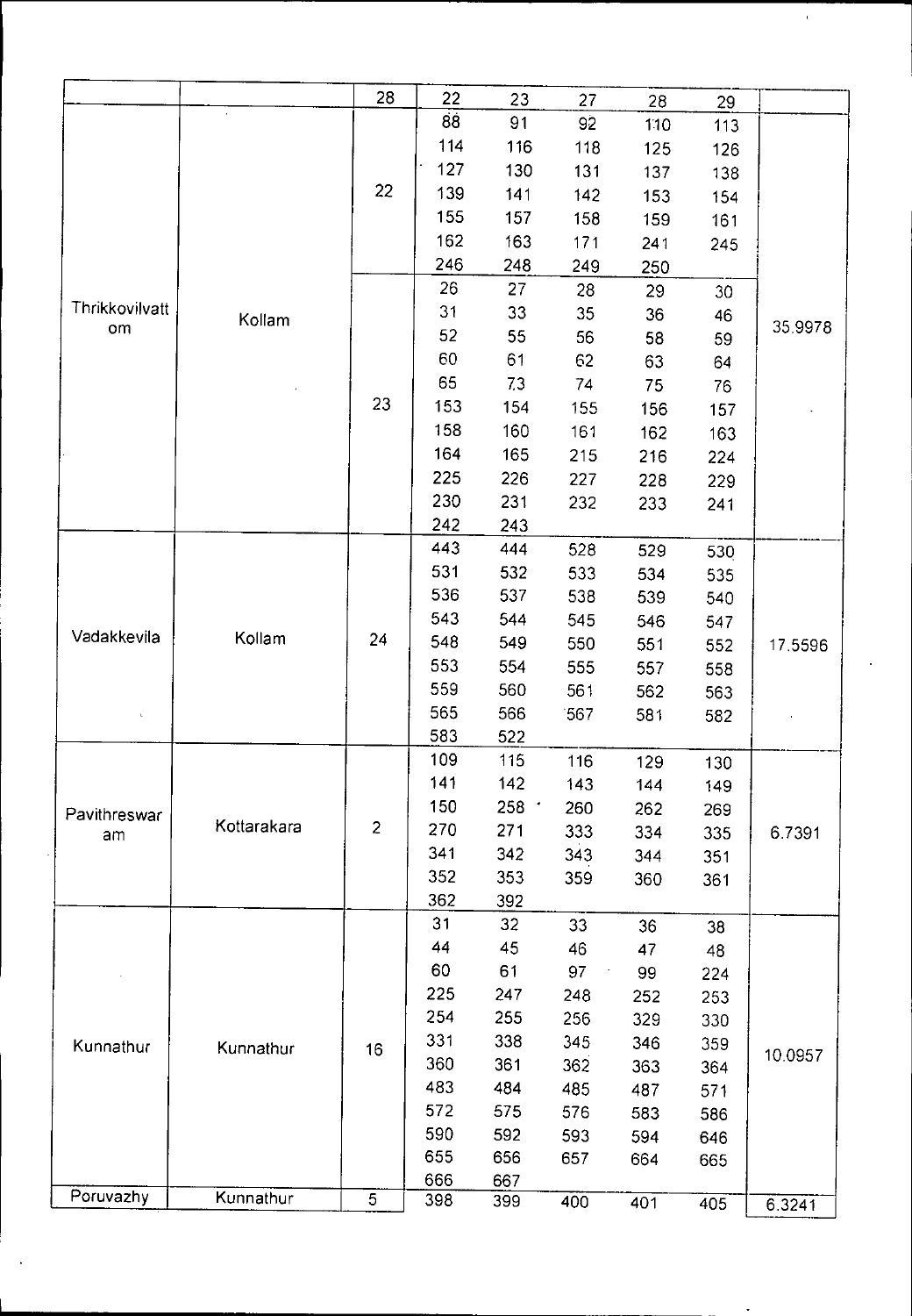|                |             | 28             | 22  | 23      | 27  | 28  | 29  |         |
|----------------|-------------|----------------|-----|---------|-----|-----|-----|---------|
|                |             |                | 88  | 91      | 92  | 110 | 113 |         |
|                |             |                | 114 | 116     | 118 | 125 | 126 |         |
|                |             |                | 127 | 130     | 131 | 137 | 138 |         |
|                |             | 22             | 139 | 141     | 142 | 153 | 154 |         |
|                |             |                | 155 | 157     | 158 | 159 | 161 |         |
|                |             |                | 162 | 163     | 171 | 241 | 245 |         |
|                |             |                | 246 | 248     | 249 | 250 |     |         |
|                |             |                | 26  | 27      |     |     |     |         |
| Thrikkovilvatt |             |                | 31  | 33      | 28  | 29  | 30  |         |
| om             | Kollam      |                | 52  |         | 35  | 36  | 46  | 35.9978 |
|                |             |                |     | 55      | 56  | 58  | 59  |         |
|                |             |                | 60  | 61      | 62  | 63  | 64  |         |
|                |             |                | 65  | 73      | 74  | 75  | 76  |         |
|                | 23          | 153            | 154 | 155     | 156 | 157 |     |         |
|                |             |                | 158 | 160     | 161 | 162 | 163 |         |
|                |             |                | 164 | 165     | 215 | 216 | 224 |         |
|                |             |                | 225 | 226     | 227 | 228 | 229 |         |
|                |             |                | 230 | 231     | 232 | 233 | 241 |         |
|                |             |                | 242 | 243     |     |     |     |         |
|                |             |                | 443 | 444     | 528 | 529 | 530 |         |
|                |             | 24             | 531 | 532     | 533 | 534 | 535 |         |
|                |             |                | 536 | 537     | 538 | 539 | 540 |         |
|                |             |                | 543 | 544     | 545 | 546 | 547 |         |
| Vadakkevila    | Kollam      |                | 548 | 549     | 550 | 551 | 552 | 17.5596 |
|                |             |                | 553 | 554     | 555 | 557 | 558 |         |
|                |             |                | 559 | 560     | 561 | 562 | 563 |         |
| L.             |             |                | 565 | 566     | 567 | 581 |     |         |
|                |             |                | 583 | 522     |     |     | 582 |         |
|                |             |                | 109 | 115     | 116 |     |     |         |
|                |             |                | 141 | 142     |     | 129 | 130 |         |
|                |             |                | 150 |         | 143 | 144 | 149 |         |
| Pavithreswar   | Kottarakara | $\overline{2}$ |     | $258 -$ | 260 | 262 | 269 |         |
| am             |             |                | 270 | 271     | 333 | 334 | 335 | 6.7391  |
|                |             |                | 341 | 342     | 343 | 344 | 351 |         |
|                |             |                | 352 | 353     | 359 | 360 | 361 |         |
|                |             |                | 362 | 392     |     |     |     |         |
|                |             |                | 31  | 32      | 33  | 36  | 38  |         |
|                |             |                | 44  | 45      | 46  | 47  | 48  |         |
|                |             |                | 60  | 61      | 97  | 99  | 224 |         |
|                |             |                | 225 | 247     | 248 | 252 | 253 |         |
|                |             |                | 254 | 255     | 256 | 329 | 330 |         |
| Kunnathur      | Kunnathur   | 16             | 331 | 338     | 345 | 346 | 359 |         |
|                |             |                | 360 | 361     | 362 | 363 | 364 | 10.0957 |
|                |             |                | 483 | 484     | 485 | 487 | 571 |         |
|                |             |                | 572 | 575     | 576 | 583 | 586 |         |
|                |             |                | 590 | 592     | 593 | 594 | 646 |         |
|                |             |                | 655 | 656     | 657 | 664 | 665 |         |
|                |             | 666            | 667 |         |     |     |     |         |
| Poruvazhy      | Kunnathur   | 5              | 398 | 399     | 400 | 401 | 405 | 6.3241  |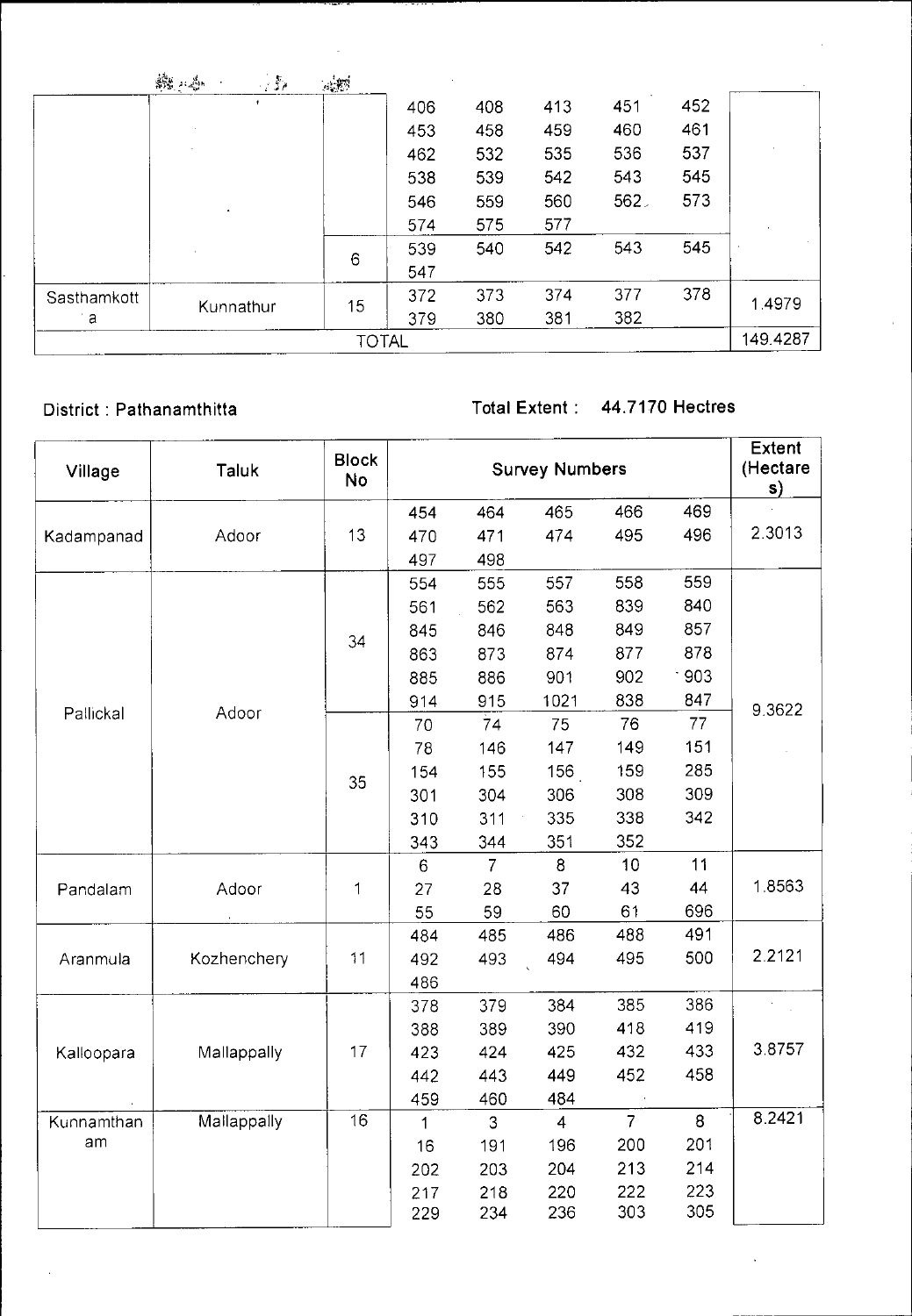|              | 識不高<br>$\sim 35$ | $\mathcal{A}, \mathcal{B}^{\mathcal{G}}$ |     |     |     |     |     |          |
|--------------|------------------|------------------------------------------|-----|-----|-----|-----|-----|----------|
|              |                  |                                          | 406 | 408 | 413 | 451 | 452 |          |
|              |                  |                                          | 453 | 458 | 459 | 460 | 461 |          |
|              |                  |                                          | 462 | 532 | 535 | 536 | 537 |          |
|              |                  |                                          | 538 | 539 | 542 | 543 | 545 |          |
|              | ٠                |                                          | 546 | 559 | 560 | 562 | 573 |          |
|              |                  |                                          | 574 | 575 | 577 |     |     |          |
|              |                  | 6                                        | 539 | 540 | 542 | 543 | 545 |          |
|              |                  |                                          | 547 |     |     |     |     |          |
| Sasthamkott  |                  | 15                                       | 372 | 373 | 374 | 377 | 378 | 1.4979   |
| a            | Kunnathur        |                                          | 379 | 380 | 381 | 382 |     |          |
| <b>TOTAL</b> |                  |                                          |     |     |     |     |     | 149.4287 |

District : Pathanamthitta Total Extent : 44.7170 Hectres

| Village    | Taluk       | <b>Block</b><br><b>No</b> |              | <b>Survey Numbers</b> |                |                |        |           |  |
|------------|-------------|---------------------------|--------------|-----------------------|----------------|----------------|--------|-----------|--|
|            |             |                           | 454          | 464                   | 465            | 466            | 469    | s)        |  |
| Kadampanad | Adoor       | 13                        | 470          | 471                   | 474            | 495            | 496    | 2.3013    |  |
|            |             |                           | 497          | 498                   |                |                |        |           |  |
|            |             |                           | 554          | 555                   | 557            | 558            | 559    |           |  |
|            |             |                           | 561          | 562                   | 563            | 839            | 840    |           |  |
|            |             |                           | 845          | 846                   | 848            | 849            | 857    |           |  |
|            |             | 34                        | 863          | 873                   | 874            | 877            | 878    |           |  |
|            |             |                           | 885          | 886                   | 901            | 902            | $-903$ |           |  |
| Pallickal  |             |                           | 914          | 915                   | 1021           | 838            | 847    | 9.3622    |  |
|            | Adoor       |                           | 70           | 74                    | 75             | 76             | 77     |           |  |
|            |             |                           | 78           | 146                   | 147            | 149            | 151    |           |  |
|            |             | 35                        | 154          | 155                   | 156            | 159            | 285    |           |  |
|            |             |                           | 301          | 304                   | 306            | 308            | 309    |           |  |
|            |             |                           | 310          | 311                   | 335            | 338            | 342    |           |  |
|            |             |                           | 343          | 344                   | 351            | 352            |        |           |  |
|            |             |                           | 6            | $\overline{7}$        | 8              | 10             | 11     |           |  |
| Pandalam   | Adoor       | 1                         | 27           | 28                    | 37             | 43             | 44     | 18563     |  |
|            |             |                           | 55           | 59                    | 60             | 61             | 696    |           |  |
|            |             |                           | 484          | 485                   | 486            | 488            | 491    |           |  |
| Aranmula   | Kozhenchery | 11                        | 492          | 493                   | 494            | 495            | 500    | 2 2 1 2 1 |  |
|            |             |                           | 486          |                       |                |                |        |           |  |
|            |             |                           | 378          | 379                   | 384            | 385            | 386    |           |  |
|            |             |                           | 388          | 389                   | 390            | 418            | 419    |           |  |
| Kalloopara | Mallappally | 17                        | 423          | 424                   | 425            | 432            | 433    | 3.8757    |  |
|            |             |                           | 442          | 443                   | 449            | 452            | 458    |           |  |
|            |             |                           | 459          | 460                   | 484            |                |        |           |  |
| Kunnamthan | Mallappally | 16                        | $\mathbf{1}$ | $\overline{3}$        | $\overline{4}$ | $\overline{7}$ | 8      | 8.2421    |  |
| am         |             |                           | 16           | 191                   | 196            | 200            | 201    |           |  |
|            |             |                           | 202          | 203                   | 204            | 213            | 214    |           |  |
|            |             |                           | 217          | 218                   | 220            | 222            | 223    |           |  |
|            |             |                           | 229          | 234                   | 236            | 303            | 305    |           |  |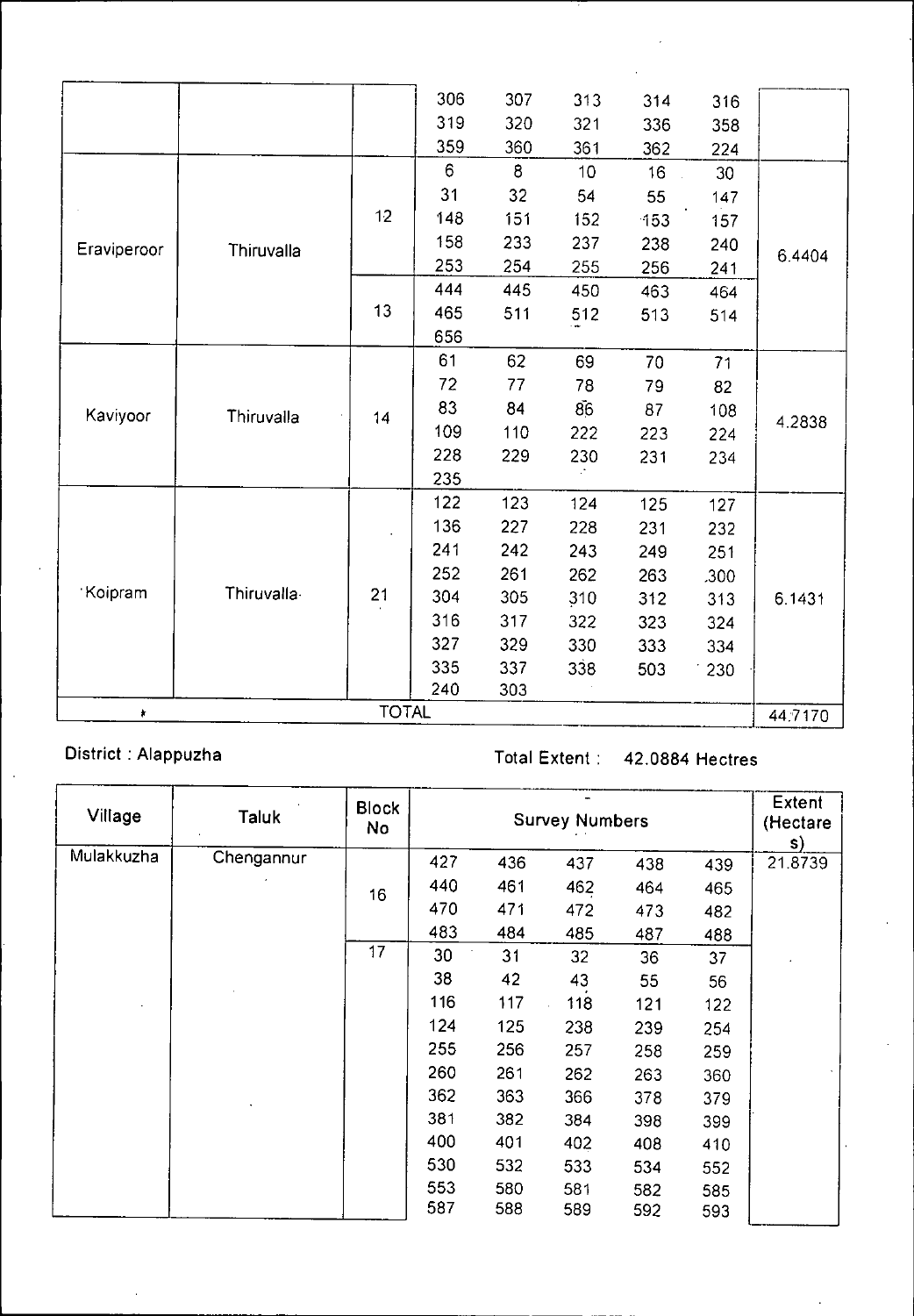|             |            |              | 306 | 307 | 313 | 314                                                                                                                                                                                                                             | 316    |         |
|-------------|------------|--------------|-----|-----|-----|---------------------------------------------------------------------------------------------------------------------------------------------------------------------------------------------------------------------------------|--------|---------|
|             |            |              | 319 | 320 | 321 | 336                                                                                                                                                                                                                             | 358    |         |
|             |            |              | 359 | 360 | 361 | 362                                                                                                                                                                                                                             |        |         |
|             |            |              | 6   | 8   | 10  | 16                                                                                                                                                                                                                              | 30     |         |
|             |            |              | 31  | 32  | 54  | 55                                                                                                                                                                                                                              | 147    |         |
|             |            | 12           | 148 | 151 | 152 | 153                                                                                                                                                                                                                             | 157    |         |
| Eraviperoor | Thiruvalla |              | 158 | 233 | 237 | 238                                                                                                                                                                                                                             | 240    |         |
|             |            |              | 253 | 254 | 255 | 224<br>256<br>241<br>463<br>464<br>513<br>514<br>70<br>71<br>79<br>82<br>87<br>108<br>223<br>224<br>231<br>234<br>125<br>127<br>231<br>232<br>249<br>251<br>263<br>.300<br>312<br>313<br>323<br>324<br>333<br>334<br>503<br>230 | 6.4404 |         |
|             |            |              | 444 | 445 | 450 |                                                                                                                                                                                                                                 |        |         |
|             |            | 13           | 465 | 511 | 512 |                                                                                                                                                                                                                                 |        |         |
|             |            |              | 656 |     |     |                                                                                                                                                                                                                                 |        |         |
|             |            |              | 61  | 62  | 69  |                                                                                                                                                                                                                                 |        |         |
| Kaviyoor    |            |              | 72  | 77  | 78  |                                                                                                                                                                                                                                 |        |         |
|             | Thiruvalla | 14           | 83  | 84  | 86  |                                                                                                                                                                                                                                 |        |         |
|             |            |              | 109 | 110 | 222 |                                                                                                                                                                                                                                 |        | 4.2838  |
|             |            |              | 228 | 229 | 230 |                                                                                                                                                                                                                                 |        |         |
|             |            |              | 235 |     |     |                                                                                                                                                                                                                                 |        |         |
|             |            |              | 122 | 123 | 124 |                                                                                                                                                                                                                                 |        |         |
|             |            |              | 136 | 227 | 228 |                                                                                                                                                                                                                                 |        |         |
|             |            |              | 241 | 242 | 243 |                                                                                                                                                                                                                                 |        |         |
|             |            |              | 252 | 261 | 262 |                                                                                                                                                                                                                                 |        |         |
| Koipram     | Thiruvalla | 21           | 304 | 305 | 310 |                                                                                                                                                                                                                                 |        | 6.1431  |
|             |            |              | 316 | 317 | 322 |                                                                                                                                                                                                                                 |        |         |
|             |            |              | 327 | 329 | 330 |                                                                                                                                                                                                                                 |        |         |
|             |            |              | 335 | 337 | 338 |                                                                                                                                                                                                                                 |        |         |
|             |            |              | 240 | 303 |     |                                                                                                                                                                                                                                 |        |         |
| ŧ           |            | <b>TOTAL</b> |     |     |     |                                                                                                                                                                                                                                 |        | 44.7170 |

 $\bar{z}$ 

## District Alappuzha Total Extent : 42.0884 Hectres

| Village    | Taluk      | <b>Block</b><br><b>No</b> |     | Extent<br>(Hectare<br>s) |     |     |     |         |
|------------|------------|---------------------------|-----|--------------------------|-----|-----|-----|---------|
| Mulakkuzha | Chengannur |                           | 427 | 436                      | 437 | 438 | 439 | 21.8739 |
|            |            | 16                        | 440 | 461                      | 462 | 464 | 465 |         |
|            |            |                           | 470 | 471                      | 472 | 473 | 482 |         |
|            |            |                           | 483 | 484                      | 485 | 487 | 488 |         |
|            |            | 17                        | 30  | 31                       | 32  | 36  | 37  |         |
|            |            |                           | 38  | 42                       | 43  | 55  | 56  |         |
|            |            |                           | 116 | 117                      | 118 | 121 | 122 |         |
|            |            |                           | 124 | 125                      | 238 | 239 | 254 |         |
|            |            |                           | 255 | 256                      | 257 | 258 | 259 |         |
|            |            |                           | 260 | 261                      | 262 | 263 | 360 |         |
|            |            |                           | 362 | 363                      | 366 | 378 | 379 |         |
|            |            |                           | 381 | 382                      | 384 | 398 | 399 |         |
|            |            |                           | 400 | 401                      | 402 | 408 | 410 |         |
|            |            |                           | 530 | 532                      | 533 | 534 | 552 |         |
|            |            |                           | 553 | 580                      | 581 | 582 | 585 |         |
|            |            |                           | 587 | 588                      | 589 | 592 | 593 |         |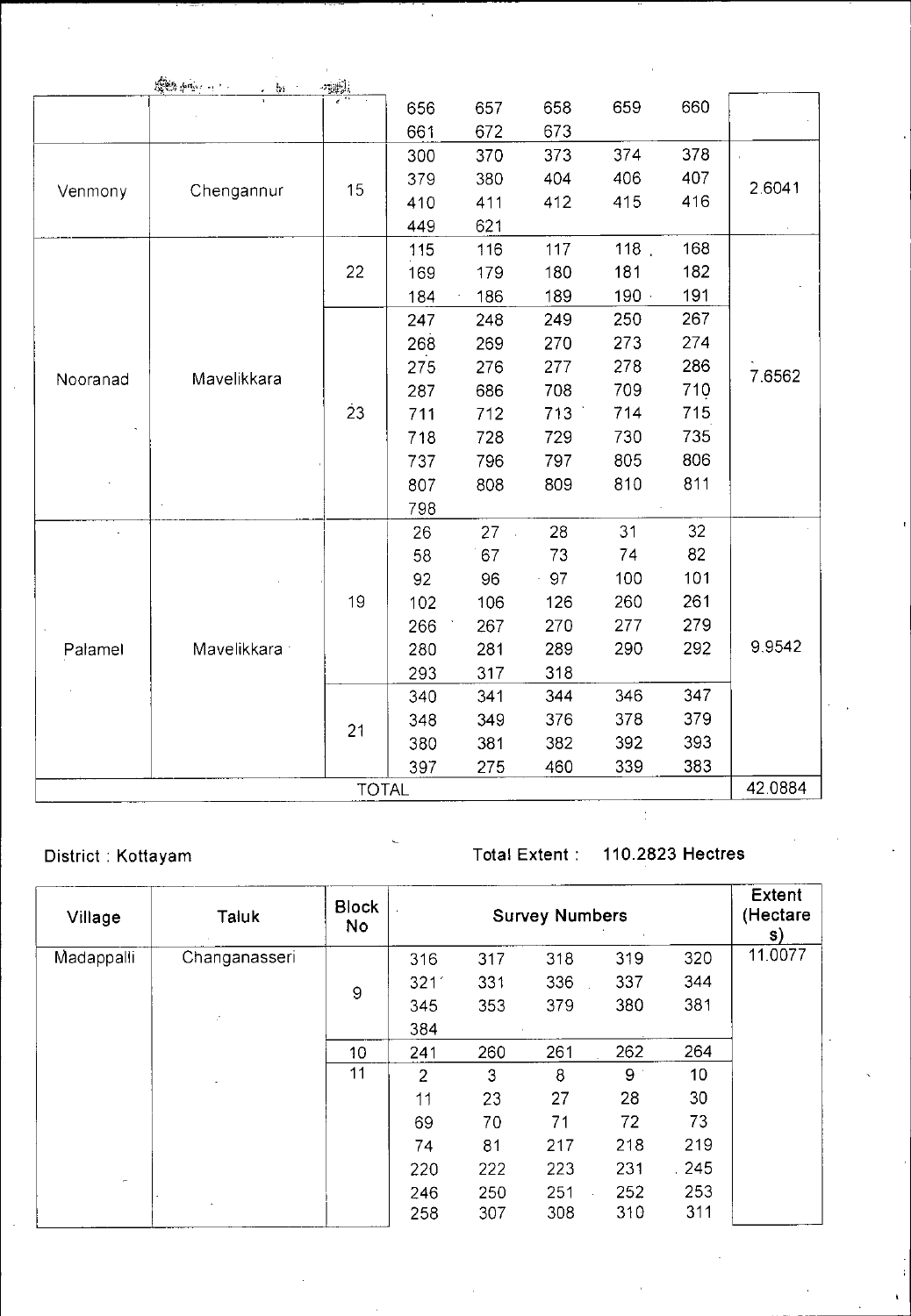|          | 開始 南京 - 11.<br>, 例 | や強力          |     |     |     |     |     |         |
|----------|--------------------|--------------|-----|-----|-----|-----|-----|---------|
|          |                    |              | 656 | 657 | 658 | 659 | 660 |         |
|          |                    |              | 661 | 672 | 673 |     |     |         |
|          |                    |              | 300 | 370 | 373 | 374 | 378 |         |
|          |                    | 15           | 379 | 380 | 404 | 406 | 407 | 2 6041  |
| Venmony  | Chengannur         |              | 410 | 411 | 412 | 415 | 416 |         |
|          |                    |              | 449 | 621 |     |     |     |         |
|          |                    |              | 115 | 116 | 117 | 118 | 168 |         |
|          |                    | 22           | 169 | 179 | 180 | 181 | 182 |         |
|          |                    |              | 184 | 186 | 189 | 190 | 191 |         |
|          |                    |              | 247 | 248 | 249 | 250 | 267 |         |
|          |                    |              | 268 | 269 | 270 | 273 | 274 |         |
|          |                    |              | 275 | 276 | 277 | 278 | 286 | 7.6562  |
| Nooranad | Mavelikkara        |              | 287 | 686 | 708 | 709 | 710 |         |
|          |                    | 23           | 711 | 712 | 713 | 714 | 715 |         |
|          |                    |              | 718 | 728 | 729 | 730 | 735 |         |
|          |                    |              | 737 | 796 | 797 | 805 | 806 |         |
|          |                    |              | 807 | 808 | 809 | 810 | 811 |         |
|          |                    |              | 798 |     |     |     |     |         |
|          |                    |              | 26  | 27  | 28  | 31  | 32  |         |
|          |                    |              | 58  | 67  | 73  | 74  | 82  |         |
|          |                    |              | 92  | 96  | 97  | 100 | 101 |         |
|          |                    | 19           | 102 | 106 | 126 | 260 | 261 |         |
|          |                    |              | 266 | 267 | 270 | 277 | 279 |         |
| Palamel  | Mavelikkara ·      |              | 280 | 281 | 289 | 290 | 292 | 9.9542  |
|          |                    |              | 293 | 317 | 318 |     |     |         |
|          |                    |              | 340 | 341 | 344 | 346 | 347 |         |
|          |                    | 21           | 348 | 349 | 376 | 378 | 379 |         |
|          |                    |              | 380 | 381 | 382 | 392 | 393 |         |
|          |                    |              | 397 | 275 | 460 | 339 | 383 |         |
|          |                    | <b>TOTAL</b> |     |     |     |     |     | 42.0884 |

District : Kottayam Total Extent : 110.2823 Hectres

| Village    | Taluk<br>Changanasseri | <b>Block</b><br>No |                | <b>Survey Numbers</b> |     | <b>Extent</b><br>(Hectare<br>S) |                 |         |
|------------|------------------------|--------------------|----------------|-----------------------|-----|---------------------------------|-----------------|---------|
| Madappalli |                        |                    | 316            | 317                   | 318 | 319                             | 320             | 11.0077 |
|            |                        | 9                  | 321'           | 331                   | 336 | 337                             | 344             |         |
|            |                        |                    | 345            | 353                   | 379 | 380                             | 381             |         |
|            | ÷.                     |                    | 384            |                       |     |                                 |                 |         |
|            |                        | 10                 | 241            | 260                   | 261 | 262                             | 264             |         |
|            |                        | 11                 | $\overline{2}$ | 3                     | 8   | 9                               | 10 <sub>1</sub> |         |
|            |                        |                    | 11             | 23                    | 27  | 28                              | 30              |         |
|            |                        |                    | 69             | 70                    | 71  | 72                              | 73              |         |
|            |                        |                    | 74             | 81                    | 217 | 218                             | 219             |         |
|            |                        |                    | 220            | 222                   | 223 | 231                             | .245            |         |
| $\sim$     |                        |                    | 246            | 250                   | 251 | 252                             | 253             |         |
|            |                        |                    | 258            | 307                   | 308 | 310                             | 311             |         |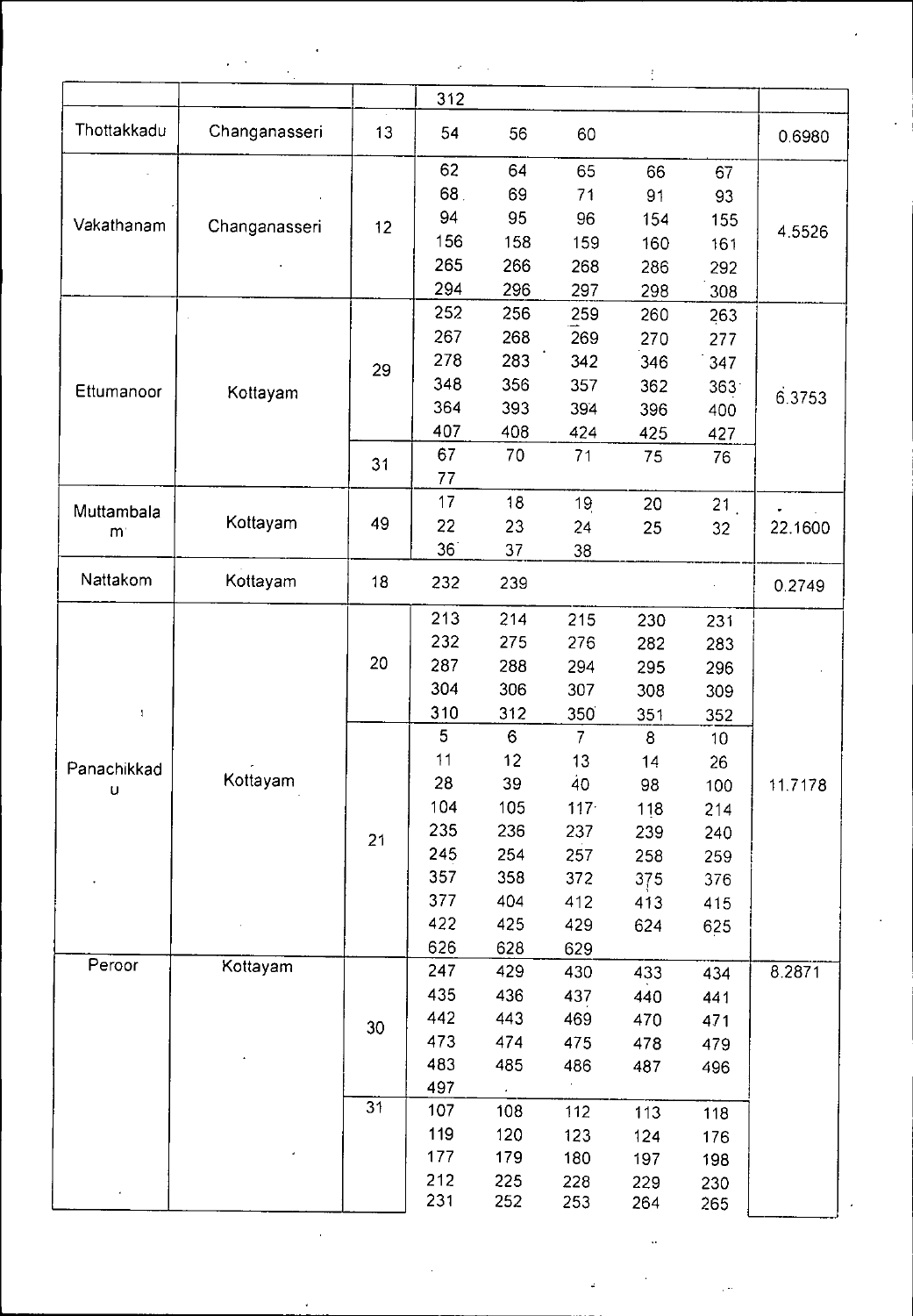|                 |               |              | à,  |            |         | ŧ   |                  |           |
|-----------------|---------------|--------------|-----|------------|---------|-----|------------------|-----------|
|                 |               |              | 312 |            |         |     |                  |           |
| Thottakkadu     | Changanasseri | $\sim$<br>13 | 54  | 56         | 60      |     |                  | 0.6980    |
|                 |               |              | 62  | 64         | 65      | 66  | 67               |           |
|                 |               |              | 68. | 69         | 71      | 91  | 93               |           |
| Vakathanam      | Changanasseri | 12           | 94  | 95         | 96      | 154 | 155              |           |
|                 |               |              | 156 | 158        | 159     | 160 | 161              | 4 5 5 2 6 |
|                 |               |              | 265 | 266        | 268     | 286 | 292              |           |
|                 |               |              | 294 | 296        | 297     | 298 | 308              |           |
|                 |               |              | 252 | 256        | 259     | 260 | 263              |           |
|                 |               |              | 267 | 268        | 269     | 270 | 277              |           |
|                 |               | 29           | 278 | 283        | 342     | 346 | 347              |           |
| Ettumanoor      |               |              | 348 | 356        | 357     | 362 | 363 <sup>°</sup> |           |
|                 | Kottayam      |              | 364 | 393        | 394     | 396 | 400              | 6.3753    |
|                 |               |              | 407 | 408        | 424     | 425 | 427              |           |
|                 |               |              | 67  | 70         | 71      | 75  | 76               |           |
|                 |               | 31           | 77  |            |         |     |                  |           |
|                 |               |              | 17  | 18         | 19      | 20  | 21 <sub>1</sub>  |           |
| Muttambala<br>m | Kottayam      | 49           | 22  | 23         | 24      | 25  | 32               | 22.1600   |
|                 |               |              | 36  | 37         | 38      |     |                  |           |
| Nattakom        | Kottayam      | 18           | 232 | 239        |         |     |                  | 0.2749    |
|                 |               |              | 213 |            |         |     |                  |           |
|                 |               |              | 232 | 214        | 215     | 230 | 231              |           |
|                 |               | 20           | 287 | 275        | 276     | 282 | 283              |           |
|                 |               |              | 304 | 288        | 294     | 295 | 296              |           |
|                 |               |              |     | 306        | 307     | 308 | 309              |           |
| 1               |               |              | 310 | 312        | 350     | 351 | 352              |           |
|                 |               |              | 5   | 6          | 7       | 8   | 10               |           |
| Panachikkad     | Kottayam      |              | 11  | 12         | 13      | 14  | 26               |           |
| $\sf u$         |               |              | 28  | 39         | 40      | 98  | 100              | 11.7178   |
|                 |               |              | 104 | 105        | $117 -$ | 118 | 214              |           |
|                 |               | 21           | 235 | 236        | 237     | 239 | 240              |           |
|                 |               |              | 245 | 254        | 257     | 258 | 259              |           |
|                 |               |              | 357 | 358        | 372     | 375 | 376              |           |
|                 |               |              | 377 | 404        | 412     | 413 | 415              |           |
|                 |               |              | 422 | 425        | 429     | 624 | 625              |           |
| Peroor          | Kottayam      |              | 626 | 628        | 629     |     |                  |           |
|                 |               |              | 247 | 429        | 430     | 433 | 434              | 8.2871    |
|                 |               |              | 435 | 436        | 437     | 440 | 441              |           |
|                 |               | 30           | 442 | 443        | 469     | 470 | 471              |           |
|                 |               |              | 473 | 474        | 475     | 478 | 479              |           |
|                 |               |              | 483 | 485        | 486     | 487 | 496              |           |
|                 |               | 31           | 497 | $\epsilon$ |         |     |                  |           |
|                 |               |              | 107 | 108        | 112     | 113 | 118              |           |
|                 |               |              | 119 | 120        | 123     | 124 | 176              |           |
|                 |               |              | 177 | 179        | 180     | 197 | 198              |           |
|                 |               |              | 212 | 225        | 228     | 229 | 230              |           |
|                 |               |              | 231 | 252        | 253     | 264 | 265              |           |

 $\ddot{\phantom{0}}$ 

Ļ.

ý

 $\mathbf{A}$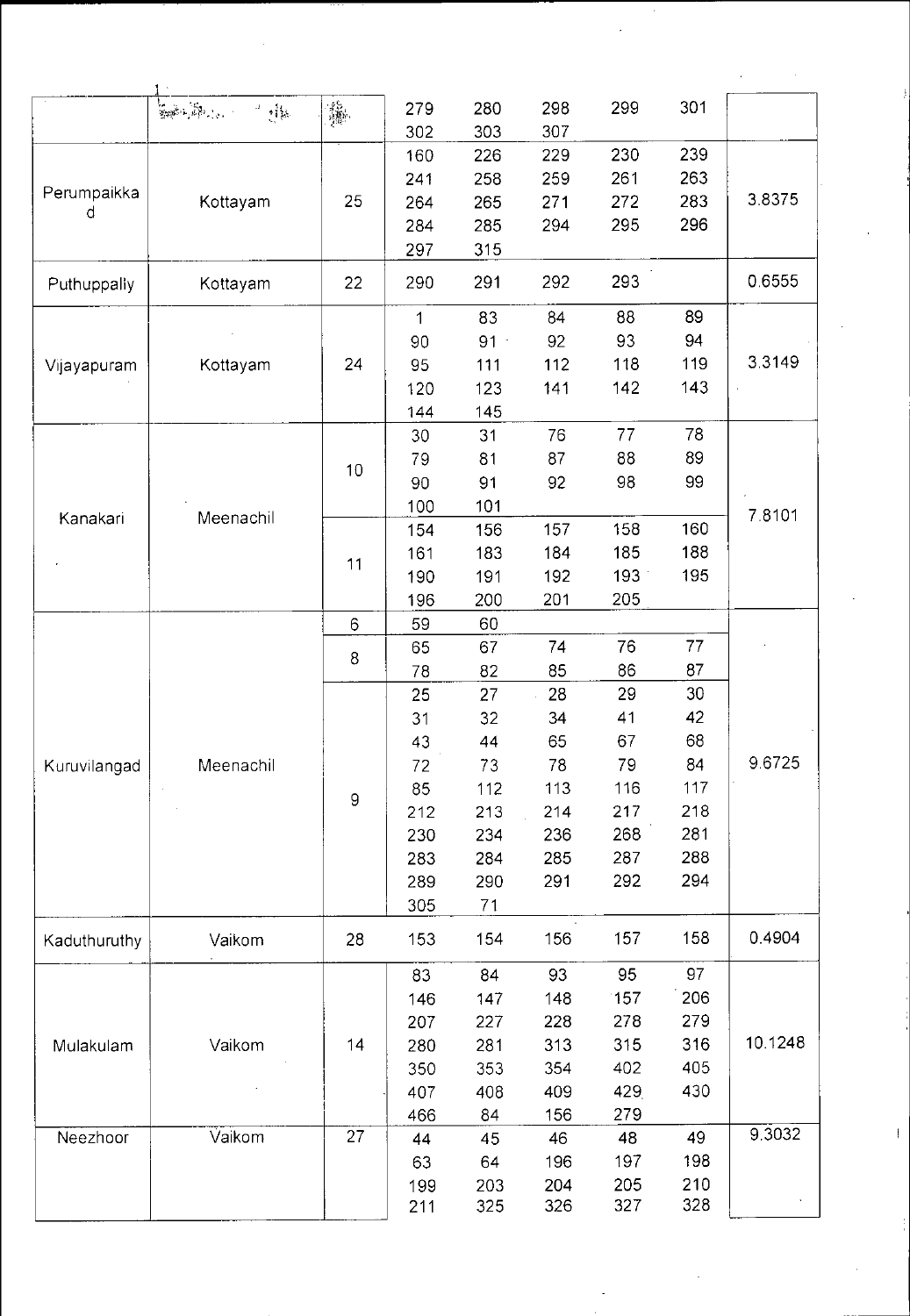| $\begin{array}{l} \frac{1}{2} \sum_{i=1}^{n} \frac{1}{2} \left( \frac{1}{2} \right)^{2} \left( \frac{1}{2} \right)^{2} \left( \frac{1}{2} \right)^{2} \left( \frac{1}{2} \right)^{2} \left( \frac{1}{2} \right)^{2} \left( \frac{1}{2} \right)^{2} \left( \frac{1}{2} \right)^{2} \left( \frac{1}{2} \right)^{2} \left( \frac{1}{2} \right)^{2} \left( \frac{1}{2} \right)^{2} \left( \frac{1}{2} \right)^{2} \left( \frac{1}{2} \right)^$<br>301<br>299<br>280<br>298<br>279<br>一样。<br>303<br>307<br>302<br>230<br>239<br>226<br>229<br>160<br>261<br>263<br>258<br>259<br>241<br>Perumpaikka<br>283<br>25<br>271<br>272<br>Kottayam<br>264<br>265<br>d<br>296<br>295<br>285<br>294<br>284<br>297<br>315<br>293<br>22<br>291<br>292<br>290<br>Puthuppally<br>Kottayam | 3.8375  |
|------------------------------------------------------------------------------------------------------------------------------------------------------------------------------------------------------------------------------------------------------------------------------------------------------------------------------------------------------------------------------------------------------------------------------------------------------------------------------------------------------------------------------------------------------------------------------------------------------------------------------------------------------------------------------------------------------------------------------------------------------------------------|---------|
|                                                                                                                                                                                                                                                                                                                                                                                                                                                                                                                                                                                                                                                                                                                                                                        |         |
|                                                                                                                                                                                                                                                                                                                                                                                                                                                                                                                                                                                                                                                                                                                                                                        |         |
|                                                                                                                                                                                                                                                                                                                                                                                                                                                                                                                                                                                                                                                                                                                                                                        |         |
|                                                                                                                                                                                                                                                                                                                                                                                                                                                                                                                                                                                                                                                                                                                                                                        |         |
|                                                                                                                                                                                                                                                                                                                                                                                                                                                                                                                                                                                                                                                                                                                                                                        |         |
|                                                                                                                                                                                                                                                                                                                                                                                                                                                                                                                                                                                                                                                                                                                                                                        |         |
|                                                                                                                                                                                                                                                                                                                                                                                                                                                                                                                                                                                                                                                                                                                                                                        |         |
|                                                                                                                                                                                                                                                                                                                                                                                                                                                                                                                                                                                                                                                                                                                                                                        |         |
|                                                                                                                                                                                                                                                                                                                                                                                                                                                                                                                                                                                                                                                                                                                                                                        | 0.6555  |
| 89<br>83<br>84<br>88<br>$\mathbf 1$                                                                                                                                                                                                                                                                                                                                                                                                                                                                                                                                                                                                                                                                                                                                    |         |
| $91 -$<br>92<br>93<br>94<br>90                                                                                                                                                                                                                                                                                                                                                                                                                                                                                                                                                                                                                                                                                                                                         |         |
| 119<br>24<br>112<br>118<br>Kottayam<br>95<br>111<br>Vijayapuram                                                                                                                                                                                                                                                                                                                                                                                                                                                                                                                                                                                                                                                                                                        | 3.3149  |
| 141<br>142<br>143<br>123<br>120                                                                                                                                                                                                                                                                                                                                                                                                                                                                                                                                                                                                                                                                                                                                        |         |
| 144<br>145                                                                                                                                                                                                                                                                                                                                                                                                                                                                                                                                                                                                                                                                                                                                                             |         |
| 78<br>76<br>77<br>30<br>31                                                                                                                                                                                                                                                                                                                                                                                                                                                                                                                                                                                                                                                                                                                                             |         |
| 89<br>87<br>88<br>81<br>79                                                                                                                                                                                                                                                                                                                                                                                                                                                                                                                                                                                                                                                                                                                                             |         |
| 10<br>99<br>98<br>91<br>92<br>90                                                                                                                                                                                                                                                                                                                                                                                                                                                                                                                                                                                                                                                                                                                                       |         |
| 101<br>100                                                                                                                                                                                                                                                                                                                                                                                                                                                                                                                                                                                                                                                                                                                                                             |         |
| Meenachil<br>Kanakari<br>158<br>160<br>157<br>156<br>154                                                                                                                                                                                                                                                                                                                                                                                                                                                                                                                                                                                                                                                                                                               | 78101   |
| 185<br>188<br>183<br>184<br>161                                                                                                                                                                                                                                                                                                                                                                                                                                                                                                                                                                                                                                                                                                                                        |         |
| 11<br>192<br>193<br>195<br>191<br>190                                                                                                                                                                                                                                                                                                                                                                                                                                                                                                                                                                                                                                                                                                                                  |         |
| 205<br>200<br>201<br>196                                                                                                                                                                                                                                                                                                                                                                                                                                                                                                                                                                                                                                                                                                                                               |         |
| 60<br>59<br>6                                                                                                                                                                                                                                                                                                                                                                                                                                                                                                                                                                                                                                                                                                                                                          |         |
| 76<br>77<br>74<br>65<br>67                                                                                                                                                                                                                                                                                                                                                                                                                                                                                                                                                                                                                                                                                                                                             |         |
| 8<br>87<br>85<br>86<br>82<br>78                                                                                                                                                                                                                                                                                                                                                                                                                                                                                                                                                                                                                                                                                                                                        |         |
| 30<br>27<br>29<br>25<br>28                                                                                                                                                                                                                                                                                                                                                                                                                                                                                                                                                                                                                                                                                                                                             |         |
| 42<br>32<br>34<br>41<br>31                                                                                                                                                                                                                                                                                                                                                                                                                                                                                                                                                                                                                                                                                                                                             |         |
| 68<br>67<br>43<br>44<br>65                                                                                                                                                                                                                                                                                                                                                                                                                                                                                                                                                                                                                                                                                                                                             |         |
| 84                                                                                                                                                                                                                                                                                                                                                                                                                                                                                                                                                                                                                                                                                                                                                                     | 96725   |
| 78<br>79<br>Meenachil<br>72<br>73<br>Kuruvilangad                                                                                                                                                                                                                                                                                                                                                                                                                                                                                                                                                                                                                                                                                                                      |         |
| 116<br>117<br>113<br>85<br>112<br>$\mathsf g$                                                                                                                                                                                                                                                                                                                                                                                                                                                                                                                                                                                                                                                                                                                          |         |
| 217<br>218<br>213<br>214<br>212                                                                                                                                                                                                                                                                                                                                                                                                                                                                                                                                                                                                                                                                                                                                        |         |
| 268<br>281<br>234<br>236<br>230                                                                                                                                                                                                                                                                                                                                                                                                                                                                                                                                                                                                                                                                                                                                        |         |
| 285<br>287<br>288<br>284<br>283                                                                                                                                                                                                                                                                                                                                                                                                                                                                                                                                                                                                                                                                                                                                        |         |
| 292<br>291<br>294<br>289<br>290                                                                                                                                                                                                                                                                                                                                                                                                                                                                                                                                                                                                                                                                                                                                        |         |
| 305<br>71                                                                                                                                                                                                                                                                                                                                                                                                                                                                                                                                                                                                                                                                                                                                                              |         |
| 158<br>157<br>156<br>28<br>153<br>154<br>Kaduthuruthy<br>Vaikom                                                                                                                                                                                                                                                                                                                                                                                                                                                                                                                                                                                                                                                                                                        | 0.4904  |
| 97<br>95<br>83<br>84<br>93                                                                                                                                                                                                                                                                                                                                                                                                                                                                                                                                                                                                                                                                                                                                             |         |
| 206<br>147<br>148<br>157<br>146                                                                                                                                                                                                                                                                                                                                                                                                                                                                                                                                                                                                                                                                                                                                        |         |
| 278<br>279<br>227<br>228<br>207                                                                                                                                                                                                                                                                                                                                                                                                                                                                                                                                                                                                                                                                                                                                        |         |
| 316<br>14<br>313<br>315<br>Vaikom<br>280<br>281<br>Mulakulam                                                                                                                                                                                                                                                                                                                                                                                                                                                                                                                                                                                                                                                                                                           | 10.1248 |
| 402<br>405<br>353<br>354<br>350                                                                                                                                                                                                                                                                                                                                                                                                                                                                                                                                                                                                                                                                                                                                        |         |
| 429<br>430<br>408<br>409<br>407                                                                                                                                                                                                                                                                                                                                                                                                                                                                                                                                                                                                                                                                                                                                        |         |
| 156<br>279<br>466<br>84                                                                                                                                                                                                                                                                                                                                                                                                                                                                                                                                                                                                                                                                                                                                                |         |
| 27<br>Vaikom<br>Neezhoor<br>48<br>49<br>45<br>46<br>44                                                                                                                                                                                                                                                                                                                                                                                                                                                                                                                                                                                                                                                                                                                 | 9.3032  |
| 197<br>198<br>64<br>196<br>63                                                                                                                                                                                                                                                                                                                                                                                                                                                                                                                                                                                                                                                                                                                                          |         |
|                                                                                                                                                                                                                                                                                                                                                                                                                                                                                                                                                                                                                                                                                                                                                                        |         |
| 205<br>210<br>204<br>203<br>199                                                                                                                                                                                                                                                                                                                                                                                                                                                                                                                                                                                                                                                                                                                                        |         |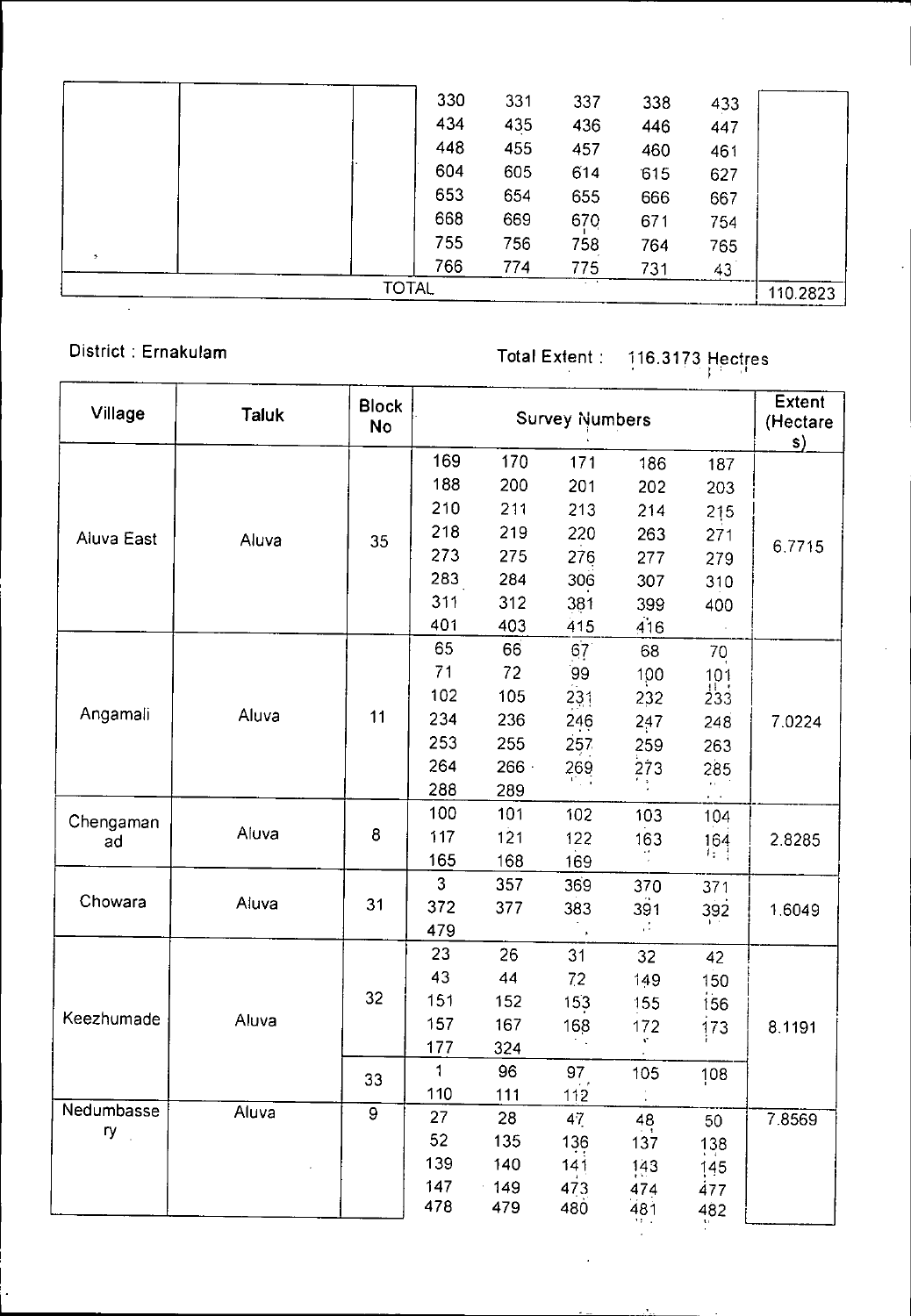|               | <b>TOTAL</b> |     |     | $\sim$ $\sim$ |     |     | 110.2823 |
|---------------|--------------|-----|-----|---------------|-----|-----|----------|
|               |              | 766 | 774 | 775           | 731 | 43  |          |
| $\rightarrow$ |              | 755 | 756 | 758           | 764 | 765 |          |
|               |              | 668 | 669 | 670           | 671 | 754 |          |
|               |              | 653 | 654 | 655           | 666 | 667 |          |
|               |              | 604 | 605 | 614           | 615 | 627 |          |
|               |              | 448 | 455 | 457           | 460 | 461 |          |
|               |              | 434 | 435 | 436           | 446 | 447 |          |
|               |              | 330 | 331 | 337           | 338 | 433 |          |

District : Ernakulam Total Extent 116.3173 Hectres

 $\cdot$ 

| Village           | <b>Taluk</b> | <b>Block</b><br><b>No</b> |                |     | <b>Survey Numbers</b> |               |                                           | <b>Extent</b><br>(Hectare<br>s) |
|-------------------|--------------|---------------------------|----------------|-----|-----------------------|---------------|-------------------------------------------|---------------------------------|
|                   |              |                           | 169            | 170 | 171                   | 186           | 187                                       |                                 |
|                   |              |                           | 188            | 200 | 201                   | 202           | 203                                       |                                 |
|                   |              |                           | 210            | 211 | 213                   | 214           | 215                                       |                                 |
| Aluva East        | Aluva        | 35                        | 218            | 219 | 220                   | 263           | 271                                       |                                 |
|                   |              |                           | 273            | 275 | 276                   | 277           | 279                                       | 6.7715                          |
|                   |              |                           | 283            | 284 | 306                   | 307           | 310                                       |                                 |
|                   |              |                           | 311            | 312 | 381                   | 399           | 400                                       |                                 |
|                   |              |                           | 401            | 403 | 415                   | 416           |                                           |                                 |
|                   |              |                           | 65             | 66  | 67 <sup>°</sup>       | 68            | 70                                        |                                 |
|                   |              |                           | 71             | 72  | 99                    | 100           |                                           |                                 |
|                   |              |                           | 102            | 105 | 231                   | 232           | $\begin{array}{c} 101 \\ 233 \end{array}$ |                                 |
| Angamali          | Aluva        | 11                        | 234            | 236 | 246                   | 247           | 248                                       | 7.0224                          |
|                   |              |                           | 253            | 255 | 257                   | 259           | 263                                       |                                 |
|                   |              |                           | 264            | 266 | 269                   | 273           | 285                                       |                                 |
|                   |              |                           | 288            | 289 |                       |               |                                           |                                 |
| Chengaman         |              |                           | 100            | 101 | 102                   | 103           | 104                                       |                                 |
| ad                | Aluva        | 8                         | 117            | 121 | 122                   | 163           | 164                                       | 2.8285                          |
|                   |              |                           | 165            | 168 | 169                   |               |                                           |                                 |
|                   |              |                           | $\overline{3}$ | 357 | 369                   | 370           | 371                                       |                                 |
| Chowara           | Aluva        | 31                        | 372            | 377 | 383                   | 391           | 392                                       | 1.6049                          |
|                   |              |                           | 479            |     |                       | $\mathcal{C}$ |                                           |                                 |
|                   |              |                           | 23             | 26  | 31                    | 32            | 42                                        |                                 |
|                   |              |                           | 43             | 44  | 72                    | 149           | 150                                       |                                 |
|                   |              | 32                        | 151            | 152 | 15 <sub>3</sub>       | 155           | 156                                       |                                 |
| Keezhumade        | Aluva        |                           | 157            | 167 | 168                   | 172           | 173                                       | 8.1191                          |
|                   |              |                           | 177            | 324 |                       | v.            |                                           |                                 |
|                   |              | 33                        | 1              | 96  | 97                    | 105           | 108                                       |                                 |
|                   |              |                           | 110            | 111 | 112                   |               |                                           |                                 |
| Nedumbasse<br>ry. | Aluva        | $\overline{9}$            | 27             | 28  | 47                    | 48            | 50                                        | 7.8569                          |
|                   |              |                           | 52             | 135 | 136                   | 137           | 138                                       |                                 |
|                   |              |                           | 139            | 140 | 141                   | 143           | 145                                       |                                 |
|                   |              |                           | 147            | 149 | 473                   | 474           | 477                                       |                                 |
|                   |              |                           | 478            | 479 | 480                   | 481           | 482                                       |                                 |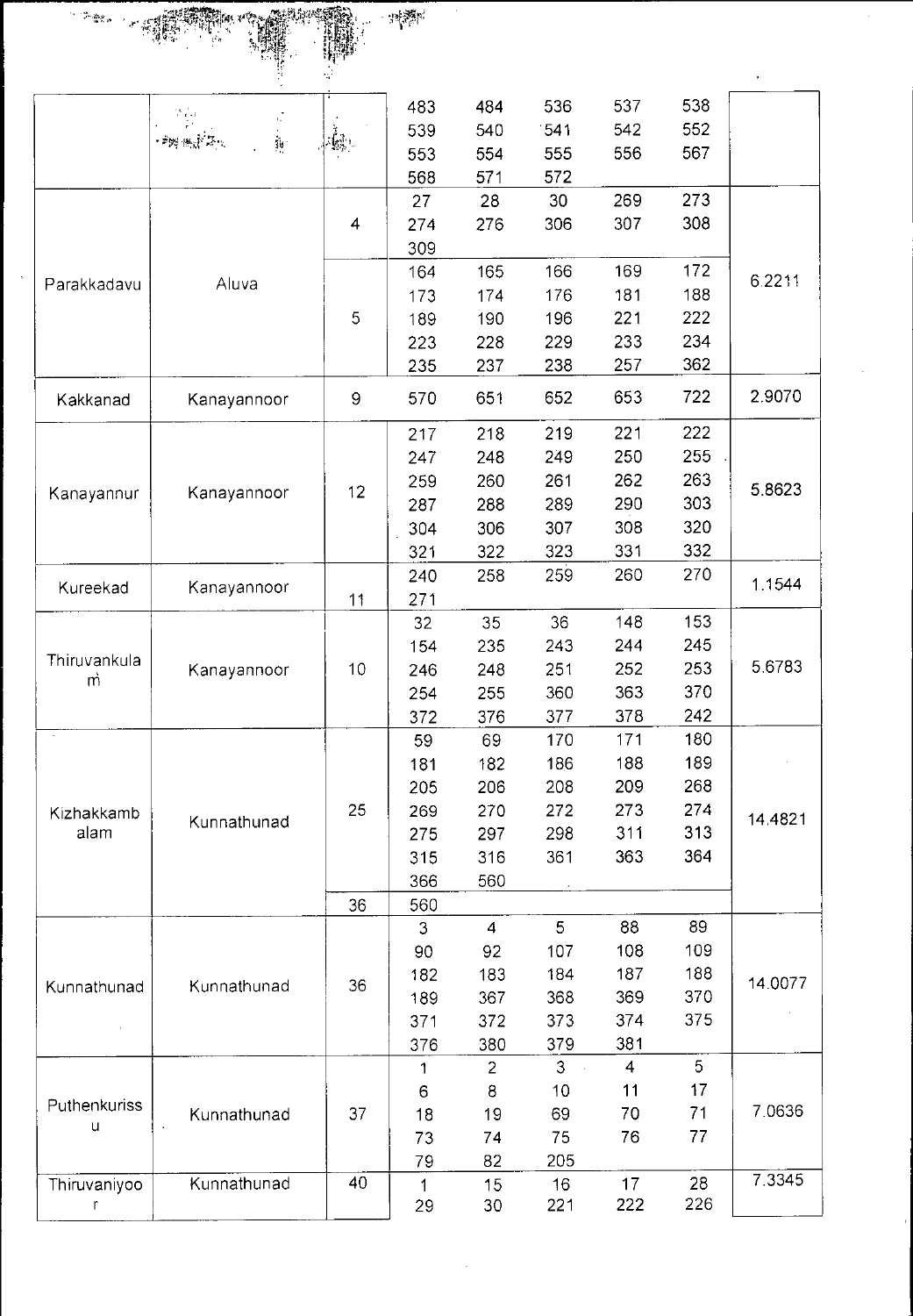

|                   |             |              | 483         | 484            | 536            | 537            | 538 |         |
|-------------------|-------------|--------------|-------------|----------------|----------------|----------------|-----|---------|
|                   | i<br>Pr     |              | 539         | 540            | 541            | 542            | 552 |         |
|                   |             |              | 553         | 554            | 555            | 556            | 567 |         |
|                   |             |              | 568         | 571            | 572            |                |     |         |
|                   |             |              | 27          | 28             | 30             | 269            | 273 |         |
|                   |             | 4            | 274         | 276            | 306            | 307            | 308 |         |
|                   |             |              | 309         |                |                |                |     |         |
|                   |             |              | 164         | 165            | 166            | 169            | 172 | 6.2211  |
| Parakkadavu       | Aluva       |              | 173         | 174            | 176            | 181            | 188 |         |
|                   |             | 5            | 189         | 190            | 196            | 221            | 222 |         |
|                   |             |              | 223         | 228            | 229            | 233            | 234 |         |
|                   |             |              | 235         | 237            | 238            | 257            | 362 |         |
| Kakkanad          | Kanayannoor | $\mathsf{9}$ | 570         | 651            | 652            | 653            | 722 | 2.9070  |
|                   |             |              | 217         | 218            | 219            | 221            | 222 |         |
|                   |             |              | 247         | 248            | 249            | 250            | 255 |         |
|                   |             |              | 259         | 260            | 261            | 262            | 263 |         |
| Kanayannur        | Kanayannoor | 12           | 287         | 288            | 289            | 290            | 303 | 5.8623  |
|                   |             |              | 304         | 306            | 307            | 308            | 320 |         |
|                   |             |              | 321         | 322            | 323            | 331            | 332 |         |
|                   |             |              | 240         | 258            | 259            | 260            | 270 |         |
| Kureekad          | Kanayannoor | 11           | 271         |                |                |                |     | 1.1544  |
|                   |             |              | 32          | 35             | 36             | 148            | 153 |         |
|                   |             |              | 154         | 235            | 243            | 244            | 245 |         |
| Thiruvankula      | Kanayannoor | 10           | 246         | 248            | 251            | 252            | 253 | 5.6783  |
| m                 |             |              | 254         | 255            | 360            | 363            | 370 |         |
|                   |             |              | 372         | 376            | 377            | 378            | 242 |         |
| $\epsilon$        |             |              | 59          | 69             | 170            | 171            | 180 |         |
|                   |             |              | 181         | 182            | 186            | 188            | 189 |         |
|                   |             |              | 205         | 206            | 208            | 209            | 268 |         |
| Kizhakkamb        |             | 25           | 269         | 270            | 272            | 273            | 274 | 14.4821 |
| alam              | Kunnathunad |              | 275         | 297            | 298            | 311            | 313 |         |
|                   |             |              | 315         | 316            | 361            | 363            | 364 |         |
|                   |             |              | 366         | 560            |                |                |     |         |
|                   |             | 36           | 560         |                |                |                |     |         |
|                   |             |              | 3           | $\overline{4}$ | 5              | 88             | 89  |         |
|                   |             |              | 90          | 92             | 107            | 108            | 109 |         |
|                   |             |              | 182         | 183            | 184            | 187            | 188 | 14.0077 |
| Kunnathunad       | Kunnathunad | 36           | 189         | 367            | 368            | 369            | 370 |         |
|                   |             |              | 371         | 372            | 373            | 374            | 375 |         |
|                   |             |              | 376         | 380            | 379            | 381            |     |         |
|                   |             |              | 1           | $\overline{2}$ | 3 <sup>1</sup> | $\overline{4}$ | 5   |         |
|                   |             |              | 6           | 8              | 10             | 11             | 17  |         |
| Puthenkuriss<br>u | Kunnathunad | 37           | 18          | 19             | 69             | 70             | 71  | 7.0636  |
|                   |             |              | 73          | 74             | 75             | 76             | 77  |         |
|                   |             |              | 79          | 82             | 205            |                |     |         |
| Thiruvaniyoo      | Kunnathunad | 40           | $\mathbf 1$ | 15             | 16             | 17             | 28  | 7.3345  |
| r                 |             |              | 29          | 30             | 221            | 222            | 226 |         |

 $\overline{\phantom{a}}$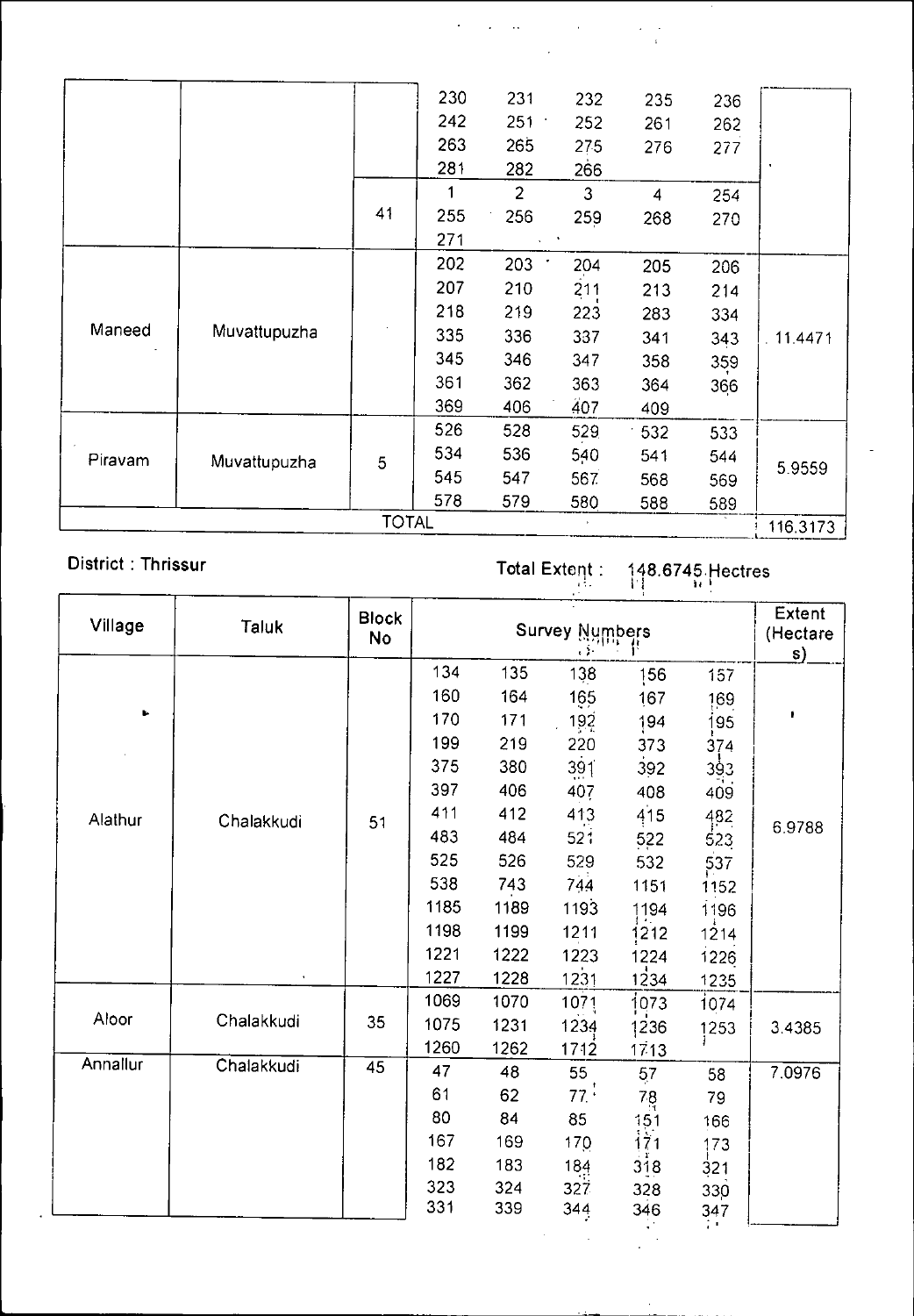|         |              |              | 230 | 231            | 232 | 235 | 236 |          |
|---------|--------------|--------------|-----|----------------|-----|-----|-----|----------|
|         |              |              | 242 | 251            | 252 | 261 | 262 |          |
|         |              |              | 263 | 265            | 275 | 276 | 277 |          |
|         |              |              | 281 | 282            | 266 |     |     | ×        |
|         |              |              | 1   | $\overline{2}$ | 3   | 4   | 254 |          |
|         |              | 41           | 255 | 256            | 259 | 268 | 270 |          |
|         |              |              | 271 |                |     |     |     |          |
|         |              |              | 202 | 203            | 204 | 205 | 206 |          |
|         |              |              | 207 | 210            | 211 | 213 | 214 |          |
|         |              |              | 218 | 219            | 223 | 283 | 334 |          |
| Maneed  | Muvattupuzha |              | 335 | 336            | 337 | 341 | 343 | 11.4471  |
|         |              |              | 345 | 346            | 347 | 358 | 359 |          |
|         |              |              | 361 | 362            | 363 | 364 | 366 |          |
|         |              |              | 369 | 406            | 407 | 409 |     |          |
|         |              |              | 526 | 528            | 529 | 532 | 533 |          |
| Piravam | Muvattupuzha | 5            | 534 | 536            | 540 | 541 | 544 |          |
|         |              |              | 545 | 547            | 567 | 568 | 569 | 5.9559   |
|         |              |              | 578 | 579            | 580 | 588 | 589 |          |
|         |              | <b>TOTAL</b> |     |                |     |     |     | 116.3173 |

# District : Thrissur **in the Context of Total Extent : 148.6745.Hectres**

 $\label{eq:2} \begin{split} \mathcal{L}_{\text{max}}(\mathbf{r},\mathbf{r}) = \mathcal{L}_{\text{max}}(\mathbf{r},\mathbf{r}) \\ \mathcal{L}_{\text{max}}(\mathbf{r},\mathbf{r}) = \mathcal{L}_{\text{max}}(\mathbf{r},\mathbf{r}) \end{split}$ 

 $\langle \hat{a} \rangle$  ,  $\langle \hat{a} \rangle$ 

 $\gamma$ 

| Village  | <b>Taluk</b> | <b>Block</b><br>No |      |      | <b>Survey Numbers</b><br>$\mathbf{r}$ |                   |      | Extent<br>(Hectare<br>$\mathsf{s}$ |
|----------|--------------|--------------------|------|------|---------------------------------------|-------------------|------|------------------------------------|
|          |              |                    | 134  | 135  | 138                                   | 156               | 157  |                                    |
|          |              |                    | 160  | 164  | 165                                   | 167               | 169  |                                    |
| ь        |              |                    | 170  | 171  | 192                                   | 194               | 195  |                                    |
|          |              |                    | 199  | 219  | 220                                   | 373               | 374  |                                    |
|          |              |                    | 375  | 380  | 391                                   | 392               | 393  |                                    |
|          |              |                    | 397  | 406  | 407                                   | 408               | 409  |                                    |
| Alathur  | Chalakkudi   | 51                 | 411  | 412  | 413                                   | 415               | 482  |                                    |
|          |              |                    | 483  | 484  | 521                                   | 522               | 523  | 6.9788                             |
|          |              |                    | 525  | 526  | 529                                   | 532               | 537  |                                    |
|          |              |                    | 538  | 743  | 744                                   | 1151              | 1152 |                                    |
|          |              |                    | 1185 | 1189 | 1193                                  | 1194              | 1196 |                                    |
|          |              |                    | 1198 | 1199 | 1211                                  | 1212              | 1214 |                                    |
|          |              |                    | 1221 | 1222 | 1223                                  | 1224              | 1226 |                                    |
|          |              |                    | 1227 | 1228 | 1231                                  | 1234              | 1235 |                                    |
|          |              |                    | 1069 | 1070 | 1071                                  | 1073              | 1074 |                                    |
| Aloor    | Chalakkudi   | 35                 | 1075 | 1231 | 1234                                  | 1236              | 1253 | 3.4385                             |
|          |              |                    | 1260 | 1262 | 1712                                  | 1713              |      |                                    |
| Annallur | Chalakkudi   | 45                 | 47   | 48   | 55                                    | 57                | 58   | 7.0976                             |
|          |              |                    | 61   | 62   | 77:                                   | $78 \nH$          | 79   |                                    |
|          |              |                    | 80   | 84   | 85                                    |                   | 166  |                                    |
|          |              |                    | 167  | 169  | 170                                   | $\frac{151}{171}$ | 173  |                                    |
|          |              |                    | 182  | 183  | 184                                   | 318               | 321  |                                    |
|          |              |                    | 323  | 324  | 327                                   | 328               | 330  |                                    |
|          |              |                    | 331  | 339  | 344                                   | 346               | 347  |                                    |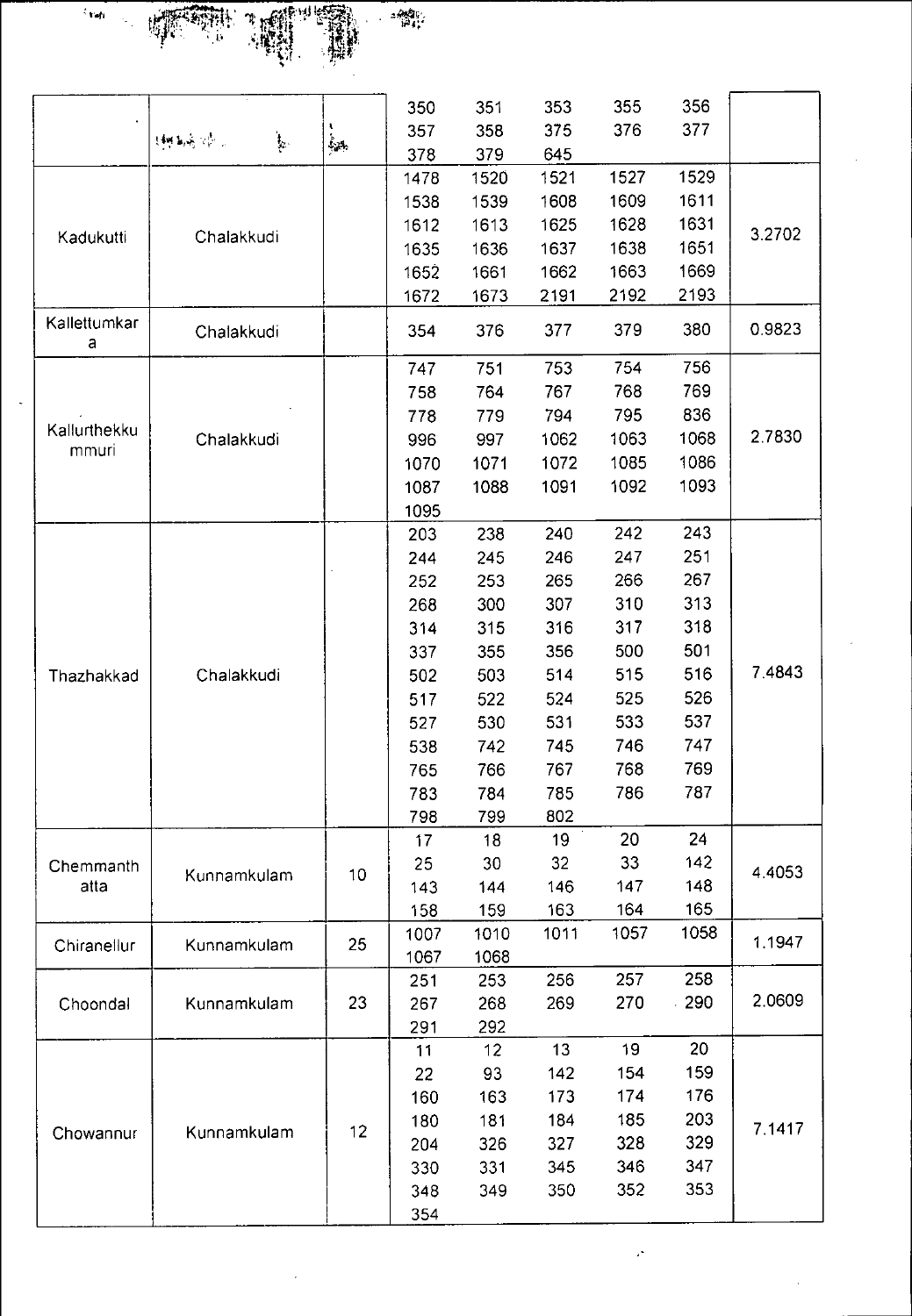

l,

|                       |                                                                                                                    |                  | 350        | 351         | 353  | 355  | 356  |           |
|-----------------------|--------------------------------------------------------------------------------------------------------------------|------------------|------------|-------------|------|------|------|-----------|
|                       | $\frac{1}{2}$ .<br>$\{300, \mathbf{k}_\mathrm{p} \mathbf{w}_\mathrm{p} \}$ , $\mathcal{C}_{\mathrm{p},\mathrm{p}}$ | $\hat{\xi}_{2k}$ | 357        | 358         | 375  | 376  | 377  |           |
|                       |                                                                                                                    |                  | 378        | 379         | 645  |      |      |           |
|                       |                                                                                                                    |                  | 1478       | 1520        | 1521 | 1527 | 1529 |           |
|                       |                                                                                                                    |                  | 1538       | 1539        | 1608 | 1609 | 1611 |           |
| Kadukutti             | Chalakkudi                                                                                                         |                  | 1612       | 1613        | 1625 | 1628 | 1631 | 3.2702    |
|                       |                                                                                                                    |                  | 1635       | 1636        | 1637 | 1638 | 1651 |           |
|                       |                                                                                                                    |                  | 1652       | 1661        | 1662 | 1663 | 1669 |           |
| Kallettumkar          |                                                                                                                    |                  | 1672       | 1673        | 2191 | 2192 | 2193 |           |
| a                     | Chalakkudi                                                                                                         |                  | 354        | 376         | 377  | 379  | 380  | 0.9823    |
|                       |                                                                                                                    |                  | 747        | 751         | 753  | 754  | 756  |           |
|                       |                                                                                                                    |                  | 758        | 764         | 767  | 768  | 769  |           |
|                       |                                                                                                                    |                  | 778        | 779         | 794  | 795  | 836  |           |
| Kallurthekku<br>mmuri | Chalakkudi                                                                                                         |                  | 996        | 997         | 1062 | 1063 | 1068 | 2.7830    |
|                       |                                                                                                                    |                  | 1070       | 1071        | 1072 | 1085 | 1086 |           |
|                       |                                                                                                                    |                  | 1087       | 1088        | 1091 | 1092 | 1093 |           |
|                       |                                                                                                                    |                  | 1095       |             |      |      |      |           |
|                       |                                                                                                                    |                  | 203        | 238         | 240  | 242  | 243  |           |
|                       |                                                                                                                    |                  | 244        | 245         | 246  | 247  | 251  |           |
|                       |                                                                                                                    |                  | 252        | 253         | 265  | 266  | 267  |           |
|                       |                                                                                                                    |                  | 268        | 300         | 307  | 310  | 313  |           |
|                       |                                                                                                                    |                  | 314        | 315         | 316  | 317  | 318  |           |
|                       |                                                                                                                    |                  | 337        | 355         | 356  | 500  | 501  |           |
| Thazhakkad            | Chalakkudi                                                                                                         |                  | 502        | 503         | 514  | 515  | 516  | 7.4843    |
|                       |                                                                                                                    |                  | 517        | 522         | 524  | 525  | 526  |           |
|                       |                                                                                                                    |                  | 527        | 530         | 531  | 533  | 537  |           |
|                       |                                                                                                                    |                  | 538        | 742         | 745  | 746  | 747  |           |
|                       |                                                                                                                    |                  | 765        | 766         | 767  | 768  | 769  |           |
|                       |                                                                                                                    |                  | 783        | 784         | 785  | 786  | 787  |           |
|                       |                                                                                                                    |                  | 798        | 799         | 802  |      |      |           |
|                       |                                                                                                                    |                  | 17         | 18          | 19   | 20   | 24   |           |
| Chemmanth             | Kunnamkulam                                                                                                        | 10 <sub>1</sub>  | 25         | 30          | 32   | 33   | 142  | 4 4 0 5 3 |
| atta                  |                                                                                                                    |                  | 143        | 144         | 146  | 147  | 148  |           |
|                       |                                                                                                                    |                  | 158        | 159         | 163  | 164  | 165  |           |
| Chiranellur           | Kunnamkulam                                                                                                        | 25               | 1007       | 1010        | 1011 | 1057 | 1058 | 1.1947    |
|                       |                                                                                                                    |                  | 1067       | 1068<br>253 | 256  | 257  | 258  |           |
|                       | Kunnamkulam                                                                                                        | 23               | 251<br>267 | 268         | 269  | 270  | 290  | 2.0609    |
| Choondal              |                                                                                                                    |                  |            |             |      |      |      |           |
|                       |                                                                                                                    |                  | 291        | 292<br>12   | 13   | 19   | 20   |           |
|                       |                                                                                                                    |                  | 11         | 93          | 142  | 154  | 159  |           |
|                       |                                                                                                                    |                  | 22<br>160  | 163         | 173  | 174  | 176  |           |
|                       |                                                                                                                    |                  | 180        | 181         | 184  | 185  | 203  |           |
| Chowannur             | Kunnamkulam                                                                                                        | 12               | 204        | 326         | 327  | 328  | 329  | 7.1417    |
|                       |                                                                                                                    |                  |            | 331         | 345  | 346  | 347  |           |
|                       |                                                                                                                    |                  | 330<br>348 | 349         | 350  | 352  | 353  |           |
|                       |                                                                                                                    |                  |            |             |      |      |      |           |
|                       |                                                                                                                    |                  | 354        |             |      |      |      |           |

 $\frac{1}{\sqrt{2}}$ 

 $\ddot{\cdot}$ 

 $\epsilon$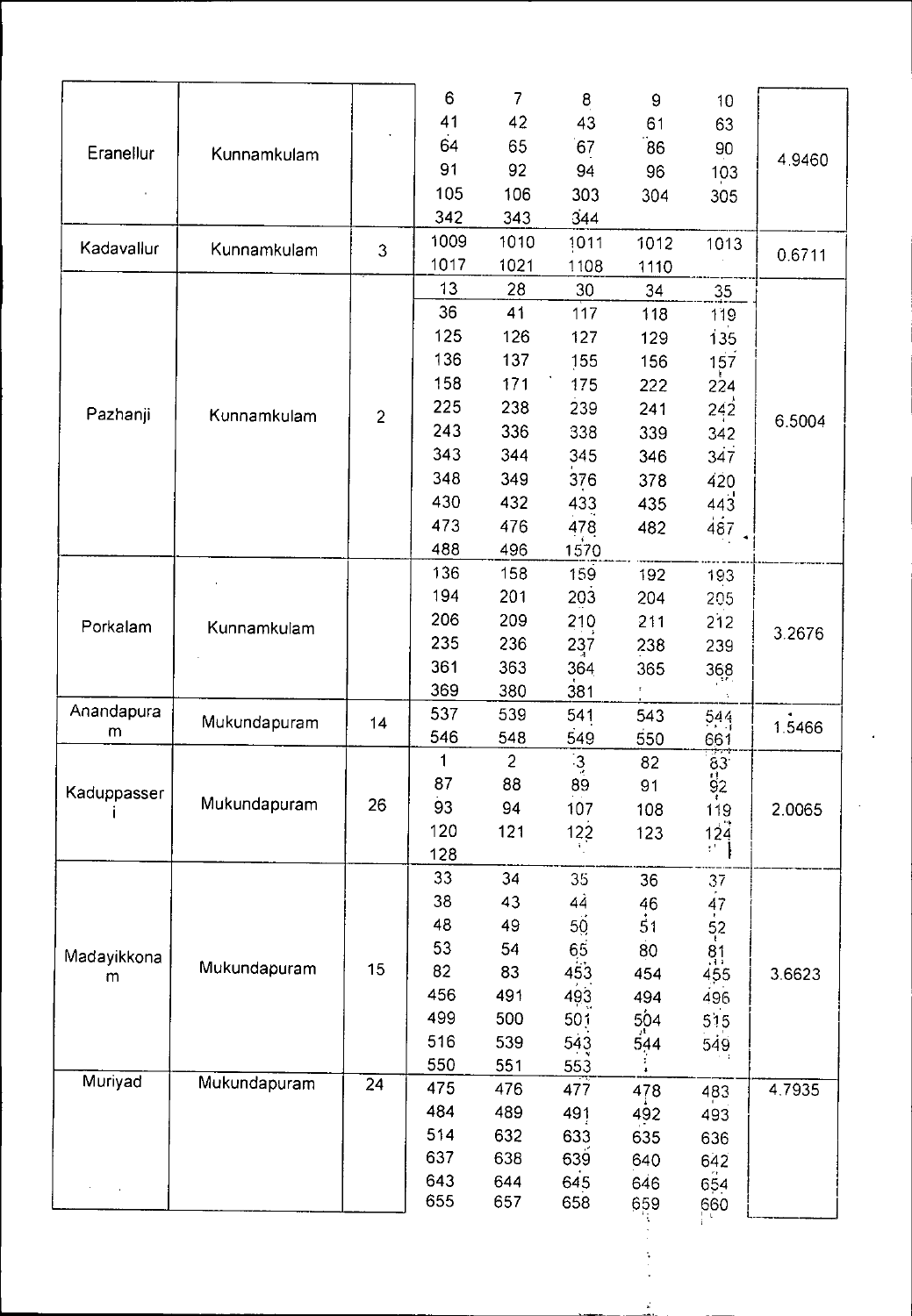|             |                                                                                                                          |                | 6    | $\overline{7}$ | $\bf 8$         | 9               | 10                          |        |
|-------------|--------------------------------------------------------------------------------------------------------------------------|----------------|------|----------------|-----------------|-----------------|-----------------------------|--------|
|             |                                                                                                                          |                | 41   | 42             | 43              | 61              | 63                          |        |
| Eranellur   |                                                                                                                          |                | 64   | 65             | 67              | 86              | 90                          |        |
|             |                                                                                                                          |                | 91   | 92             | 94              | 96              | 103                         | 4.9460 |
|             |                                                                                                                          |                | 105  | 106            | 303             | 304             | 305                         |        |
|             | Kunnamkulam<br>Kunnamkulam<br>Kunnamkulam<br>Kunnamkulam<br>Mukundapuram<br>Mukundapuram<br>Mukundapuram<br>Mukundapuram |                | 342  | 343            | 344             |                 |                             |        |
|             |                                                                                                                          |                | 1009 | 1010           | 1011            | 1012            | 1013                        |        |
| Kadavallur  |                                                                                                                          | $\overline{3}$ | 1017 | 1021           | 1108            | 1110            |                             | 0.6711 |
|             |                                                                                                                          |                | 13   | 28             | 30              | 34              | 35 <sub>2</sub>             |        |
|             |                                                                                                                          |                | 36   | 41             | 117             | 118             | 119                         |        |
|             |                                                                                                                          |                | 125  | 126            | 127             | 129             | 135                         |        |
|             |                                                                                                                          |                | 136  | 137            | 155             | 156             | 157                         |        |
|             |                                                                                                                          |                | 158  | 171            | 175             | 222             |                             |        |
|             |                                                                                                                          |                | 225  | 238            | 239             |                 | 224                         |        |
| Pazhanji    |                                                                                                                          | $\overline{2}$ | 243  | 336            | 338             | 241             | 242                         | 6.5004 |
|             |                                                                                                                          |                | 343  |                |                 | 339             | 342                         |        |
|             |                                                                                                                          |                |      | 344            | 345             | 346             | 347                         |        |
|             |                                                                                                                          |                | 348  | 349            | 376             | 378             | 420                         |        |
|             |                                                                                                                          |                | 430  | 432            | 433             | 435             | 443                         |        |
|             |                                                                                                                          |                | 473  | 476            | 478             | 482             | 487                         |        |
|             |                                                                                                                          |                | 488  | 496            | 1570            |                 |                             |        |
|             |                                                                                                                          |                | 136  | 158            | 159             | 192             | 193                         |        |
|             |                                                                                                                          |                | 194  | 201            | 203             | 204             | 205                         |        |
| Porkalam    |                                                                                                                          |                | 206  | 209            | 210             | 211             | 212                         | 3.2676 |
|             |                                                                                                                          |                | 235  | 236            | 237             | 238             | 239                         |        |
|             |                                                                                                                          |                | 361  | 363            | 364             | 365             | 368                         |        |
|             |                                                                                                                          |                | 369  | 380            | 381             |                 |                             |        |
| Anandapura  |                                                                                                                          | 14             | 537  | 539            | 541             | 543             | 544                         | 1.5466 |
| m           |                                                                                                                          |                | 546  | 548            | 549             | 550             | 661                         |        |
|             |                                                                                                                          |                | 1    | $\overline{2}$ | $\mathbf{3}$    | 82              | $\overline{63}$             |        |
| Kaduppasser |                                                                                                                          |                | 87   | 88             | 89              | 91              | 92                          |        |
|             |                                                                                                                          | 26             | 93   | 94             | 107             | 108             | 119                         | 2.0065 |
|             |                                                                                                                          |                | 120  | 121            | $122$           | 123             | 124                         |        |
|             |                                                                                                                          |                | 128  |                |                 |                 | $\mathcal{O}^{\mathcal{A}}$ |        |
|             |                                                                                                                          |                | 33   | 34             | 35              | 36              | 37                          |        |
|             |                                                                                                                          |                | 38   | 43             | 44              | 46              | 47                          |        |
|             |                                                                                                                          |                | 48   | 49             | 50 <sub>2</sub> | $\overline{5}1$ | $\frac{52}{1}$              |        |
| Madayikkona |                                                                                                                          |                | 53   | 54             | 65              | 80              | $\frac{81}{1}$              |        |
| m           |                                                                                                                          | 15             | 82   | 83             | 453             | 454             | 455                         | 3.6623 |
|             |                                                                                                                          |                | 456  | 491            | 493             | 494             | 496                         |        |
|             |                                                                                                                          |                | 499  | 500            | 501             |                 | 515                         |        |
|             |                                                                                                                          |                | 516  | 539            | 543             | 504<br>544      | 549                         |        |
|             |                                                                                                                          |                | 550  | 551            | 553             |                 |                             |        |
| Muriyad     |                                                                                                                          | 24             | 475  | 476            | 477             | 478             | 483                         | 4.7935 |
|             |                                                                                                                          |                | 484  | 489            | 491             | 492             | 493                         |        |
|             |                                                                                                                          |                | 514  | 632            | 633             | 635             | 636                         |        |
|             |                                                                                                                          |                | 637  | 638            | 639             | 640             | 642                         |        |
|             |                                                                                                                          |                | 643  | 644            | 645             | 646             | 654                         |        |
|             |                                                                                                                          |                | 655  | 657            | 658             | 659             | 660                         |        |
|             |                                                                                                                          |                |      |                |                 |                 |                             |        |

 $\mathbf{r}$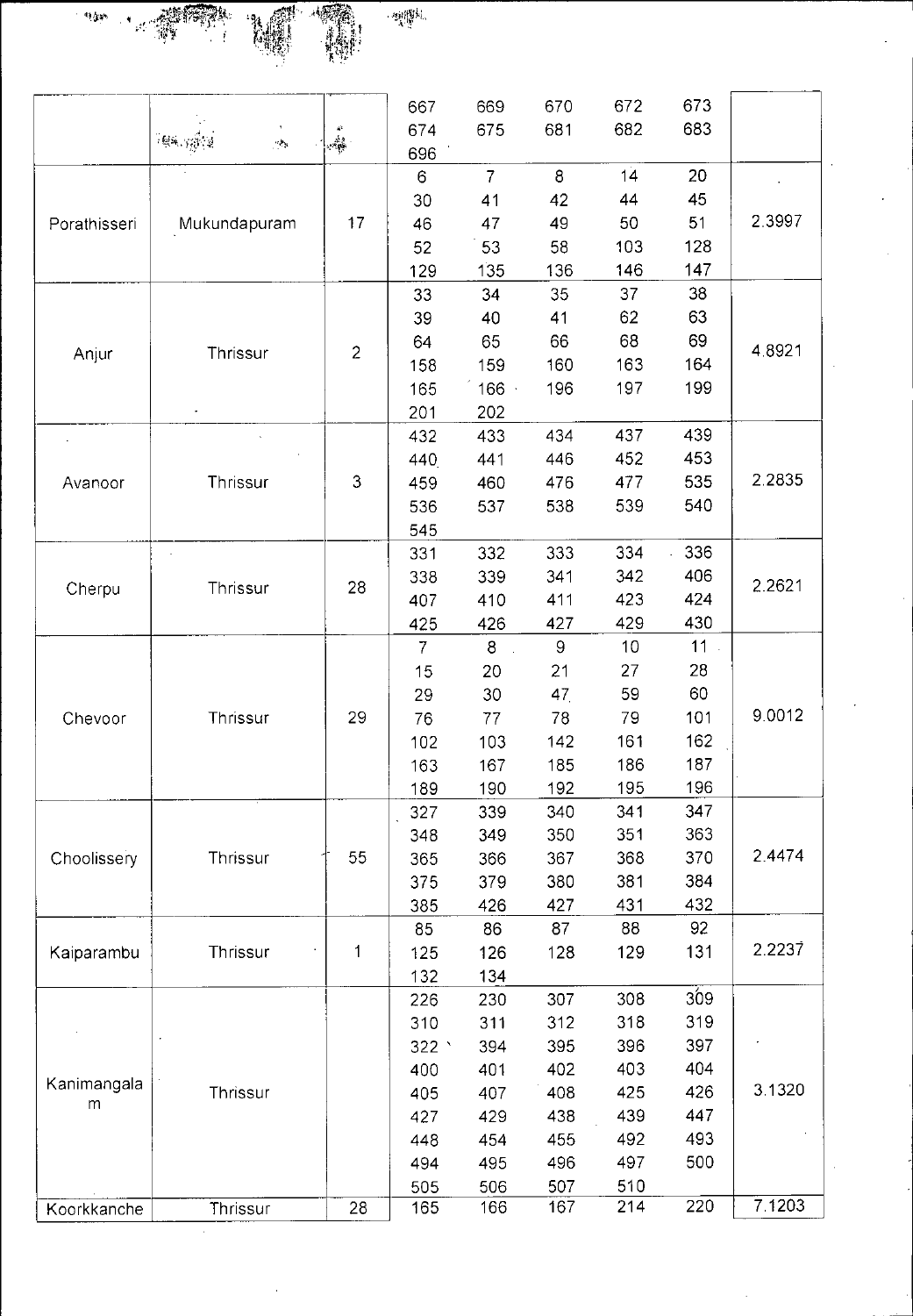

|              |                             | $\alpha$                   | 667<br>674     | 669<br>675     | 670<br>681     | 672<br>682 | 673<br>683 |           |
|--------------|-----------------------------|----------------------------|----------------|----------------|----------------|------------|------------|-----------|
|              | (酸) 计通道<br>$\sigma_{\rm e}$ | $\frac{\lambda}{\sqrt{2}}$ | 696            |                |                |            |            |           |
|              |                             |                            | 6              | $\overline{7}$ | 8              | 14         | 20         |           |
|              |                             |                            | 30             | 41             | 42             | 44         | 45         |           |
| Porathisseri | Mukundapuram                | 17                         | 46             | 47             | 49             | 50         | 51         | 2.3997    |
|              |                             |                            | 52             | 53             | 58             | 103        | 128        |           |
|              |                             |                            | 129            | 135            | 136            | 146        | 147        |           |
|              |                             |                            | 33             | 34             | 35             | 37         | 38         |           |
|              |                             |                            | 39             | 40             | 41             | 62         | 63         |           |
| Anjur        | Thrissur                    | $\overline{2}$             | 64             | 65             | 66             | 68         | 69         | 4 8 9 2 1 |
|              |                             |                            | 158            | 159            | 160            | 163        | 164        |           |
|              |                             |                            | 165            | 166            | 196            | 197        | 199        |           |
|              |                             |                            | 201            | 202            |                |            |            |           |
|              |                             |                            | 432            | 433            | 434            | 437        | 439        |           |
|              |                             |                            | 440            | 441            | 446            | 452        | 453        |           |
| Avanoor      | Thrissur                    | 3                          | 459            | 460            | 476            | 477        | 535        | 2.2835    |
|              |                             |                            | 536            | 537            | 538            | 539        | 540        |           |
|              |                             |                            | 545            |                |                |            |            |           |
|              |                             |                            | 331            | 332            | 333            | 334        | 336        |           |
|              |                             |                            | 338            | 339            | 341            | 342        | 406        | 2.2621    |
| Cherpu       | Thrissur                    | 28                         | 407            | 410            | 411            | 423        | 424        |           |
|              |                             |                            | 425            | 426            | 427            | 429        | 430        |           |
|              |                             |                            | $\overline{7}$ | 8              | $\overline{9}$ | 10         | 11         |           |
|              |                             |                            | 15             | 20             | 21             | 27         | 28         |           |
|              |                             |                            | 29             | 30             | 47             | 59         | 60         |           |
| Chevoor      | Thrissur                    | 29                         | 76             | 77             | 78             | 79         | 101        | 9.0012    |
|              |                             |                            | 102            | 103            | 142            | 161        | 162        |           |
|              |                             |                            | 163            | 167            | 185            | 186        | 187        |           |
|              |                             |                            | 189            | 190            | 192            | 195        | 196        |           |
|              |                             |                            | 327            | 339            | 340            | 341        | 347        |           |
|              |                             |                            | 348            | 349            | 350            | 351        | 363        |           |
| Choolissery  | Thrissur                    | 55                         | 365            | 366            | 367            | 368        | 370        | 2.4474    |
|              |                             |                            | 375            | 379            | 380            | 381        | 384        |           |
|              |                             |                            | 385            | 426            | 427            | 431        | 432        |           |
|              |                             |                            | 85             | 86             | 87             | 88         | 92         |           |
| Kaiparambu   | Thrissur                    | 1                          | 125            | 126            | 128            | 129        | 131        | 2.2237    |
|              |                             |                            | 132            | 134            |                |            |            |           |
|              |                             |                            | 226            | 230            | 307            | 308        | 309        |           |
|              |                             |                            | 310            | 311            | 312            | 318        | 319        |           |
|              |                             |                            | 322            | 394            | 395            | 396        | 397        |           |
|              |                             |                            | 400            | 401            | 402            | 403        | 404        |           |
| Kanimangala  | Thrissur                    |                            | 405            | 407            | 408            | 425        | 426        | 3.1320    |
| m            |                             |                            | 427            | 429            | 438            | 439        | 447        |           |
|              |                             |                            | 448            | 454            | 455            | 492        | 493        |           |
|              |                             |                            | 494            | 495            | 496            | 497        | 500        |           |
|              |                             |                            | 505            | 506            | 507            | 510        |            |           |
| Koorkkanche  | Thrissur                    | 28                         | 165            | 166            | 167            | 214        | 220        | 7.1203    |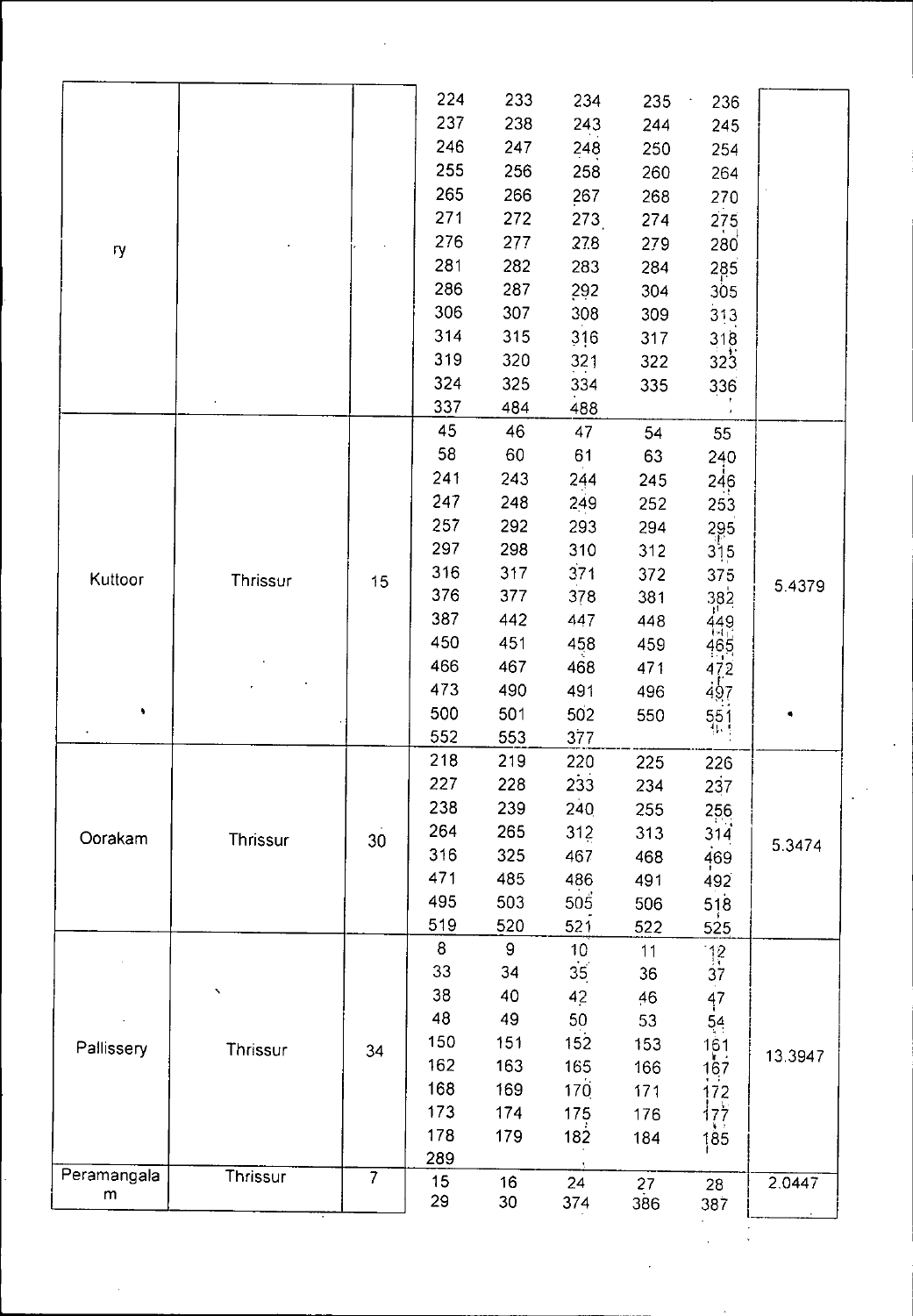|          |                                         | 224            | 233                                                                                                                              | 234                                                                                                                                                                                                                 |                                                                                                                                                                                                                                                              | $\cdot$                                                                                                                                                                                                                                                   |                                                                                                                                                                                                                                                                                 |
|----------|-----------------------------------------|----------------|----------------------------------------------------------------------------------------------------------------------------------|---------------------------------------------------------------------------------------------------------------------------------------------------------------------------------------------------------------------|--------------------------------------------------------------------------------------------------------------------------------------------------------------------------------------------------------------------------------------------------------------|-----------------------------------------------------------------------------------------------------------------------------------------------------------------------------------------------------------------------------------------------------------|---------------------------------------------------------------------------------------------------------------------------------------------------------------------------------------------------------------------------------------------------------------------------------|
|          |                                         |                |                                                                                                                                  |                                                                                                                                                                                                                     | 235                                                                                                                                                                                                                                                          | 236                                                                                                                                                                                                                                                       |                                                                                                                                                                                                                                                                                 |
|          |                                         | 237            | 238                                                                                                                              | 243                                                                                                                                                                                                                 | 244                                                                                                                                                                                                                                                          | 245                                                                                                                                                                                                                                                       |                                                                                                                                                                                                                                                                                 |
|          |                                         | 246            | 247                                                                                                                              | 248                                                                                                                                                                                                                 | 250                                                                                                                                                                                                                                                          | 254                                                                                                                                                                                                                                                       |                                                                                                                                                                                                                                                                                 |
|          |                                         | 255            | 256                                                                                                                              | 258                                                                                                                                                                                                                 | 260                                                                                                                                                                                                                                                          | 264                                                                                                                                                                                                                                                       |                                                                                                                                                                                                                                                                                 |
|          |                                         | 265            | 266                                                                                                                              | 267                                                                                                                                                                                                                 | 268                                                                                                                                                                                                                                                          | 270                                                                                                                                                                                                                                                       |                                                                                                                                                                                                                                                                                 |
|          |                                         | 271            | 272                                                                                                                              | 273                                                                                                                                                                                                                 | 274                                                                                                                                                                                                                                                          |                                                                                                                                                                                                                                                           |                                                                                                                                                                                                                                                                                 |
|          |                                         | 276            | 277                                                                                                                              |                                                                                                                                                                                                                     |                                                                                                                                                                                                                                                              |                                                                                                                                                                                                                                                           |                                                                                                                                                                                                                                                                                 |
|          |                                         | 281            | 282                                                                                                                              |                                                                                                                                                                                                                     |                                                                                                                                                                                                                                                              |                                                                                                                                                                                                                                                           |                                                                                                                                                                                                                                                                                 |
|          |                                         | 286            | 287                                                                                                                              |                                                                                                                                                                                                                     |                                                                                                                                                                                                                                                              |                                                                                                                                                                                                                                                           |                                                                                                                                                                                                                                                                                 |
|          |                                         | 306            | 307                                                                                                                              |                                                                                                                                                                                                                     |                                                                                                                                                                                                                                                              |                                                                                                                                                                                                                                                           |                                                                                                                                                                                                                                                                                 |
|          |                                         | 314            |                                                                                                                                  |                                                                                                                                                                                                                     |                                                                                                                                                                                                                                                              |                                                                                                                                                                                                                                                           |                                                                                                                                                                                                                                                                                 |
|          |                                         | 319            |                                                                                                                                  |                                                                                                                                                                                                                     |                                                                                                                                                                                                                                                              |                                                                                                                                                                                                                                                           |                                                                                                                                                                                                                                                                                 |
|          |                                         | 324            |                                                                                                                                  |                                                                                                                                                                                                                     |                                                                                                                                                                                                                                                              |                                                                                                                                                                                                                                                           |                                                                                                                                                                                                                                                                                 |
|          |                                         | 337            |                                                                                                                                  |                                                                                                                                                                                                                     |                                                                                                                                                                                                                                                              |                                                                                                                                                                                                                                                           |                                                                                                                                                                                                                                                                                 |
|          |                                         | 45             | 46                                                                                                                               | 47                                                                                                                                                                                                                  |                                                                                                                                                                                                                                                              |                                                                                                                                                                                                                                                           |                                                                                                                                                                                                                                                                                 |
|          |                                         | 58             | 60                                                                                                                               | 61                                                                                                                                                                                                                  |                                                                                                                                                                                                                                                              |                                                                                                                                                                                                                                                           |                                                                                                                                                                                                                                                                                 |
|          |                                         | 241            |                                                                                                                                  |                                                                                                                                                                                                                     |                                                                                                                                                                                                                                                              |                                                                                                                                                                                                                                                           |                                                                                                                                                                                                                                                                                 |
|          |                                         |                |                                                                                                                                  |                                                                                                                                                                                                                     |                                                                                                                                                                                                                                                              |                                                                                                                                                                                                                                                           |                                                                                                                                                                                                                                                                                 |
|          |                                         |                |                                                                                                                                  |                                                                                                                                                                                                                     |                                                                                                                                                                                                                                                              |                                                                                                                                                                                                                                                           |                                                                                                                                                                                                                                                                                 |
|          |                                         | 297            |                                                                                                                                  |                                                                                                                                                                                                                     |                                                                                                                                                                                                                                                              |                                                                                                                                                                                                                                                           |                                                                                                                                                                                                                                                                                 |
|          |                                         | 316            |                                                                                                                                  |                                                                                                                                                                                                                     |                                                                                                                                                                                                                                                              |                                                                                                                                                                                                                                                           |                                                                                                                                                                                                                                                                                 |
|          |                                         | 376            |                                                                                                                                  |                                                                                                                                                                                                                     |                                                                                                                                                                                                                                                              |                                                                                                                                                                                                                                                           | 5.4379                                                                                                                                                                                                                                                                          |
|          |                                         | 387            |                                                                                                                                  |                                                                                                                                                                                                                     |                                                                                                                                                                                                                                                              |                                                                                                                                                                                                                                                           |                                                                                                                                                                                                                                                                                 |
|          |                                         | 450            |                                                                                                                                  |                                                                                                                                                                                                                     |                                                                                                                                                                                                                                                              |                                                                                                                                                                                                                                                           |                                                                                                                                                                                                                                                                                 |
|          |                                         |                |                                                                                                                                  |                                                                                                                                                                                                                     |                                                                                                                                                                                                                                                              |                                                                                                                                                                                                                                                           |                                                                                                                                                                                                                                                                                 |
|          |                                         |                |                                                                                                                                  |                                                                                                                                                                                                                     |                                                                                                                                                                                                                                                              |                                                                                                                                                                                                                                                           |                                                                                                                                                                                                                                                                                 |
|          |                                         |                |                                                                                                                                  |                                                                                                                                                                                                                     |                                                                                                                                                                                                                                                              |                                                                                                                                                                                                                                                           |                                                                                                                                                                                                                                                                                 |
|          |                                         |                |                                                                                                                                  |                                                                                                                                                                                                                     |                                                                                                                                                                                                                                                              |                                                                                                                                                                                                                                                           |                                                                                                                                                                                                                                                                                 |
|          |                                         |                |                                                                                                                                  |                                                                                                                                                                                                                     |                                                                                                                                                                                                                                                              |                                                                                                                                                                                                                                                           |                                                                                                                                                                                                                                                                                 |
|          |                                         |                |                                                                                                                                  |                                                                                                                                                                                                                     |                                                                                                                                                                                                                                                              |                                                                                                                                                                                                                                                           |                                                                                                                                                                                                                                                                                 |
|          |                                         |                |                                                                                                                                  |                                                                                                                                                                                                                     |                                                                                                                                                                                                                                                              |                                                                                                                                                                                                                                                           |                                                                                                                                                                                                                                                                                 |
|          |                                         |                |                                                                                                                                  |                                                                                                                                                                                                                     |                                                                                                                                                                                                                                                              |                                                                                                                                                                                                                                                           |                                                                                                                                                                                                                                                                                 |
|          |                                         |                |                                                                                                                                  |                                                                                                                                                                                                                     |                                                                                                                                                                                                                                                              |                                                                                                                                                                                                                                                           | 5.3474                                                                                                                                                                                                                                                                          |
|          |                                         |                |                                                                                                                                  |                                                                                                                                                                                                                     |                                                                                                                                                                                                                                                              |                                                                                                                                                                                                                                                           |                                                                                                                                                                                                                                                                                 |
|          |                                         |                |                                                                                                                                  |                                                                                                                                                                                                                     |                                                                                                                                                                                                                                                              |                                                                                                                                                                                                                                                           |                                                                                                                                                                                                                                                                                 |
|          |                                         |                |                                                                                                                                  |                                                                                                                                                                                                                     |                                                                                                                                                                                                                                                              |                                                                                                                                                                                                                                                           |                                                                                                                                                                                                                                                                                 |
|          |                                         | 8              | $\boldsymbol{9}$                                                                                                                 |                                                                                                                                                                                                                     |                                                                                                                                                                                                                                                              |                                                                                                                                                                                                                                                           |                                                                                                                                                                                                                                                                                 |
|          |                                         | 33             | 34                                                                                                                               |                                                                                                                                                                                                                     |                                                                                                                                                                                                                                                              |                                                                                                                                                                                                                                                           |                                                                                                                                                                                                                                                                                 |
| Ń        |                                         | 38             |                                                                                                                                  |                                                                                                                                                                                                                     |                                                                                                                                                                                                                                                              |                                                                                                                                                                                                                                                           |                                                                                                                                                                                                                                                                                 |
|          |                                         |                |                                                                                                                                  |                                                                                                                                                                                                                     |                                                                                                                                                                                                                                                              |                                                                                                                                                                                                                                                           |                                                                                                                                                                                                                                                                                 |
|          |                                         |                |                                                                                                                                  |                                                                                                                                                                                                                     |                                                                                                                                                                                                                                                              |                                                                                                                                                                                                                                                           |                                                                                                                                                                                                                                                                                 |
|          |                                         | 162            |                                                                                                                                  |                                                                                                                                                                                                                     |                                                                                                                                                                                                                                                              |                                                                                                                                                                                                                                                           | 13.3947                                                                                                                                                                                                                                                                         |
|          |                                         |                |                                                                                                                                  |                                                                                                                                                                                                                     |                                                                                                                                                                                                                                                              |                                                                                                                                                                                                                                                           |                                                                                                                                                                                                                                                                                 |
|          |                                         | 173            |                                                                                                                                  |                                                                                                                                                                                                                     |                                                                                                                                                                                                                                                              |                                                                                                                                                                                                                                                           |                                                                                                                                                                                                                                                                                 |
|          |                                         |                |                                                                                                                                  |                                                                                                                                                                                                                     |                                                                                                                                                                                                                                                              |                                                                                                                                                                                                                                                           |                                                                                                                                                                                                                                                                                 |
|          |                                         |                |                                                                                                                                  |                                                                                                                                                                                                                     |                                                                                                                                                                                                                                                              |                                                                                                                                                                                                                                                           |                                                                                                                                                                                                                                                                                 |
| Thrissur | $\overline{7}$                          | 15             | 16                                                                                                                               | 24                                                                                                                                                                                                                  | 27                                                                                                                                                                                                                                                           | 28                                                                                                                                                                                                                                                        | 2.0447                                                                                                                                                                                                                                                                          |
|          |                                         |                |                                                                                                                                  |                                                                                                                                                                                                                     |                                                                                                                                                                                                                                                              |                                                                                                                                                                                                                                                           |                                                                                                                                                                                                                                                                                 |
|          | Thrissur<br><b>Thrissur</b><br>Thrissur | 15<br>30<br>34 | 247<br>257<br>466<br>473<br>500<br>552<br>218<br>227<br>238<br>264<br>316<br>471<br>495<br>519<br>48<br>150<br>168<br>178<br>289 | 315<br>320<br>325<br>484<br>243<br>248<br>292<br>298<br>317<br>377<br>442<br>451<br>467<br>490<br>501<br>553<br>219<br>228<br>239<br>265<br>325<br>485<br>503<br>520<br>40<br>49<br>151<br>163<br>169<br>174<br>179 | 27.8<br>283<br>292<br>308<br>316<br>321<br>334<br>488<br>244<br>249<br>293<br>310<br>371<br>378<br>447<br>458<br>468<br>491<br>502<br>377<br>220<br>233<br>240<br>312<br>467<br>486<br>505<br>521<br>10<br>35<br>42<br>50<br>152<br>165<br>170<br>175<br>182 | 279<br>284<br>304<br>309<br>317<br>322<br>335<br>54<br>63<br>245<br>252<br>294<br>312<br>372<br>381<br>448<br>459<br>471<br>496<br>550<br>225<br>234<br>255<br>313<br>468<br>491<br>506<br>522<br>11<br>36<br>46<br>53<br>153<br>166<br>171<br>176<br>184 | 275<br>280<br>285<br>305<br>313<br>318<br>323<br>336<br>55<br>240<br>246<br>253<br>295<br>315<br>375<br>382<br>449<br>465<br>472<br>497<br>551<br>226<br>237<br>256<br>314<br>469<br>492<br>518<br>525<br>$\frac{12}{37}$<br>$\frac{47}{54}$<br>161<br>167<br>172<br>177<br>185 |

 $\hat{\mathcal{L}}$ 

 $\mathcal{L}^{\text{max}}_{\text{max}}$  and  $\mathcal{L}^{\text{max}}_{\text{max}}$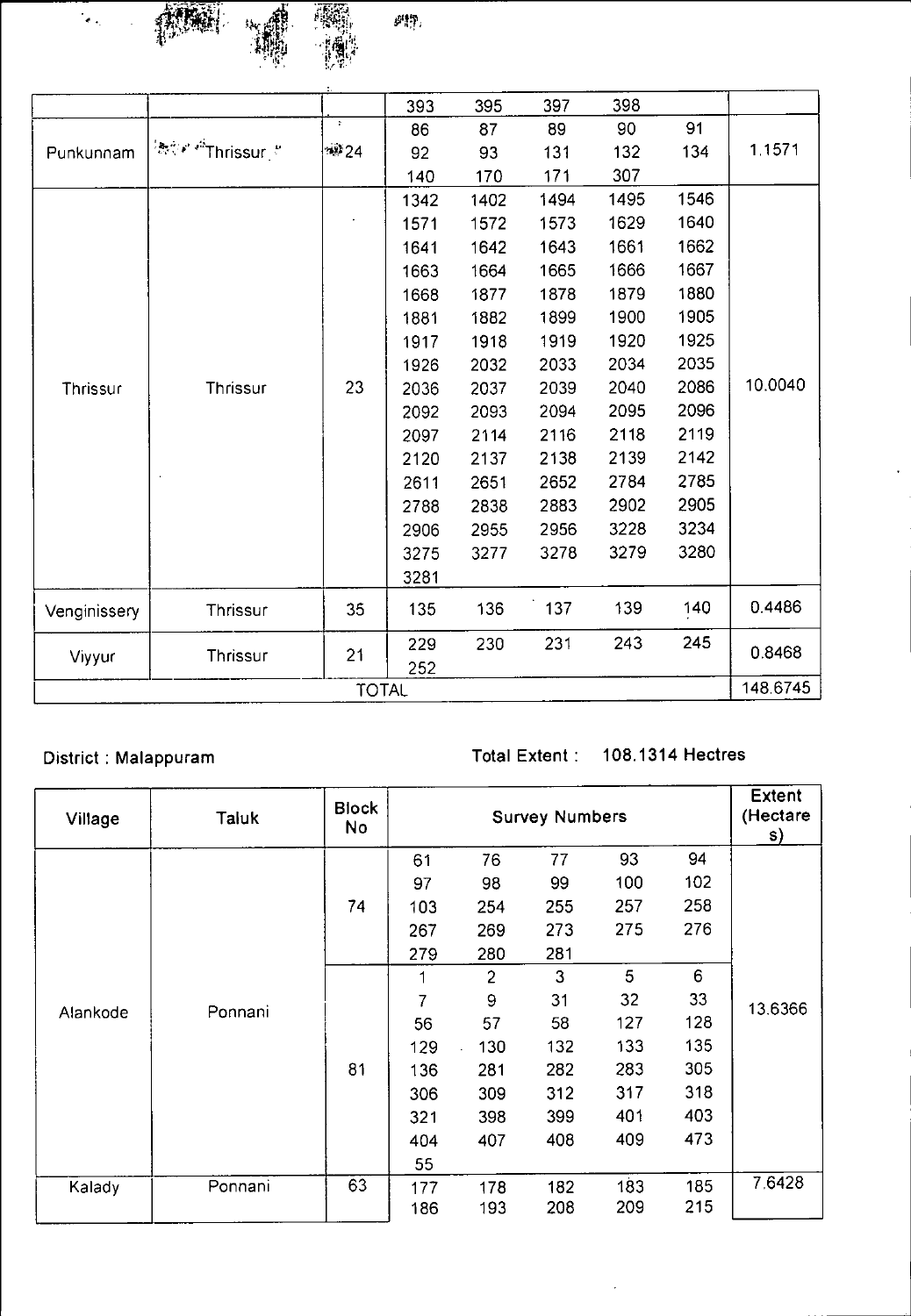

 $\mathcal{G}^{(n)}$  )

|              |                                                                                                                                    |      | 393                                                                                                                                                                                                                                                                                                                                                                                                                                                                                                                                                                                                                                                                                                                                                                           | 395 | 397 | 398 |     |           |  |  |
|--------------|------------------------------------------------------------------------------------------------------------------------------------|------|-------------------------------------------------------------------------------------------------------------------------------------------------------------------------------------------------------------------------------------------------------------------------------------------------------------------------------------------------------------------------------------------------------------------------------------------------------------------------------------------------------------------------------------------------------------------------------------------------------------------------------------------------------------------------------------------------------------------------------------------------------------------------------|-----|-----|-----|-----|-----------|--|--|
|              |                                                                                                                                    | ÷    | 86                                                                                                                                                                                                                                                                                                                                                                                                                                                                                                                                                                                                                                                                                                                                                                            | 87  | 89  | 90  | 91  |           |  |  |
| Punkunnam    | $\left\langle \mathbb{R}^{\mathbb{Z}}_{\mathbb{C}^{N}} \mathbb{A}^{t} \right\rangle^{2k} \text{This} \text{sur} \right\rangle^{k}$ | ·谜24 | 92                                                                                                                                                                                                                                                                                                                                                                                                                                                                                                                                                                                                                                                                                                                                                                            | 93  | 131 | 132 | 134 | 1 1 5 7 1 |  |  |
|              |                                                                                                                                    |      | 307<br>171<br>170<br>140<br>1495<br>1546<br>1402<br>1494<br>1342<br>1629<br>1640<br>1573<br>1571<br>1572<br>1661<br>1662<br>1643<br>1641<br>1642<br>1665<br>1666<br>1667<br>1663<br>1664<br>1880<br>1878<br>1879<br>1877<br>1668<br>1900<br>1905<br>1899<br>1882<br>1881<br>1925<br>1919<br>1920<br>1918<br>1917<br>2035<br>2033<br>2034<br>2032<br>1926<br>2086<br>2040<br>2039<br>2037<br>2036<br>2096<br>2095<br>2094<br>2093<br>2092<br>2119<br>2118<br>2116<br>2097<br>2114<br>2142<br>2138<br>2139<br>2120<br>2137<br>2785<br>2652<br>2784<br>2611<br>2651<br>2905<br>2902<br>2883<br>2788<br>2838<br>3234<br>3228<br>2956<br>2955<br>2906<br>3280<br>3279<br>3278<br>3275<br>3277<br>3281<br>139<br>140<br>137<br>136<br>135<br>245<br>231<br>243<br>230<br>229<br>252 |     |     |     |     |           |  |  |
|              |                                                                                                                                    |      |                                                                                                                                                                                                                                                                                                                                                                                                                                                                                                                                                                                                                                                                                                                                                                               |     |     |     |     |           |  |  |
|              |                                                                                                                                    |      |                                                                                                                                                                                                                                                                                                                                                                                                                                                                                                                                                                                                                                                                                                                                                                               |     |     |     |     |           |  |  |
|              |                                                                                                                                    |      |                                                                                                                                                                                                                                                                                                                                                                                                                                                                                                                                                                                                                                                                                                                                                                               |     |     |     |     |           |  |  |
|              |                                                                                                                                    |      |                                                                                                                                                                                                                                                                                                                                                                                                                                                                                                                                                                                                                                                                                                                                                                               |     |     |     |     |           |  |  |
|              |                                                                                                                                    |      |                                                                                                                                                                                                                                                                                                                                                                                                                                                                                                                                                                                                                                                                                                                                                                               |     |     |     |     |           |  |  |
|              |                                                                                                                                    |      |                                                                                                                                                                                                                                                                                                                                                                                                                                                                                                                                                                                                                                                                                                                                                                               |     |     |     |     |           |  |  |
|              |                                                                                                                                    |      |                                                                                                                                                                                                                                                                                                                                                                                                                                                                                                                                                                                                                                                                                                                                                                               |     |     |     |     |           |  |  |
|              |                                                                                                                                    |      |                                                                                                                                                                                                                                                                                                                                                                                                                                                                                                                                                                                                                                                                                                                                                                               |     |     |     |     |           |  |  |
| Thrissur     | Thrissur                                                                                                                           | 23   |                                                                                                                                                                                                                                                                                                                                                                                                                                                                                                                                                                                                                                                                                                                                                                               |     |     |     |     | 10.0040   |  |  |
|              |                                                                                                                                    |      |                                                                                                                                                                                                                                                                                                                                                                                                                                                                                                                                                                                                                                                                                                                                                                               |     |     |     |     |           |  |  |
|              |                                                                                                                                    |      |                                                                                                                                                                                                                                                                                                                                                                                                                                                                                                                                                                                                                                                                                                                                                                               |     |     |     |     |           |  |  |
|              |                                                                                                                                    |      |                                                                                                                                                                                                                                                                                                                                                                                                                                                                                                                                                                                                                                                                                                                                                                               |     |     |     |     |           |  |  |
|              |                                                                                                                                    |      |                                                                                                                                                                                                                                                                                                                                                                                                                                                                                                                                                                                                                                                                                                                                                                               |     |     |     |     |           |  |  |
|              |                                                                                                                                    |      |                                                                                                                                                                                                                                                                                                                                                                                                                                                                                                                                                                                                                                                                                                                                                                               |     |     |     |     |           |  |  |
|              |                                                                                                                                    |      |                                                                                                                                                                                                                                                                                                                                                                                                                                                                                                                                                                                                                                                                                                                                                                               |     |     |     |     |           |  |  |
|              |                                                                                                                                    |      |                                                                                                                                                                                                                                                                                                                                                                                                                                                                                                                                                                                                                                                                                                                                                                               |     |     |     |     |           |  |  |
|              |                                                                                                                                    |      |                                                                                                                                                                                                                                                                                                                                                                                                                                                                                                                                                                                                                                                                                                                                                                               |     |     |     |     |           |  |  |
| Venginissery | Thrissur                                                                                                                           | 35   |                                                                                                                                                                                                                                                                                                                                                                                                                                                                                                                                                                                                                                                                                                                                                                               |     |     |     |     | 0.4486    |  |  |
| Viyyur       | Thrissur                                                                                                                           | 21   |                                                                                                                                                                                                                                                                                                                                                                                                                                                                                                                                                                                                                                                                                                                                                                               |     |     |     |     | 0.8468    |  |  |
| 148.6745     |                                                                                                                                    |      |                                                                                                                                                                                                                                                                                                                                                                                                                                                                                                                                                                                                                                                                                                                                                                               |     |     |     |     |           |  |  |
| <b>TOTAL</b> |                                                                                                                                    |      |                                                                                                                                                                                                                                                                                                                                                                                                                                                                                                                                                                                                                                                                                                                                                                               |     |     |     |     |           |  |  |

## District : Malappuram Total Extent : 108.1314 Hectres

| Village  | <b>Taluk</b> | <b>Block</b><br>No |     |                | <b>Extent</b><br>(Hectare<br>S) |     |     |         |
|----------|--------------|--------------------|-----|----------------|---------------------------------|-----|-----|---------|
|          |              |                    | 61  | 76             | 77                              | 93  | 94  |         |
|          |              |                    | 97  | 98             | 99                              | 100 | 102 |         |
|          |              | 74                 | 103 | 254            | 255                             | 257 | 258 |         |
|          |              |                    | 267 | 269            | 273                             | 275 | 276 |         |
|          |              |                    | 279 | 280            | 281                             |     |     |         |
|          |              |                    |     | $\overline{2}$ | 3                               | 5   | 6   |         |
|          | Ponnani      |                    | 7   | 9              | 31                              | 32  | 33  | 13.6366 |
| Alankode |              |                    | 56  | 57             | 58                              | 127 | 128 |         |
|          |              |                    | 129 | 130            | 132                             | 133 | 135 |         |
|          |              | 81                 | 136 | 281            | 282                             | 283 | 305 |         |
|          |              |                    | 306 | 309            | 312                             | 317 | 318 |         |
|          |              |                    | 321 | 398            | 399                             | 401 | 403 |         |
|          |              |                    | 404 | 407            | 408                             | 409 | 473 |         |
|          |              |                    | 55  |                |                                 |     |     |         |
| Kalady   | Ponnani      | 63                 | 177 | 178            | 182                             | 183 | 185 | 7.6428  |
|          |              |                    | 186 | 193            | 208                             | 209 | 215 |         |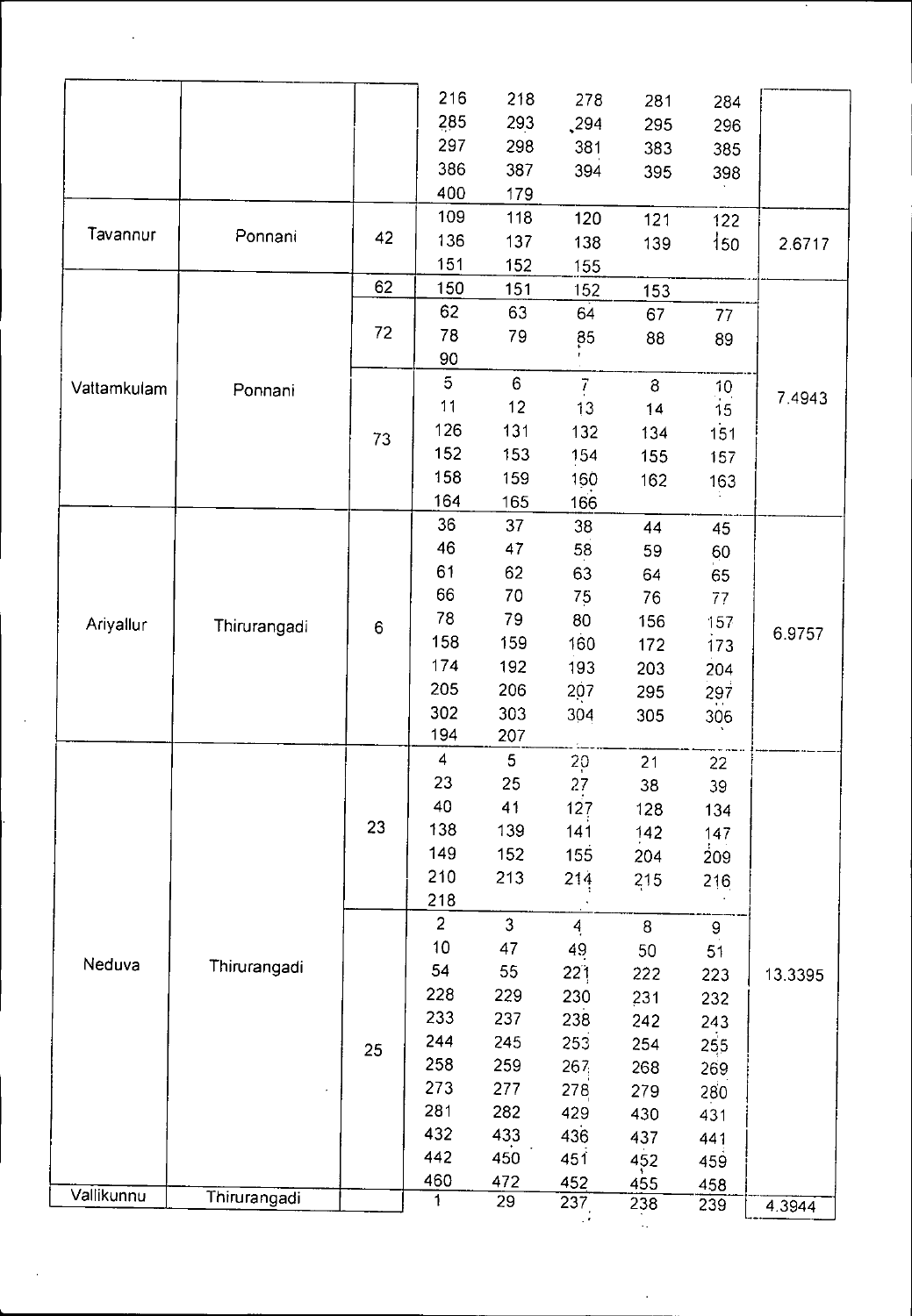|                                      |                                                                                   |                      | 216                     | 218            | 278            | 281          | 284             |         |
|--------------------------------------|-----------------------------------------------------------------------------------|----------------------|-------------------------|----------------|----------------|--------------|-----------------|---------|
|                                      |                                                                                   |                      | 285                     | 293            | 294            | 295          | 296             |         |
|                                      |                                                                                   |                      | 297                     | 298            | 381            | 383          | 385             |         |
|                                      |                                                                                   |                      | 386                     | 387            | 394            | 395          | 398             |         |
|                                      |                                                                                   |                      | 400                     | 179            |                |              |                 |         |
|                                      |                                                                                   |                      | 109                     | 118            | 120            | 121          | 122             |         |
| Tavannur<br>Vattamkulam<br>Ariyallur | Ponnani                                                                           | 42                   | 136                     | 137            | 138            | 139          | 150             | 2.6717  |
|                                      |                                                                                   |                      | 151                     | 152            | 155            |              |                 |         |
|                                      |                                                                                   | 62                   | 150                     | 151            | 152            | 153          |                 |         |
|                                      |                                                                                   |                      | 62                      | 63             | 64             | 67           |                 |         |
|                                      |                                                                                   | 72                   | 78                      | 79             |                |              | 77              |         |
|                                      |                                                                                   |                      | 90                      |                | 85             | 88           | 89              |         |
|                                      |                                                                                   |                      | $\overline{5}$          | $6\phantom{a}$ |                |              |                 |         |
|                                      | Ponnani                                                                           |                      |                         |                | $\overline{I}$ | $\mathbf{g}$ | $\frac{10}{10}$ | 7.4943  |
|                                      |                                                                                   |                      | 11                      | 12             | 13             | 14           | 15              |         |
|                                      |                                                                                   | 73                   | 126                     | 131            | 132            | 134          | 151             |         |
|                                      |                                                                                   |                      | 152                     | 153            | 154            | 155          | 157             |         |
|                                      |                                                                                   |                      | 158                     | 159            | 160            | 162          | 163             |         |
|                                      |                                                                                   |                      | 164                     | 165            | 166            |              |                 |         |
|                                      |                                                                                   |                      | 36                      | 37             | 38             | 44           | 45              |         |
|                                      |                                                                                   |                      | 46                      | 47             | 58             | 59           | 60              |         |
|                                      |                                                                                   | 61<br>62<br>63<br>64 | 65                      |                |                |              |                 |         |
|                                      | 66<br>70<br>75<br>76<br>78<br>79<br>80<br>156<br>Thirurangadi<br>$\boldsymbol{6}$ | 77                   |                         |                |                |              |                 |         |
|                                      |                                                                                   |                      | 157                     | 6.9757         |                |              |                 |         |
|                                      |                                                                                   |                      | 158                     | 159            | 160            | 172          | 173             |         |
|                                      |                                                                                   |                      | 174                     | 192            | 193            | 203          | 204             |         |
|                                      |                                                                                   |                      | 205                     | 206            | 207            | 295          | 297             |         |
|                                      |                                                                                   |                      | 302                     | 303            | 304            | 305          | 306             |         |
|                                      |                                                                                   |                      | 194                     | 207            |                |              |                 |         |
|                                      |                                                                                   |                      | $\overline{\mathbf{4}}$ | 5              | 20             | 21           | 22              |         |
|                                      |                                                                                   |                      | 23                      | 25             | 27             | 38           | 39              |         |
|                                      |                                                                                   |                      | 40                      | 41             | 127            | 128          | 134             |         |
|                                      |                                                                                   | 23                   | 138                     | 139            | 141            | 142          | 147             |         |
|                                      |                                                                                   |                      | 149                     | 152            | 155            | 204          | 209             |         |
|                                      |                                                                                   |                      | 210                     | 213            | 214            | 215          | 216             |         |
|                                      |                                                                                   |                      | 218                     |                |                |              |                 |         |
|                                      |                                                                                   |                      | $\overline{a}$          | $\mathfrak{Z}$ | $\overline{4}$ | 8            | $\mathbf 9$     |         |
|                                      |                                                                                   |                      | 10                      | 47             | 49             | 50           | 51              |         |
| Neduva                               | Thirurangadi                                                                      |                      | 54                      | 55             | 221            | 222          | 223             | 13.3395 |
|                                      |                                                                                   |                      | 228                     | 229            | 230            | 231          | 232             |         |
|                                      |                                                                                   |                      | 233                     | 237            | 238            | 242          | 243             |         |
|                                      |                                                                                   |                      | 244                     | 245            | 253            | 254          | 255             |         |
|                                      |                                                                                   | 25                   | 258                     | 259            | 267            | 268          | 269             |         |
|                                      |                                                                                   |                      | 273                     | 277            | 278            | 279          | 280             |         |
|                                      |                                                                                   |                      | 281                     | 282            | 429            | 430          | 431             |         |
|                                      |                                                                                   |                      | 432                     | 433            | 436            | 437          | 441             |         |
|                                      |                                                                                   |                      | 442                     | 450            | 451            | 452          | 459             |         |
|                                      |                                                                                   |                      | 460                     | 472            | 452            | 455          | 458             |         |
| Vallikunnu                           | Thirurangadi                                                                      |                      | 1                       | 29             | 237            | 238          | 239             | 4.3944  |
|                                      |                                                                                   |                      |                         |                |                |              |                 |         |

 $\frac{1}{2}$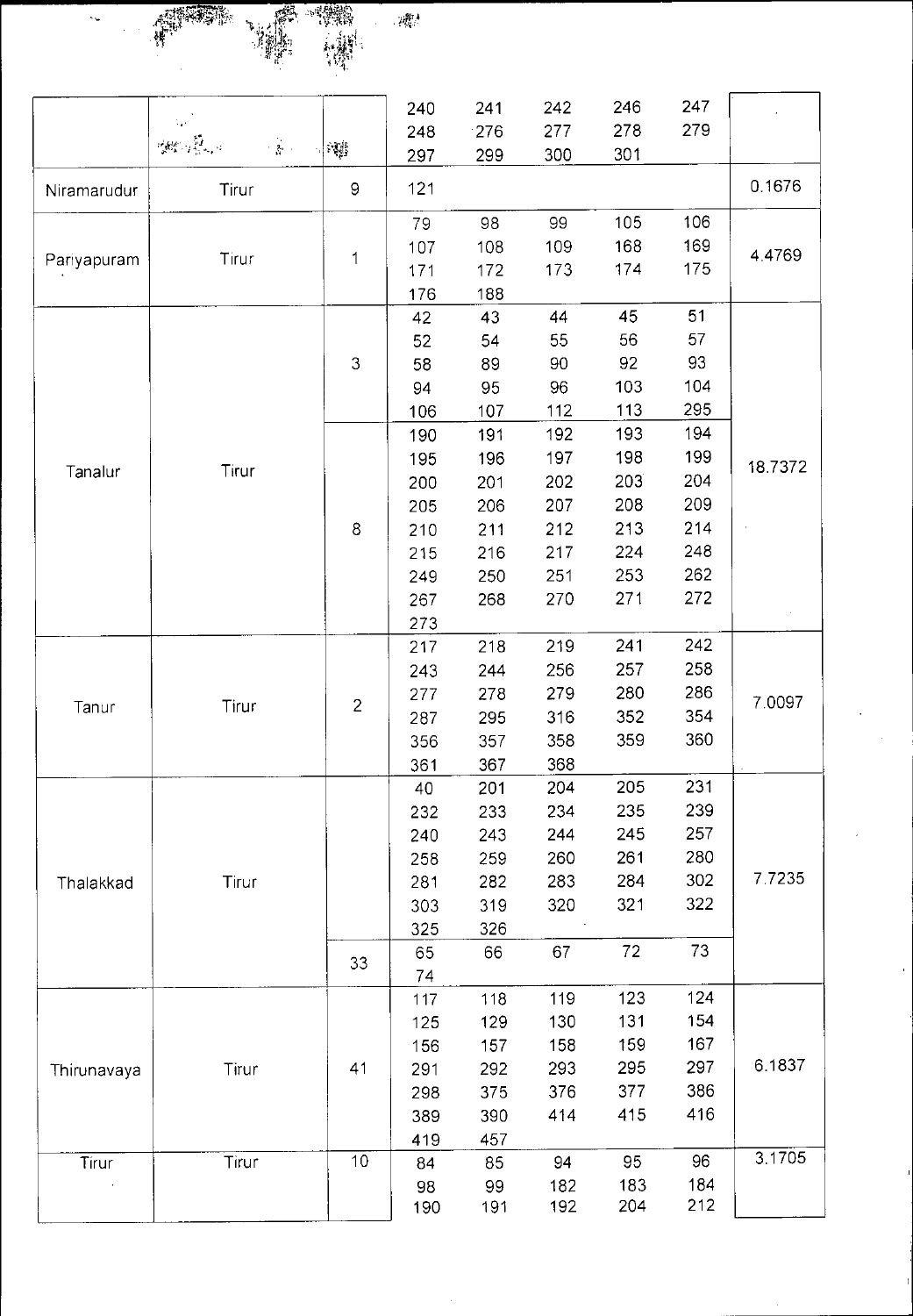**STAP**  $\mathcal{P}^{\text{fit}}_{\text{Q}}$ Ň, Ŧ.

|             |                                                                                                                                                                                                                                                                                                                                                           |                | 240 | 241 | 242 | 246 | 247 |         |
|-------------|-----------------------------------------------------------------------------------------------------------------------------------------------------------------------------------------------------------------------------------------------------------------------------------------------------------------------------------------------------------|----------------|-----|-----|-----|-----|-----|---------|
|             | 爆炸弹<br>$\frac{1}{2} \sum_{i=1}^n \frac{1}{i!} \sum_{j=1}^n \frac{1}{j!} \sum_{j=1}^n \frac{1}{j!} \sum_{j=1}^n \frac{1}{j!} \sum_{j=1}^n \frac{1}{j!} \sum_{j=1}^n \frac{1}{j!} \sum_{j=1}^n \frac{1}{j!} \sum_{j=1}^n \frac{1}{j!} \sum_{j=1}^n \frac{1}{j!} \sum_{j=1}^n \frac{1}{j!} \sum_{j=1}^n \frac{1}{j!} \sum_{j=1}^n \frac{1}{j!} \sum_{j=1}^n$ |                | 248 | 276 | 277 | 278 | 279 |         |
|             |                                                                                                                                                                                                                                                                                                                                                           | 一調             | 297 | 299 | 300 | 301 |     |         |
| Niramarudur | Tirur                                                                                                                                                                                                                                                                                                                                                     | $\mathsf 9$    | 121 |     |     |     |     | 0.1676  |
|             |                                                                                                                                                                                                                                                                                                                                                           |                | 79  | 98  | 99  | 105 | 106 |         |
|             |                                                                                                                                                                                                                                                                                                                                                           |                | 107 | 108 | 109 | 168 | 169 | 4.4769  |
| Pariyapuram | Tirur                                                                                                                                                                                                                                                                                                                                                     | 1              | 171 | 172 | 173 | 174 | 175 |         |
|             |                                                                                                                                                                                                                                                                                                                                                           |                | 176 | 188 |     |     |     |         |
|             |                                                                                                                                                                                                                                                                                                                                                           |                | 42  | 43  | 44  | 45  | 51  |         |
|             |                                                                                                                                                                                                                                                                                                                                                           |                | 52  | 54  | 55  | 56  | 57  |         |
|             |                                                                                                                                                                                                                                                                                                                                                           | $\mathfrak{Z}$ | 58  | 89  | 90  | 92  | 93  |         |
|             |                                                                                                                                                                                                                                                                                                                                                           |                | 94  | 95  | 96  | 103 | 104 |         |
|             |                                                                                                                                                                                                                                                                                                                                                           |                | 106 | 107 | 112 | 113 | 295 |         |
|             |                                                                                                                                                                                                                                                                                                                                                           |                | 190 | 191 | 192 | 193 | 194 |         |
|             | Tirur                                                                                                                                                                                                                                                                                                                                                     |                | 195 | 196 | 197 | 198 | 199 | 18.7372 |
| Tanalur     |                                                                                                                                                                                                                                                                                                                                                           |                | 200 | 201 | 202 | 203 | 204 |         |
|             |                                                                                                                                                                                                                                                                                                                                                           |                | 205 | 206 | 207 | 208 | 209 |         |
|             |                                                                                                                                                                                                                                                                                                                                                           | 8              | 210 | 211 | 212 | 213 | 214 |         |
|             |                                                                                                                                                                                                                                                                                                                                                           |                | 215 | 216 | 217 | 224 | 248 |         |
|             |                                                                                                                                                                                                                                                                                                                                                           |                | 249 | 250 | 251 | 253 | 262 |         |
|             |                                                                                                                                                                                                                                                                                                                                                           |                | 267 | 268 | 270 | 271 | 272 |         |
|             |                                                                                                                                                                                                                                                                                                                                                           |                | 273 |     |     |     |     |         |
|             |                                                                                                                                                                                                                                                                                                                                                           |                | 217 | 218 | 219 | 241 | 242 |         |
|             |                                                                                                                                                                                                                                                                                                                                                           |                | 243 | 244 | 256 | 257 | 258 |         |
|             |                                                                                                                                                                                                                                                                                                                                                           | $\overline{c}$ | 277 | 278 | 279 | 280 | 286 | 7.0097  |
| Tanur       | Tirur                                                                                                                                                                                                                                                                                                                                                     |                | 287 | 295 | 316 | 352 | 354 |         |
|             |                                                                                                                                                                                                                                                                                                                                                           |                | 356 | 357 | 358 | 359 | 360 |         |
|             |                                                                                                                                                                                                                                                                                                                                                           |                | 361 | 367 | 368 |     |     |         |
|             |                                                                                                                                                                                                                                                                                                                                                           |                | 40  | 201 | 204 | 205 | 231 |         |
|             |                                                                                                                                                                                                                                                                                                                                                           |                | 232 | 233 | 234 | 235 | 239 |         |
|             |                                                                                                                                                                                                                                                                                                                                                           |                | 240 | 243 | 244 | 245 | 257 |         |
|             |                                                                                                                                                                                                                                                                                                                                                           |                | 258 | 259 | 260 | 261 | 280 |         |
| Thalakkad   | Tirur                                                                                                                                                                                                                                                                                                                                                     |                | 281 | 282 | 283 | 284 | 302 | 77235   |
|             |                                                                                                                                                                                                                                                                                                                                                           |                | 303 | 319 | 320 | 321 | 322 |         |
|             |                                                                                                                                                                                                                                                                                                                                                           |                | 325 | 326 |     |     |     |         |
|             |                                                                                                                                                                                                                                                                                                                                                           | 33             | 65  | 66  | 67  | 72  | 73  |         |
|             |                                                                                                                                                                                                                                                                                                                                                           |                | 74  |     |     |     |     |         |
|             |                                                                                                                                                                                                                                                                                                                                                           |                | 117 | 118 | 119 | 123 | 124 |         |
|             |                                                                                                                                                                                                                                                                                                                                                           |                | 125 | 129 | 130 | 131 | 154 |         |
|             |                                                                                                                                                                                                                                                                                                                                                           |                | 156 | 157 | 158 | 159 | 167 |         |
| Thirunavaya | Tirur                                                                                                                                                                                                                                                                                                                                                     | 41             | 291 | 292 | 293 | 295 | 297 | 6.1837  |
|             |                                                                                                                                                                                                                                                                                                                                                           |                | 298 | 375 | 376 | 377 | 386 |         |
|             |                                                                                                                                                                                                                                                                                                                                                           |                | 389 | 390 | 414 | 415 | 416 |         |
|             |                                                                                                                                                                                                                                                                                                                                                           |                | 419 | 457 |     |     |     |         |
| Tirur       | Tirur                                                                                                                                                                                                                                                                                                                                                     | 10             | 84  | 85  | 94  | 95  | 96  | 3.1705  |
|             |                                                                                                                                                                                                                                                                                                                                                           |                | 98  | 99  | 182 | 183 | 184 |         |
|             |                                                                                                                                                                                                                                                                                                                                                           |                | 190 | 191 | 192 | 204 | 212 |         |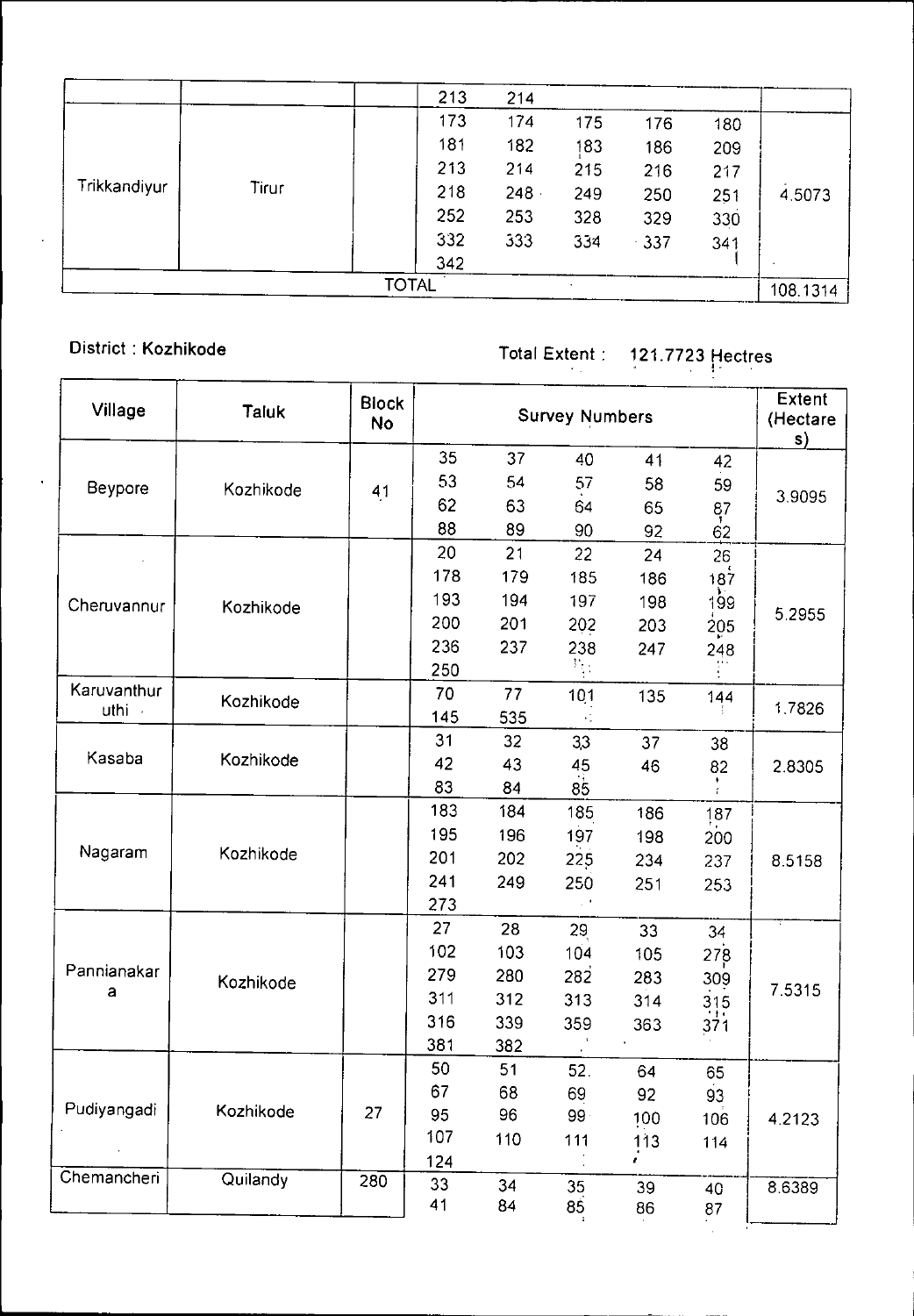|                       | 213          | 214     |     |        |     |          |
|-----------------------|--------------|---------|-----|--------|-----|----------|
|                       | 173          | 174     | 175 | 176    | 180 |          |
|                       | 181          | 182     | 183 | 186    | 209 |          |
| Trikkandiyur<br>Tirur | 213          | 214     | 215 | 216    | 217 |          |
|                       | 218          | $248 -$ | 249 | 250    | 251 | 4.5073   |
|                       | 252          | 253     | 328 | 329    | 330 |          |
|                       | 332          | 333     | 334 | $-337$ | 341 |          |
|                       | 342          |         |     |        |     |          |
|                       | <b>TOTAL</b> |         | ٠   |        |     | 108.1314 |

 $\mathcal{L}$ 

District : Kozhikode Total Extent : 121.7723 Hectres

| Village     | <b>Taluk</b> | <b>Block</b><br><b>No</b> |     |     |                                                                                                                                                                                                                   |                                                                                                              |                   | <b>Extent</b><br>(Hectare<br>s) |  |  |
|-------------|--------------|---------------------------|-----|-----|-------------------------------------------------------------------------------------------------------------------------------------------------------------------------------------------------------------------|--------------------------------------------------------------------------------------------------------------|-------------------|---------------------------------|--|--|
|             |              |                           | 35  | 37  | 40                                                                                                                                                                                                                | 41                                                                                                           | 42                |                                 |  |  |
| Beypore     | Kozhikode    | 41                        | 53  | 54  | 57                                                                                                                                                                                                                | 58<br>65<br>92<br>24<br>186<br>198<br>203<br>247<br>135<br>37<br>46<br>186<br>198<br>234<br>251<br>33<br>105 | 59                |                                 |  |  |
|             |              |                           | 62  | 63  | 64                                                                                                                                                                                                                |                                                                                                              |                   | 3.9095                          |  |  |
|             |              |                           | 88  | 89  | 90                                                                                                                                                                                                                |                                                                                                              | $\frac{87}{62}$   |                                 |  |  |
|             |              |                           | 20  | 21  | 22                                                                                                                                                                                                                |                                                                                                              | 26                |                                 |  |  |
|             |              |                           | 178 | 179 | <b>Survey Numbers</b><br>185<br>197<br>202<br>238<br>$\frac{1}{2}$<br>101<br>33<br>45<br>85<br>185<br>197<br>225<br>250<br>$\sim$ $^{\prime}$<br>29<br>104<br>282<br>283<br>313<br>314<br>359<br>363<br>52.<br>64 | 187                                                                                                          |                   |                                 |  |  |
| Cheruvannur | Kozhikode    |                           | 193 | 194 |                                                                                                                                                                                                                   |                                                                                                              | 199               |                                 |  |  |
|             |              |                           | 200 | 201 |                                                                                                                                                                                                                   |                                                                                                              | 205               | 5.2955                          |  |  |
|             |              |                           | 236 | 237 |                                                                                                                                                                                                                   |                                                                                                              | 248               |                                 |  |  |
|             |              |                           | 250 |     |                                                                                                                                                                                                                   |                                                                                                              |                   |                                 |  |  |
| Karuvanthur | Kozhikode    |                           | 70  | 77  |                                                                                                                                                                                                                   |                                                                                                              | 144               |                                 |  |  |
| uthi -      |              |                           | 145 | 535 |                                                                                                                                                                                                                   |                                                                                                              |                   | 1.7826                          |  |  |
|             |              |                           | 31  | 32  |                                                                                                                                                                                                                   |                                                                                                              | 38                |                                 |  |  |
| Kasaba      | Kozhikode    |                           | 42  | 43  |                                                                                                                                                                                                                   |                                                                                                              | 82                | 2.8305                          |  |  |
|             |              |                           | 83  | 84  |                                                                                                                                                                                                                   |                                                                                                              |                   |                                 |  |  |
|             |              |                           | 183 | 184 |                                                                                                                                                                                                                   |                                                                                                              | 187               |                                 |  |  |
|             |              |                           | 195 | 196 |                                                                                                                                                                                                                   |                                                                                                              | 200               |                                 |  |  |
| Nagaram     | Kozhikode    |                           | 201 | 202 |                                                                                                                                                                                                                   |                                                                                                              | 237               | 8.5158                          |  |  |
|             |              |                           | 241 | 249 |                                                                                                                                                                                                                   |                                                                                                              | 253               |                                 |  |  |
|             |              |                           | 273 |     |                                                                                                                                                                                                                   |                                                                                                              |                   |                                 |  |  |
|             |              |                           | 27  | 28  |                                                                                                                                                                                                                   |                                                                                                              | 34                |                                 |  |  |
|             |              |                           | 102 | 103 |                                                                                                                                                                                                                   |                                                                                                              | 278               |                                 |  |  |
| Pannianakar | Kozhikode    |                           | 279 | 280 |                                                                                                                                                                                                                   |                                                                                                              | 309               |                                 |  |  |
| a           |              |                           | 311 | 312 |                                                                                                                                                                                                                   |                                                                                                              |                   | 7.5315                          |  |  |
|             |              |                           | 316 | 339 |                                                                                                                                                                                                                   |                                                                                                              | $\frac{315}{371}$ |                                 |  |  |
|             |              |                           | 381 | 382 |                                                                                                                                                                                                                   |                                                                                                              |                   |                                 |  |  |
|             |              |                           | 50  | 51  |                                                                                                                                                                                                                   |                                                                                                              | 65                |                                 |  |  |
|             |              |                           | 67  | 68  | 69                                                                                                                                                                                                                | 92                                                                                                           | 93                |                                 |  |  |
| Pudiyangadi | Kozhikode    | 27                        | 95  | 96  | $99 -$                                                                                                                                                                                                            | 100                                                                                                          | 106               | 4.2123                          |  |  |
|             |              |                           | 107 | 110 | 111                                                                                                                                                                                                               | 113                                                                                                          | 114               |                                 |  |  |
|             |              |                           | 124 |     |                                                                                                                                                                                                                   |                                                                                                              |                   |                                 |  |  |
| Chemancheri | Quilandy     | 280                       | 33  | 34  | 35                                                                                                                                                                                                                | 39                                                                                                           | 40                | 8.6389                          |  |  |
|             |              |                           | 41  | 84  | 85                                                                                                                                                                                                                | 86                                                                                                           | 87                |                                 |  |  |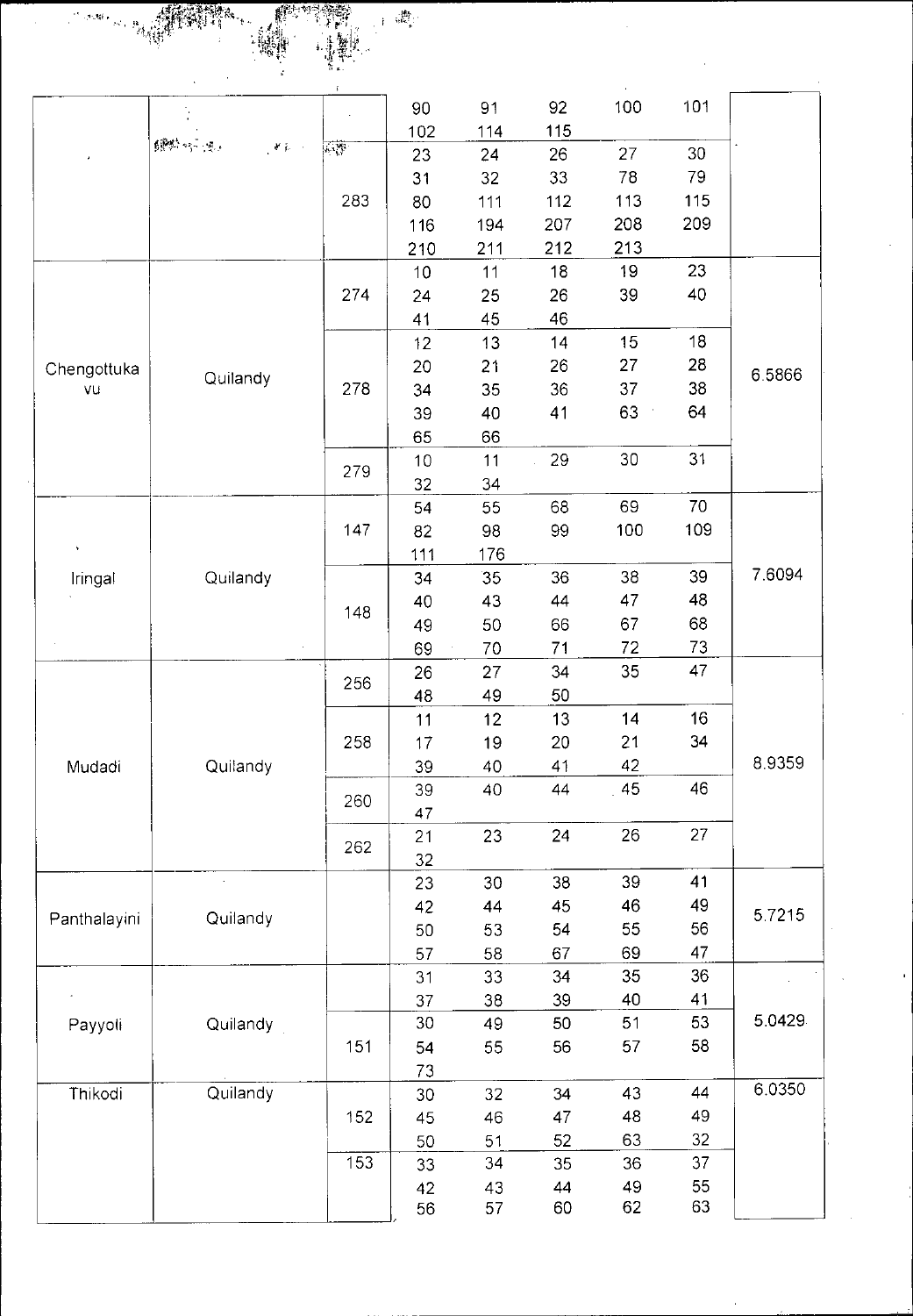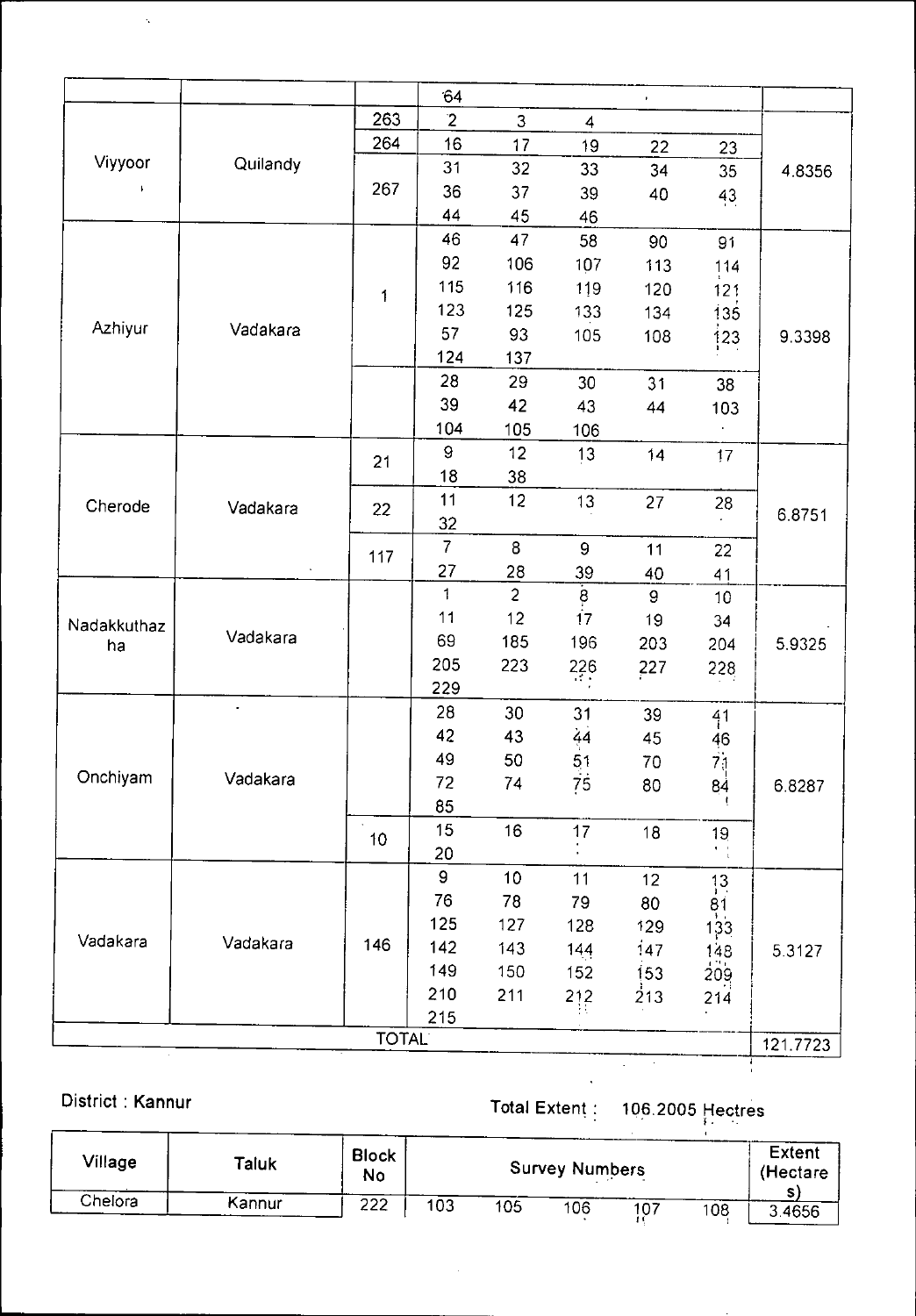|             |          |              | 64             |                   |                         | $\bar{\mathbf{r}}$ |                 |          |
|-------------|----------|--------------|----------------|-------------------|-------------------------|--------------------|-----------------|----------|
|             |          | 263          | $\mathbf{2}$   | 3                 | $\overline{\mathbf{4}}$ |                    |                 |          |
|             |          | 264          | 16             | 17                | 19                      | 22                 | 23              |          |
| Viyyoor     | Quilandy |              | 31             | 32                | 33                      | 34                 | 35              | 4.8356   |
|             |          | 267          | 36             | 37                | 39                      | 40                 | 43              |          |
|             |          |              | 44             | 45                | 46                      |                    |                 |          |
|             |          |              | 46             | 47                | 58                      | 90                 | 91              |          |
|             |          |              | 92             | 106               | 107                     | 113                | 114             |          |
|             |          | 1            | 115            | 116               | 119                     | 120                | 121             |          |
|             |          |              | 123            | 125<br>133<br>134 | 135                     |                    |                 |          |
| Azhiyur     | Vadakara |              | 57             | 93                | 105                     | 108                | 123             | 9.3398   |
|             |          |              | 124            | 137               |                         |                    |                 |          |
|             |          |              | 28             | 29                | 30                      | 31                 | 38              |          |
|             |          |              | 39             | 42                | 43                      | 44                 | 103             |          |
|             |          |              | 104            | 105               | 106                     |                    |                 |          |
|             |          | 21           | $\mathbf{9}$   | 12                | 13                      | 14                 | 17              |          |
|             |          |              | 18             | 38                |                         |                    |                 |          |
| Cherode     | Vadakara | 22           | 11             | 12                | 13                      | 27                 | 28              |          |
|             |          |              | 32             |                   |                         |                    |                 | 6.8751   |
|             |          | 117          | $\overline{7}$ | 8                 | $\boldsymbol{9}$        | 11                 | 22              |          |
|             |          |              | 27             | 28                | 39                      | 40                 | 41              |          |
|             |          |              | 1              | $\overline{c}$    | $\frac{8}{17}$          | $\mathbf 9$        | 10              |          |
| Nadakkuthaz |          |              | 11             | 12                |                         | 19                 | 34              |          |
| ha          | Vadakara |              | 69             | 185               | 196                     | 203                | 204             | 5.9325   |
|             |          |              | 205            | 223               | 226                     | 227                | 228             |          |
|             |          |              | 229            |                   |                         |                    |                 |          |
|             |          |              | 28             | 30                | 31                      | 39                 | 41              |          |
|             |          |              | 42             | 43                | 44                      | 45                 |                 |          |
|             |          |              | 49             | 50                | 51                      | 70                 | $\frac{46}{71}$ |          |
| Onchiyam    | Vadakara |              | 72             | 74                | 75                      | 80                 | 84              | 6.8287   |
|             |          |              | 85             |                   |                         |                    |                 |          |
|             |          | 10           | 15             | 16                | 17                      | 18                 | 19 <sub>1</sub> |          |
|             |          |              | 20             |                   |                         |                    | $\frac{1}{1}$   |          |
|             |          |              | $\mathsf g$    | 10                | $11$                    | 12                 | $\frac{13}{1}$  |          |
|             |          |              | 76             | 78                | 79                      | 80                 | 81              |          |
|             |          |              | 125            | 127               | 128                     | 129                | 133             |          |
| Vadakara    | Vadakara | 146          | 142            | 143               | 144                     | 147                | 148             | 5.3127   |
|             |          |              | 149            | 150               | 152                     | 153                | 209             |          |
|             |          |              | 210            | 211               | 212                     | 213                | 214             |          |
|             |          |              | 215            |                   |                         |                    |                 |          |
|             |          | <b>TOTAL</b> |                |                   |                         |                    |                 | 121.7723 |
|             |          |              |                |                   |                         |                    |                 |          |

 $\hat{\gamma}$ 

 $\Delta \phi$ 

| District: Kannur |        |                           |     |     |                       | 106.2005 Hectres |     |                    |
|------------------|--------|---------------------------|-----|-----|-----------------------|------------------|-----|--------------------|
| Village          | Taluk  | <b>Block</b><br><b>No</b> |     |     | <b>Survey Numbers</b> |                  |     | Extent<br>(Hectare |
| Chelora          | Kannur | 222                       | 103 | 105 | 106                   | 107              | 108 | 34656              |

 $\bar{z}$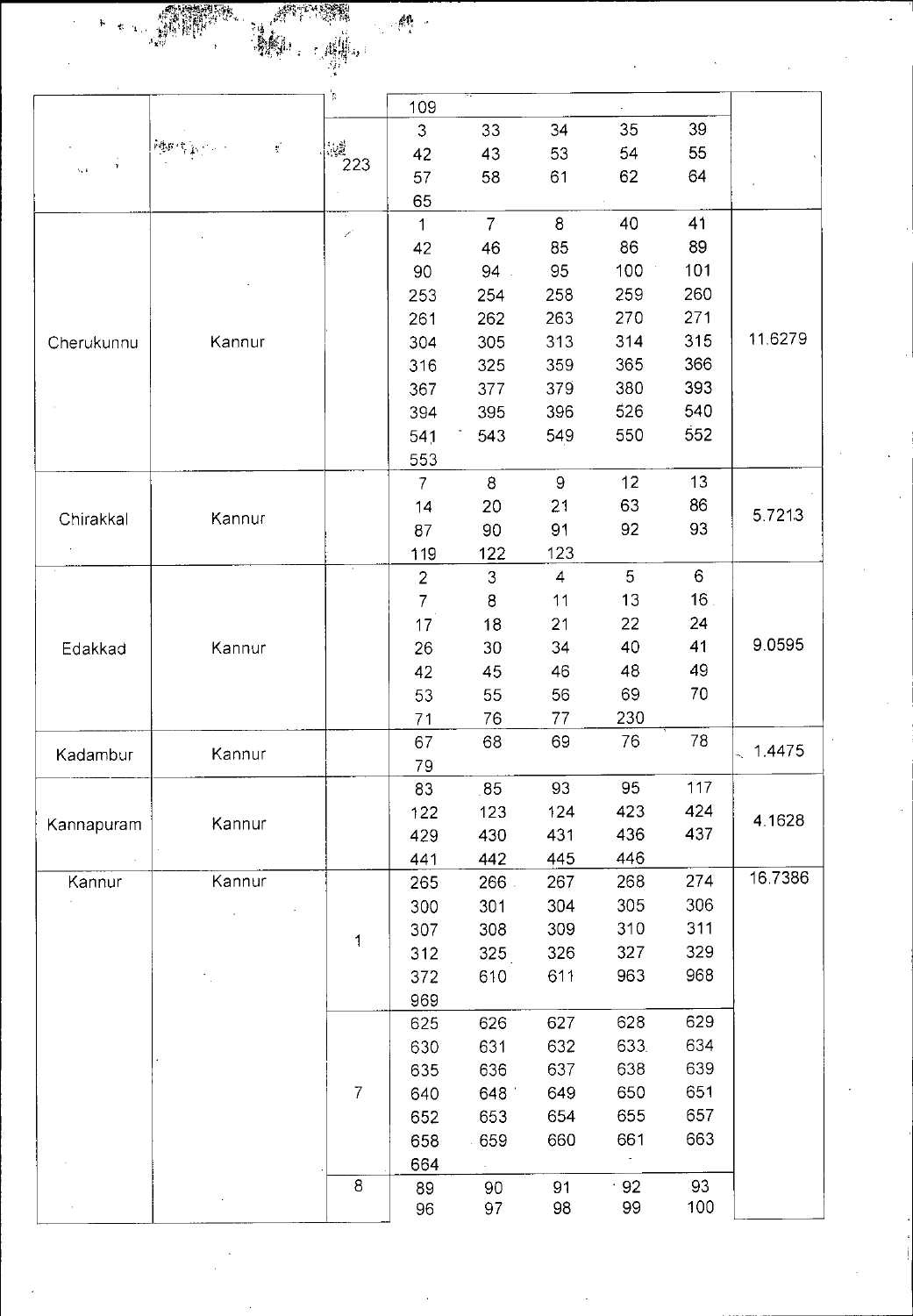2 j je poznatelje poznatelje poznatelje poznatelje poznatelje poznatelje poznatelje poznatelje poznatelje poznatel<br>Definicije poznatelje poznatelje poznatelje poznatelje poznatelje poznatelje poznatelje poznatelje poznatelje  $\mathbb{R}^n$  .

|                  |                                                     |                | 109            |                |                |       |                 |         |
|------------------|-----------------------------------------------------|----------------|----------------|----------------|----------------|-------|-----------------|---------|
|                  |                                                     |                | 3              | 33             | 34             | 35    | 39              |         |
|                  | $\mathbb{P} P(\mathcal{B}) \subset \mathbb{R}$<br>ť | ψğ<br>223      | 42             | 43             | 53             | 54    | 55              |         |
| $\mathbf{b}_i$ . |                                                     |                | 57             | 58             | 61             | 62    | 64              |         |
|                  |                                                     |                | 65             |                |                |       |                 |         |
|                  |                                                     | 7              | $\mathbf 1$    | $\overline{7}$ | 8              | 40    | 41              |         |
|                  |                                                     |                | 42             | 46             | 85             | 86    | 89              |         |
|                  |                                                     |                | 90             | 94.            | 95             | 100   | 101             |         |
|                  |                                                     |                | 253            | 254            | 258            | 259   | 260             |         |
|                  |                                                     |                | 261            | 262            | 263            | 270   | 271             |         |
| Cherukunnu       | Kannur                                              |                | 304            | 305            | 313            | 314   | 315             | 11.6279 |
|                  |                                                     |                | 316            | 325            | 359            | 365   | 366             |         |
|                  |                                                     |                | 367            | 377            | 379            | 380   | 393             |         |
|                  |                                                     |                | 394            | 395            | 396            | 526   | 540             |         |
|                  |                                                     |                | 541            | 543            | 549            | 550   | 552             |         |
|                  |                                                     |                | 553            |                |                |       |                 |         |
|                  |                                                     |                | $\overline{7}$ | $\bf 8$        | $9\,$          | 12    | 13              |         |
| Chirakkal        | Kannur                                              |                | 14             | 20             | 21             | 63    | 86              | 57213   |
|                  |                                                     |                | 87             | 90             | 91             | 92    | 93              |         |
|                  |                                                     |                | 119            | 122            | 123            |       |                 |         |
|                  |                                                     |                | $\overline{2}$ | 3              | $\overline{4}$ | 5     | $6\phantom{a}$  |         |
|                  |                                                     |                | $\overline{7}$ | $\bf8$         | 11             | 13    | 16 <sub>1</sub> |         |
|                  |                                                     |                | 17             | 18             | 21             | 22    | 24              |         |
| Edakkad          | Kannur                                              |                | 26             | 30             | 34             | 40    | 41              | 9.0595  |
|                  |                                                     |                | 42             | 45             | 46             | 48    | 49              |         |
|                  |                                                     |                | 53             | 55             | 56             | 69    | 70              |         |
|                  |                                                     |                | 71             | 76             | 77             | 230   |                 |         |
| Kadambur         | Kannur                                              |                | 67             | 68             | 69             | 76    | 78              | 1.4475  |
|                  |                                                     |                | 79             |                |                |       |                 |         |
|                  |                                                     |                | 83             | 85             | 93             | 95    | 117             |         |
| Kannapuram       | Kannur                                              |                | 122            | 123            | 124            | 423   | 424             | 4.1628  |
|                  |                                                     |                | 429            | 430            | 431            | 436   | 437             |         |
|                  |                                                     |                | 441            | 442            | 445            | 446   |                 | 16.7386 |
| Kannur           | Kannur                                              |                | 265            | 266.           | 267            | 268   | 274             |         |
|                  |                                                     |                | 300            | 301            | 304            | 305   | 306             |         |
|                  |                                                     | 1              | 307            | 308            | 309            | 310   | 311             |         |
|                  |                                                     |                | 312            | 325            | 326            | 327   | 329             |         |
|                  |                                                     |                | 372            | 610            | 611            | 963   | 968             |         |
|                  |                                                     |                | 969            |                |                |       |                 |         |
|                  |                                                     |                | 625            | 626            | 627            | 628   | 629             |         |
|                  |                                                     |                | 630            | 631            | 632            | 633.  | 634             |         |
|                  |                                                     |                | 635            | 636            | 637            | 638   | 639             |         |
|                  |                                                     | $\overline{7}$ | 640            | 648            | 649            | 650   | 651             |         |
|                  |                                                     |                | 652            | 653            | 654            | 655   | 657             |         |
|                  |                                                     |                | 658            | 659            | 660            | 661   | 663             |         |
|                  |                                                     |                | 664            |                |                |       |                 |         |
|                  |                                                     | $\bf 8$        | 89             | 90             | 91             | $-92$ | 93              |         |
|                  |                                                     |                | 96             | 97             | 98             | 99    | 100             |         |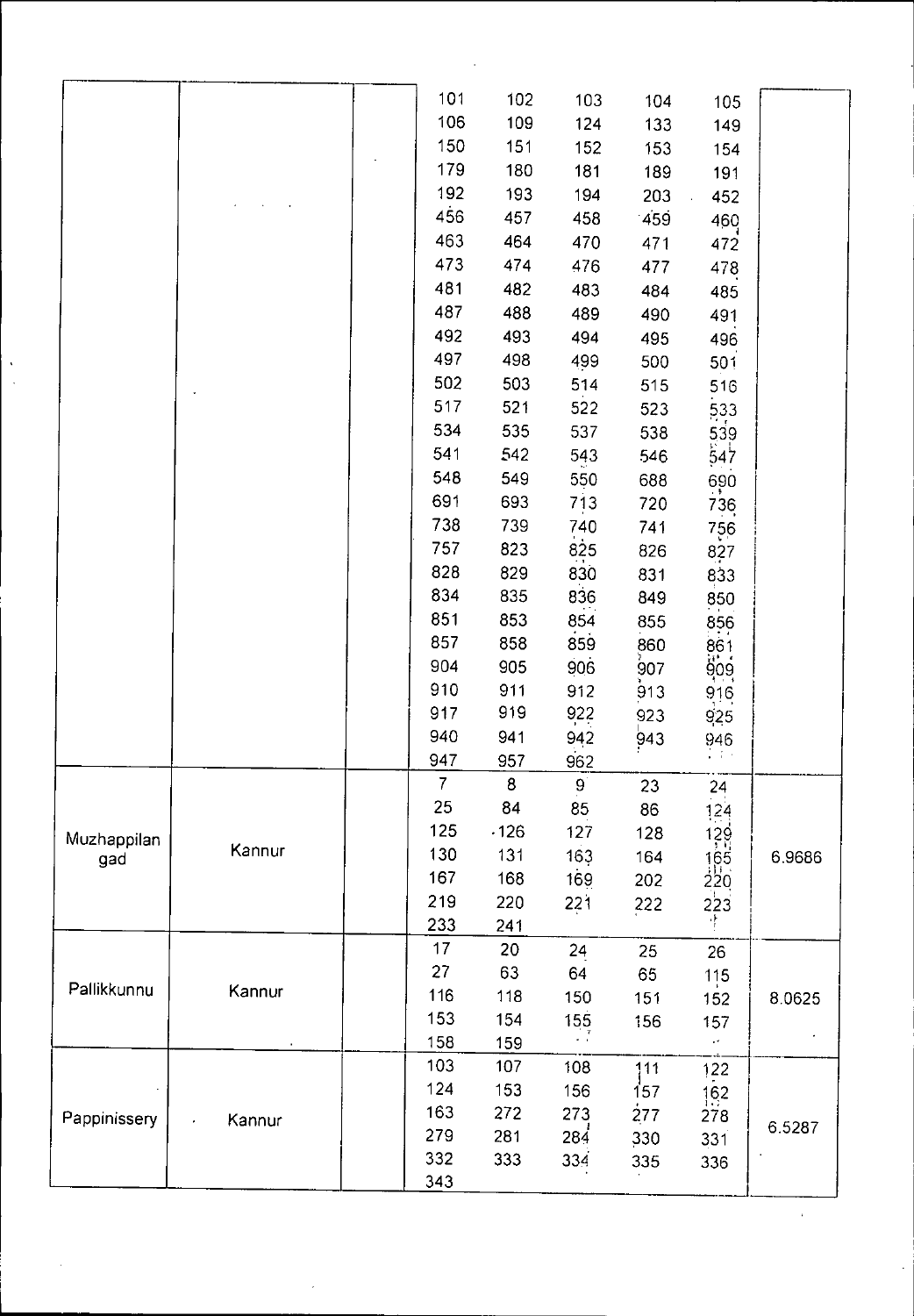|              |        | 101            | 102              | 103          | 104 | 105                                    |        |
|--------------|--------|----------------|------------------|--------------|-----|----------------------------------------|--------|
|              |        | 106            | 109              | 124          | 133 | 149                                    |        |
|              |        | 150            | 151              | 152          | 153 | 154                                    |        |
|              |        | 179            | 180              | 181          | 189 | 191                                    |        |
|              |        | 192            | 193              | 194          | 203 | 452                                    |        |
|              |        | 456            | 457              | 458          | 459 | 460                                    |        |
|              |        | 463            | 464              | 470          | 471 | 472                                    |        |
|              |        | 473            | 474              | 476          | 477 | 478                                    |        |
|              |        | 481            | 482              | 483          | 484 | 485                                    |        |
|              |        | 487            | 488              | 489          | 490 | 491                                    |        |
|              |        | 492            | 493              | 494          | 495 | 496                                    |        |
|              |        | 497            | 498              | 499          | 500 | 501                                    |        |
|              |        | 502            | 503              | 514          | 515 | 516                                    |        |
|              |        | 517            | 521              | 522          | 523 | 533                                    |        |
|              |        | 534            | 535              | 537          | 538 |                                        |        |
|              |        | 541            | 542              | 543          | 546 | 539<br>547                             |        |
|              |        | 548            | 549              | 550          | 688 | 690                                    |        |
|              |        | 691            | 693              | 713          | 720 | 736                                    |        |
|              |        | 738            | 739              | 740          | 741 | 756                                    |        |
|              |        | 757            | 823              | 825          | 826 | 827                                    |        |
|              |        | 828            | 829              | 830          | 831 | 833                                    |        |
|              |        | 834            | 835              | 836          | 849 | 850                                    |        |
|              |        | 851            | 853              | 854          | 855 | 856                                    |        |
|              |        | 857            | 858              | 859          | 860 |                                        |        |
|              |        | 904            | 905              | 906          | 907 | 861<br>909<br>916                      |        |
|              |        | 910            | 911              | 912          | 913 |                                        |        |
|              |        | 917            | 919              | 922          | 923 | 925                                    |        |
|              |        | 940            | 941              | 942          | 943 | 946                                    |        |
|              |        | 947            | 957              | 962          |     | 中国語                                    |        |
|              |        | $\overline{7}$ | $\boldsymbol{8}$ | $\mathbf{g}$ | 23  | 24                                     |        |
|              |        | 25             | 84               | 85           | 86  | 124                                    |        |
| Muzhappilan  |        | 125            | .126             | 127          | 128 | $\frac{129}{165}$<br>$\frac{165}{220}$ |        |
| gad          | Kannur | 130            | 131              | 163          | 164 |                                        | 6.9686 |
|              |        | 167            | 168              | 169          | 202 |                                        |        |
|              |        | 219            | 220              | 221          | 222 | 223                                    |        |
|              |        | 233            | 241              |              |     |                                        |        |
|              |        | 17             | 20               | 24           | 25  | 26                                     |        |
|              |        | 27             | 63               | 64           | 65  | 115                                    |        |
| Pallikkunnu  | Kannur | 116            | 118              | 150          | 151 | 152                                    | 8.0625 |
|              |        | 153            | 154              | 155          | 156 | 157                                    |        |
|              |        | 158            | 159              |              |     | $\epsilon$                             |        |
|              |        | 103            | 107              | 108          | 111 | 122                                    |        |
|              |        | 124            | 153              | 156          | 157 | 162                                    |        |
| Pappinissery | Kannur | 163            | 272              | 273          | 277 | 278                                    | 6.5287 |
|              |        | 279            | 281              | 284          | 330 | 331                                    |        |
|              |        | 332            | 333              | 334          | 335 | 336                                    |        |
|              |        | 343            |                  |              |     |                                        |        |

 $\mathcal{A}^{\text{out}}$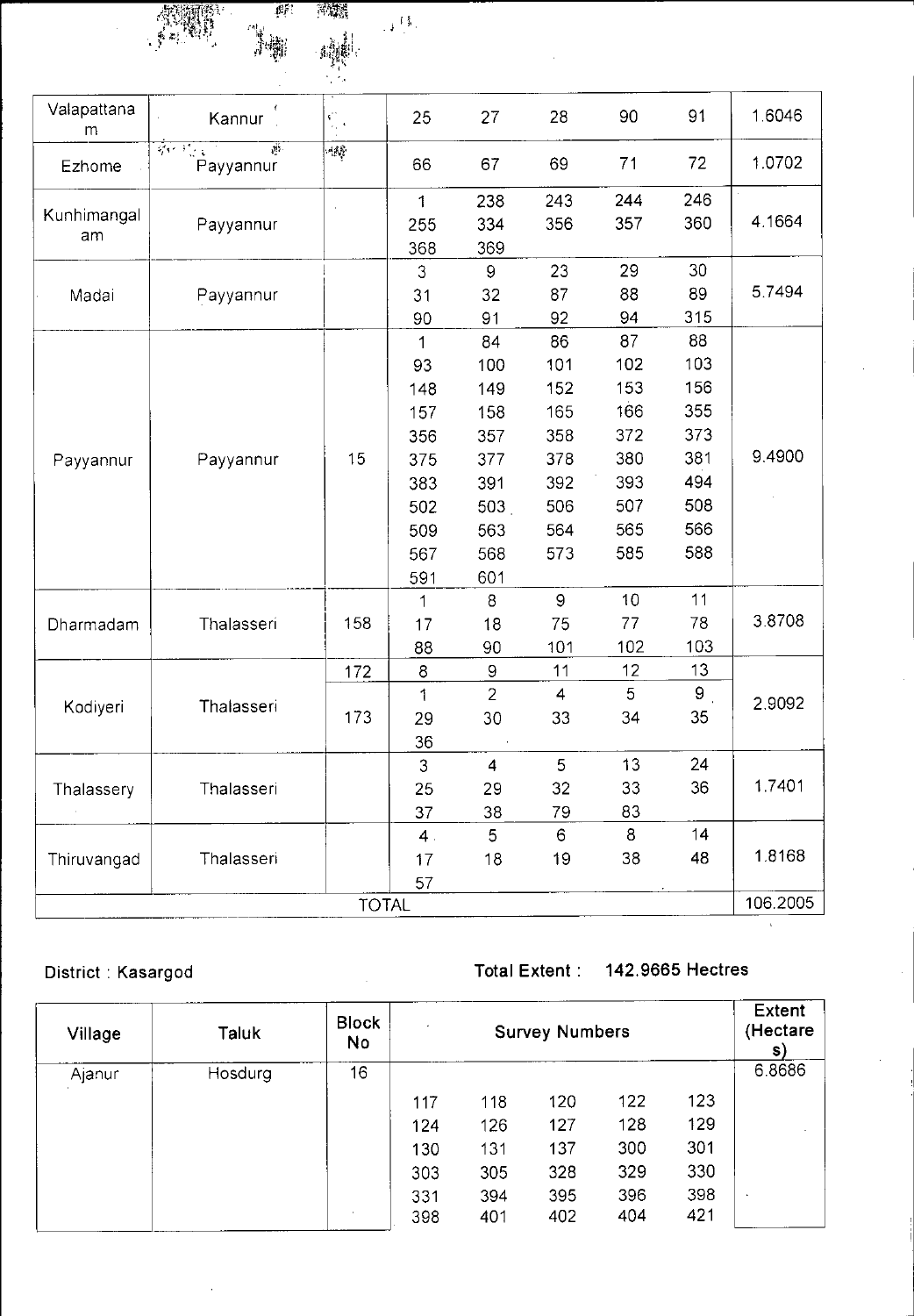| <b>ANDER</b>   | 學 | 13. |
|----------------|---|-----|
| 更出<br>٠.<br>۰, |   |     |
|                |   |     |
|                |   |     |

| Valapattana<br>m | Kannur                                                                                           | $\mathfrak{b}_{\mathbb{Q}^*}^*$ | 25  | 27               | 28             | 90  | 91               | 1.6046    |
|------------------|--------------------------------------------------------------------------------------------------|---------------------------------|-----|------------------|----------------|-----|------------------|-----------|
| Ezhome           | $\frac{1}{2}$ , $\frac{1}{2}$ , $\frac{1}{2}$ , $\frac{1}{2}$ , $\frac{1}{2}$<br>J.<br>Payyannur | $\langle \psi \rangle$          | 66  | 67               | 69             | 71  | 72               | 1.0702    |
|                  |                                                                                                  |                                 | 1   | 238              | 243            | 244 | 246              |           |
| Kunhimangal      | Payyannur                                                                                        |                                 | 255 | 334              | 356            | 357 | 360              | 4 1 6 6 4 |
| am               |                                                                                                  |                                 | 368 | 369              |                |     |                  |           |
|                  |                                                                                                  |                                 | 3   | 9                | 23             | 29  | 30               |           |
| Madai            | Payyannur                                                                                        |                                 | 31  | 32               | 87             | 88  | 89               | 5.7494    |
|                  |                                                                                                  |                                 | 90  | 91               | 92             | 94  | 315              |           |
|                  |                                                                                                  |                                 | 1   | 84               | 86             | 87  | 88               |           |
|                  |                                                                                                  |                                 | 93  | 100              | 101            | 102 | 103              |           |
|                  |                                                                                                  |                                 | 148 | 149              | 152            | 153 | 156              |           |
|                  |                                                                                                  |                                 | 157 | 158              | 165            | 166 | 355              |           |
|                  | Payyannur                                                                                        | 15                              | 356 | 357              | 358            | 372 | 373              | 9 4 9 0 0 |
| Payyannur        |                                                                                                  |                                 | 375 | 377              | 378            | 380 | 381              |           |
|                  |                                                                                                  |                                 | 383 | 391              | 392            | 393 | 494              |           |
|                  |                                                                                                  |                                 | 502 | 503 <sub>1</sub> | 506            | 507 | 508              |           |
|                  |                                                                                                  |                                 | 509 | 563              | 564            | 565 | 566              |           |
|                  |                                                                                                  |                                 | 567 | 568              | 573            | 585 | 588              |           |
|                  |                                                                                                  |                                 | 591 | 601              |                |     |                  |           |
|                  | Thalasseri                                                                                       |                                 | 1   | 8                | $\overline{9}$ | 10  | 11               |           |
| Dharmadam        |                                                                                                  | 158                             | 17  | 18               | 75             | 77  | 78               | 3.8708    |
|                  |                                                                                                  |                                 | 88  | 90               | 101            | 102 | 103              |           |
|                  |                                                                                                  | 172                             | 8   | 9                | 11             | 12  | 13               |           |
|                  |                                                                                                  |                                 | 1   | $\overline{2}$   | $\overline{4}$ | 5   | $\boldsymbol{9}$ | 2.9092    |
| Kodiyeri         | Thalasseri                                                                                       | 173                             | 29  | 30               | 33             | 34  | 35               |           |
|                  |                                                                                                  |                                 | 36  |                  |                |     |                  |           |
|                  |                                                                                                  |                                 | 3   | $\overline{4}$   | 5              | 13  | 24               |           |
| Thalassery       | Thalasseri                                                                                       |                                 | 25  | 29               | 32             | 33  | 36               | 1.7401    |
|                  |                                                                                                  |                                 | 37  | 38               | 79             | 83  |                  |           |
|                  |                                                                                                  |                                 | 4.  | 5 <sup>5</sup>   | 6              | 8   | 14               |           |
| Thiruvangad      | Thalasseri                                                                                       |                                 | 17  | 18               | 19             | 38  | 48               | 1.8168    |
|                  |                                                                                                  |                                 | 57  |                  |                |     |                  |           |
|                  |                                                                                                  | <b>TOTAL</b>                    |     |                  |                |     |                  | 106.2005  |

## District : Kasargod Total Extent : 142.9665 Hectres

| Village | Taluk          | <b>Block</b><br><b>No</b> | $\mathbf{r}$ |     | <b>Survey Numbers</b> |     |     | Extent<br>(Hectare<br>S) |
|---------|----------------|---------------------------|--------------|-----|-----------------------|-----|-----|--------------------------|
| Ajanur  | <b>Hosdurg</b> | 16                        |              |     |                       |     |     | 6.8686                   |
|         |                |                           | 117          | 118 | 120                   | 122 | 123 |                          |
|         |                |                           | 124          | 126 | 127                   | 128 | 129 |                          |
|         |                |                           | 130          | 131 | 137                   | 300 | 301 |                          |
|         |                |                           | 303          | 305 | 328                   | 329 | 330 |                          |
|         |                |                           | 331          | 394 | 395                   | 396 | 398 | $\bullet$                |
|         |                | $\sim$                    | 398          | 401 | 402                   | 404 | 421 |                          |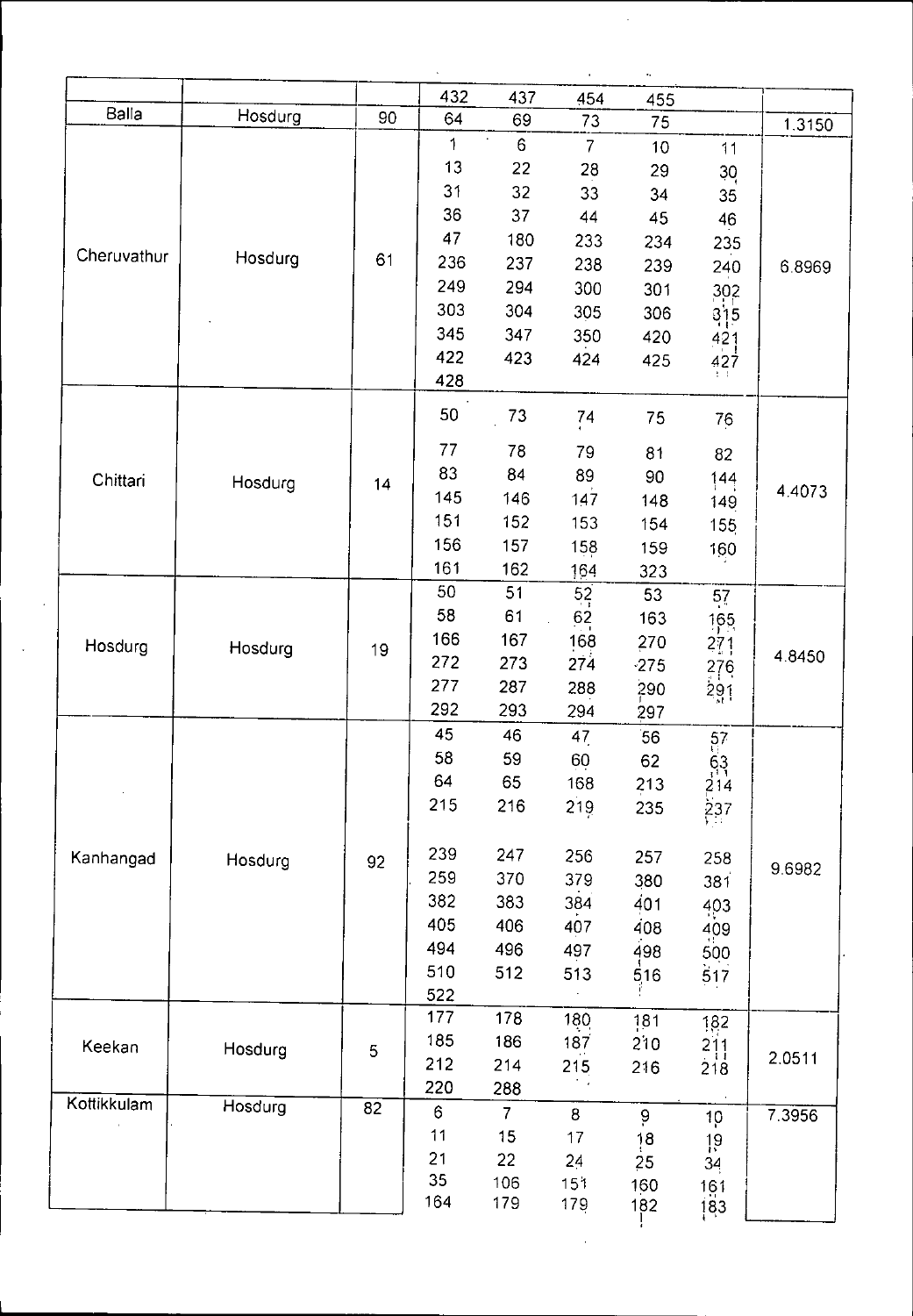|             |         |    |                                                                        |                                                                 |                                                                  | ۰.                                                               |                                                                          |        |
|-------------|---------|----|------------------------------------------------------------------------|-----------------------------------------------------------------|------------------------------------------------------------------|------------------------------------------------------------------|--------------------------------------------------------------------------|--------|
| Balla       |         |    | 432                                                                    | 437                                                             | 454                                                              | 455                                                              |                                                                          |        |
|             | Hosdurg | 90 | 64<br>$\mathbf{1}$                                                     | 69<br>$\boldsymbol{6}$                                          | 73                                                               | 75                                                               |                                                                          | 1.3150 |
| Cheruvathur | Hosdurg | 61 | 13<br>31<br>36<br>47<br>236                                            | 22<br>32<br>37<br>180<br>237                                    | $\overline{7}$<br>28<br>33<br>44<br>233<br>238                   | 10<br>29<br>34<br>45<br>234<br>239                               | 11<br>30<br>35<br>46<br>235<br>240                                       | 68969  |
|             |         |    | 249<br>303<br>345<br>422<br>428                                        | 294<br>304<br>347<br>423                                        | 300<br>305<br>350<br>424                                         | 301<br>306<br>420<br>425                                         | 302<br>3 5<br>421<br>427                                                 |        |
| Chittari    | Hosdurg | 14 | 50<br>77<br>83<br>145<br>151<br>156<br>161                             | 73<br>78<br>84<br>146<br>152<br>157<br>162                      | $\frac{74}{1}$<br>79<br>89<br>147<br>153<br>158<br>164           | 75<br>81<br>90<br>148<br>154<br>159<br>323                       | 76<br>82<br> 44<br>149<br>155<br>160                                     | 4.4073 |
| Hosdurg     | Hosdurg | 19 | 50<br>58<br>166<br>272<br>277<br>292                                   | 51<br>61<br>167<br>273<br>287<br>293                            | $5^{2}$<br>62<br>168<br>274<br>288<br>294                        | 53<br>163<br>270<br>$-275$<br>290<br>297                         | 57<br>$165 \frac{1}{2}$<br>271<br>276<br>291                             | 4.8450 |
| Kanhangad   | Hosdurg | 92 | 45<br>58<br>64<br>215<br>239<br>259<br>382<br>405<br>494<br>510<br>522 | 46<br>59<br>65<br>216<br>247<br>370<br>383<br>406<br>496<br>512 | 47<br>60<br>168<br>219<br>256<br>379<br>384<br>407<br>497<br>513 | 56<br>62<br>213<br>235<br>257<br>380<br>401<br>408<br>498<br>516 | $57$<br>$63$<br>$214$<br>$237$<br>258<br>381<br>403<br>409<br>500<br>517 | 9.6982 |
| Keekan      | Hosdurg | 5  | 177<br>185<br>212<br>220                                               | 178<br>186<br>214<br>288                                        | 180<br>187<br>215                                                | 181<br>210<br>216                                                | 182<br>$\frac{211}{218}$                                                 | 2.0511 |
| Kottikkulam | Hosdurg | 82 | $\boldsymbol{6}$<br>11<br>21<br>35<br>164                              | $\overline{7}$<br>15<br>22<br>106<br>179                        | $\bf 8$<br>17<br>24<br>151<br>179                                | $9\,$<br>18<br>25<br>160<br>182                                  | 10<br>$\frac{19}{34}$<br>161<br>183                                      | 7.3956 |

 $\frac{1}{2}$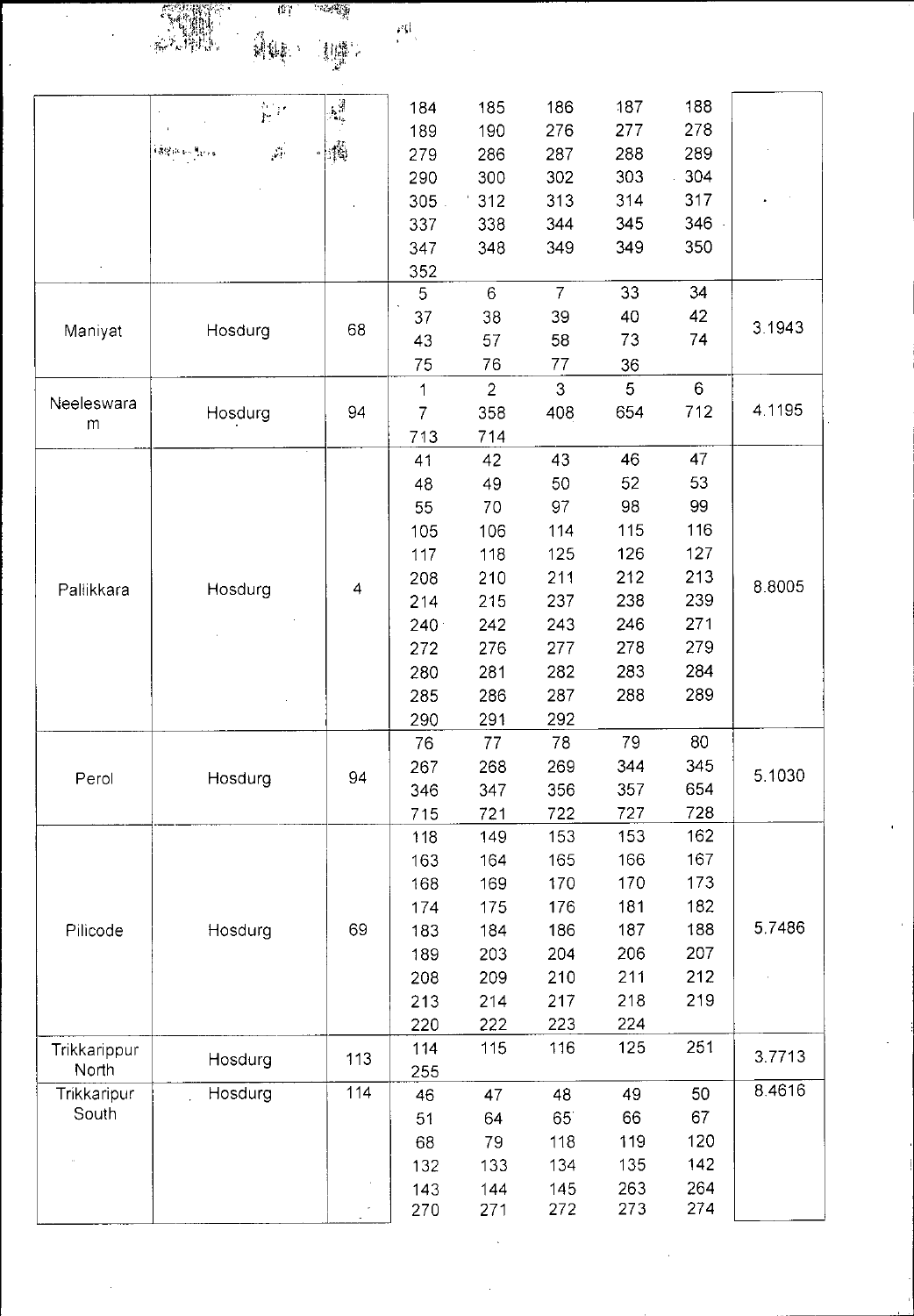$\hat{\mathcal{A}}$ 

ा व्यवस्थि<br>स 

 $\frac{p\mathfrak{g}}{p-1}$ 

 $\frac{1}{2}$ 

| 188<br>186<br>187<br>185<br>184<br>ana.<br>Pr<br>278<br>190<br>276<br>277<br>189<br>$\lfloor \frac{N}{2} \rfloor$<br>$\frac{1}{2\pi}$<br><b>锦带医时光的</b><br>289<br>286<br>288<br>287<br>279<br>303<br>304<br>300<br>302<br>290<br>317<br>313<br>314<br>305<br>'312<br>346<br>345<br>338<br>344<br>337<br>349<br>350<br>347<br>348<br>349<br>352<br>$\overline{7}$<br>5<br>$6\phantom{a}$<br>33<br>34<br>42<br>38<br>39<br>40<br>37<br>3.1943<br>68<br>Hosdurg<br>Maniyat<br>57<br>58<br>73<br>74<br>43<br>75<br>76<br>77<br>36<br>$6\phantom{.}6$<br>3<br>5<br>$\overline{2}$<br>$\mathbf{1}$<br>Neeleswara<br>4.1195<br>712<br>94<br>$\overline{7}$<br>Hosdurg<br>358<br>408<br>654<br>${\sf m}$<br>714<br>713<br>47<br>46<br>42<br>43<br>41<br>53<br>49<br>50<br>52<br>48<br>99<br>97<br>98<br>55<br>70<br>116<br>115<br>106<br>114<br>105<br>127<br>125<br>126<br>117<br>118<br>213<br>210<br>211<br>212<br>208<br>8.8005<br>Hosdurg<br>$\overline{4}$<br>Pallikkara<br>215<br>237<br>238<br>239<br>214<br>271<br>242<br>243<br>246<br>240 <sup>o</sup><br>279<br>278<br>276<br>277<br>272<br>284<br>281<br>282<br>283<br>280<br>286<br>287<br>288<br>289<br>285<br>292<br>291<br>290<br>79<br>80<br>78<br>76<br>77<br>269<br>345<br>267<br>344<br>268<br>5.1030<br>94<br>Hosdurg<br>Perol<br>654<br>356<br>357<br>346<br>347<br>722<br>727<br>728<br>721<br>715<br>153<br>162<br>149<br>153<br>118<br>167<br>165<br>166<br>164<br>163<br>173<br>169<br>170<br>170<br>168<br>182<br>176<br>181<br>174<br>175<br>5.7486<br>69<br>188<br>186<br>187<br>Pilicode<br>Hosdurg<br>183<br>184<br>207<br>203<br>204<br>206<br>189<br>212<br>209<br>210<br>211<br>208<br>219<br>213<br>214<br>217<br>218<br>224<br>222<br>223<br>220<br>251<br>115<br>116<br>125<br>114<br>Trikkarippur<br>3.7713<br>113<br>Hosdurg<br>North<br>255<br>8.4616<br>114<br>Trikkaripur<br>Hosdurg<br>50<br>47<br>48<br>49<br>46<br>South<br>67<br>66<br>65<br>51<br>64<br>120<br>79<br>118<br>119<br>68<br>142<br>134<br>135<br>132<br>133 |  |  |  |  |  |  |  |
|-----------------------------------------------------------------------------------------------------------------------------------------------------------------------------------------------------------------------------------------------------------------------------------------------------------------------------------------------------------------------------------------------------------------------------------------------------------------------------------------------------------------------------------------------------------------------------------------------------------------------------------------------------------------------------------------------------------------------------------------------------------------------------------------------------------------------------------------------------------------------------------------------------------------------------------------------------------------------------------------------------------------------------------------------------------------------------------------------------------------------------------------------------------------------------------------------------------------------------------------------------------------------------------------------------------------------------------------------------------------------------------------------------------------------------------------------------------------------------------------------------------------------------------------------------------------------------------------------------------------------------------------------------------------------------------------------------------------------------------------------------------------------------------------------------------------------------------------------------------------------------------------------------------------------------------------------------------------------------------------------------------------|--|--|--|--|--|--|--|
|                                                                                                                                                                                                                                                                                                                                                                                                                                                                                                                                                                                                                                                                                                                                                                                                                                                                                                                                                                                                                                                                                                                                                                                                                                                                                                                                                                                                                                                                                                                                                                                                                                                                                                                                                                                                                                                                                                                                                                                                                 |  |  |  |  |  |  |  |
|                                                                                                                                                                                                                                                                                                                                                                                                                                                                                                                                                                                                                                                                                                                                                                                                                                                                                                                                                                                                                                                                                                                                                                                                                                                                                                                                                                                                                                                                                                                                                                                                                                                                                                                                                                                                                                                                                                                                                                                                                 |  |  |  |  |  |  |  |
|                                                                                                                                                                                                                                                                                                                                                                                                                                                                                                                                                                                                                                                                                                                                                                                                                                                                                                                                                                                                                                                                                                                                                                                                                                                                                                                                                                                                                                                                                                                                                                                                                                                                                                                                                                                                                                                                                                                                                                                                                 |  |  |  |  |  |  |  |
|                                                                                                                                                                                                                                                                                                                                                                                                                                                                                                                                                                                                                                                                                                                                                                                                                                                                                                                                                                                                                                                                                                                                                                                                                                                                                                                                                                                                                                                                                                                                                                                                                                                                                                                                                                                                                                                                                                                                                                                                                 |  |  |  |  |  |  |  |
|                                                                                                                                                                                                                                                                                                                                                                                                                                                                                                                                                                                                                                                                                                                                                                                                                                                                                                                                                                                                                                                                                                                                                                                                                                                                                                                                                                                                                                                                                                                                                                                                                                                                                                                                                                                                                                                                                                                                                                                                                 |  |  |  |  |  |  |  |
|                                                                                                                                                                                                                                                                                                                                                                                                                                                                                                                                                                                                                                                                                                                                                                                                                                                                                                                                                                                                                                                                                                                                                                                                                                                                                                                                                                                                                                                                                                                                                                                                                                                                                                                                                                                                                                                                                                                                                                                                                 |  |  |  |  |  |  |  |
|                                                                                                                                                                                                                                                                                                                                                                                                                                                                                                                                                                                                                                                                                                                                                                                                                                                                                                                                                                                                                                                                                                                                                                                                                                                                                                                                                                                                                                                                                                                                                                                                                                                                                                                                                                                                                                                                                                                                                                                                                 |  |  |  |  |  |  |  |
|                                                                                                                                                                                                                                                                                                                                                                                                                                                                                                                                                                                                                                                                                                                                                                                                                                                                                                                                                                                                                                                                                                                                                                                                                                                                                                                                                                                                                                                                                                                                                                                                                                                                                                                                                                                                                                                                                                                                                                                                                 |  |  |  |  |  |  |  |
|                                                                                                                                                                                                                                                                                                                                                                                                                                                                                                                                                                                                                                                                                                                                                                                                                                                                                                                                                                                                                                                                                                                                                                                                                                                                                                                                                                                                                                                                                                                                                                                                                                                                                                                                                                                                                                                                                                                                                                                                                 |  |  |  |  |  |  |  |
|                                                                                                                                                                                                                                                                                                                                                                                                                                                                                                                                                                                                                                                                                                                                                                                                                                                                                                                                                                                                                                                                                                                                                                                                                                                                                                                                                                                                                                                                                                                                                                                                                                                                                                                                                                                                                                                                                                                                                                                                                 |  |  |  |  |  |  |  |
|                                                                                                                                                                                                                                                                                                                                                                                                                                                                                                                                                                                                                                                                                                                                                                                                                                                                                                                                                                                                                                                                                                                                                                                                                                                                                                                                                                                                                                                                                                                                                                                                                                                                                                                                                                                                                                                                                                                                                                                                                 |  |  |  |  |  |  |  |
|                                                                                                                                                                                                                                                                                                                                                                                                                                                                                                                                                                                                                                                                                                                                                                                                                                                                                                                                                                                                                                                                                                                                                                                                                                                                                                                                                                                                                                                                                                                                                                                                                                                                                                                                                                                                                                                                                                                                                                                                                 |  |  |  |  |  |  |  |
|                                                                                                                                                                                                                                                                                                                                                                                                                                                                                                                                                                                                                                                                                                                                                                                                                                                                                                                                                                                                                                                                                                                                                                                                                                                                                                                                                                                                                                                                                                                                                                                                                                                                                                                                                                                                                                                                                                                                                                                                                 |  |  |  |  |  |  |  |
|                                                                                                                                                                                                                                                                                                                                                                                                                                                                                                                                                                                                                                                                                                                                                                                                                                                                                                                                                                                                                                                                                                                                                                                                                                                                                                                                                                                                                                                                                                                                                                                                                                                                                                                                                                                                                                                                                                                                                                                                                 |  |  |  |  |  |  |  |
|                                                                                                                                                                                                                                                                                                                                                                                                                                                                                                                                                                                                                                                                                                                                                                                                                                                                                                                                                                                                                                                                                                                                                                                                                                                                                                                                                                                                                                                                                                                                                                                                                                                                                                                                                                                                                                                                                                                                                                                                                 |  |  |  |  |  |  |  |
|                                                                                                                                                                                                                                                                                                                                                                                                                                                                                                                                                                                                                                                                                                                                                                                                                                                                                                                                                                                                                                                                                                                                                                                                                                                                                                                                                                                                                                                                                                                                                                                                                                                                                                                                                                                                                                                                                                                                                                                                                 |  |  |  |  |  |  |  |
|                                                                                                                                                                                                                                                                                                                                                                                                                                                                                                                                                                                                                                                                                                                                                                                                                                                                                                                                                                                                                                                                                                                                                                                                                                                                                                                                                                                                                                                                                                                                                                                                                                                                                                                                                                                                                                                                                                                                                                                                                 |  |  |  |  |  |  |  |
|                                                                                                                                                                                                                                                                                                                                                                                                                                                                                                                                                                                                                                                                                                                                                                                                                                                                                                                                                                                                                                                                                                                                                                                                                                                                                                                                                                                                                                                                                                                                                                                                                                                                                                                                                                                                                                                                                                                                                                                                                 |  |  |  |  |  |  |  |
|                                                                                                                                                                                                                                                                                                                                                                                                                                                                                                                                                                                                                                                                                                                                                                                                                                                                                                                                                                                                                                                                                                                                                                                                                                                                                                                                                                                                                                                                                                                                                                                                                                                                                                                                                                                                                                                                                                                                                                                                                 |  |  |  |  |  |  |  |
|                                                                                                                                                                                                                                                                                                                                                                                                                                                                                                                                                                                                                                                                                                                                                                                                                                                                                                                                                                                                                                                                                                                                                                                                                                                                                                                                                                                                                                                                                                                                                                                                                                                                                                                                                                                                                                                                                                                                                                                                                 |  |  |  |  |  |  |  |
|                                                                                                                                                                                                                                                                                                                                                                                                                                                                                                                                                                                                                                                                                                                                                                                                                                                                                                                                                                                                                                                                                                                                                                                                                                                                                                                                                                                                                                                                                                                                                                                                                                                                                                                                                                                                                                                                                                                                                                                                                 |  |  |  |  |  |  |  |
|                                                                                                                                                                                                                                                                                                                                                                                                                                                                                                                                                                                                                                                                                                                                                                                                                                                                                                                                                                                                                                                                                                                                                                                                                                                                                                                                                                                                                                                                                                                                                                                                                                                                                                                                                                                                                                                                                                                                                                                                                 |  |  |  |  |  |  |  |
|                                                                                                                                                                                                                                                                                                                                                                                                                                                                                                                                                                                                                                                                                                                                                                                                                                                                                                                                                                                                                                                                                                                                                                                                                                                                                                                                                                                                                                                                                                                                                                                                                                                                                                                                                                                                                                                                                                                                                                                                                 |  |  |  |  |  |  |  |
|                                                                                                                                                                                                                                                                                                                                                                                                                                                                                                                                                                                                                                                                                                                                                                                                                                                                                                                                                                                                                                                                                                                                                                                                                                                                                                                                                                                                                                                                                                                                                                                                                                                                                                                                                                                                                                                                                                                                                                                                                 |  |  |  |  |  |  |  |
|                                                                                                                                                                                                                                                                                                                                                                                                                                                                                                                                                                                                                                                                                                                                                                                                                                                                                                                                                                                                                                                                                                                                                                                                                                                                                                                                                                                                                                                                                                                                                                                                                                                                                                                                                                                                                                                                                                                                                                                                                 |  |  |  |  |  |  |  |
|                                                                                                                                                                                                                                                                                                                                                                                                                                                                                                                                                                                                                                                                                                                                                                                                                                                                                                                                                                                                                                                                                                                                                                                                                                                                                                                                                                                                                                                                                                                                                                                                                                                                                                                                                                                                                                                                                                                                                                                                                 |  |  |  |  |  |  |  |
|                                                                                                                                                                                                                                                                                                                                                                                                                                                                                                                                                                                                                                                                                                                                                                                                                                                                                                                                                                                                                                                                                                                                                                                                                                                                                                                                                                                                                                                                                                                                                                                                                                                                                                                                                                                                                                                                                                                                                                                                                 |  |  |  |  |  |  |  |
|                                                                                                                                                                                                                                                                                                                                                                                                                                                                                                                                                                                                                                                                                                                                                                                                                                                                                                                                                                                                                                                                                                                                                                                                                                                                                                                                                                                                                                                                                                                                                                                                                                                                                                                                                                                                                                                                                                                                                                                                                 |  |  |  |  |  |  |  |
|                                                                                                                                                                                                                                                                                                                                                                                                                                                                                                                                                                                                                                                                                                                                                                                                                                                                                                                                                                                                                                                                                                                                                                                                                                                                                                                                                                                                                                                                                                                                                                                                                                                                                                                                                                                                                                                                                                                                                                                                                 |  |  |  |  |  |  |  |
|                                                                                                                                                                                                                                                                                                                                                                                                                                                                                                                                                                                                                                                                                                                                                                                                                                                                                                                                                                                                                                                                                                                                                                                                                                                                                                                                                                                                                                                                                                                                                                                                                                                                                                                                                                                                                                                                                                                                                                                                                 |  |  |  |  |  |  |  |
|                                                                                                                                                                                                                                                                                                                                                                                                                                                                                                                                                                                                                                                                                                                                                                                                                                                                                                                                                                                                                                                                                                                                                                                                                                                                                                                                                                                                                                                                                                                                                                                                                                                                                                                                                                                                                                                                                                                                                                                                                 |  |  |  |  |  |  |  |
|                                                                                                                                                                                                                                                                                                                                                                                                                                                                                                                                                                                                                                                                                                                                                                                                                                                                                                                                                                                                                                                                                                                                                                                                                                                                                                                                                                                                                                                                                                                                                                                                                                                                                                                                                                                                                                                                                                                                                                                                                 |  |  |  |  |  |  |  |
|                                                                                                                                                                                                                                                                                                                                                                                                                                                                                                                                                                                                                                                                                                                                                                                                                                                                                                                                                                                                                                                                                                                                                                                                                                                                                                                                                                                                                                                                                                                                                                                                                                                                                                                                                                                                                                                                                                                                                                                                                 |  |  |  |  |  |  |  |
|                                                                                                                                                                                                                                                                                                                                                                                                                                                                                                                                                                                                                                                                                                                                                                                                                                                                                                                                                                                                                                                                                                                                                                                                                                                                                                                                                                                                                                                                                                                                                                                                                                                                                                                                                                                                                                                                                                                                                                                                                 |  |  |  |  |  |  |  |
|                                                                                                                                                                                                                                                                                                                                                                                                                                                                                                                                                                                                                                                                                                                                                                                                                                                                                                                                                                                                                                                                                                                                                                                                                                                                                                                                                                                                                                                                                                                                                                                                                                                                                                                                                                                                                                                                                                                                                                                                                 |  |  |  |  |  |  |  |
|                                                                                                                                                                                                                                                                                                                                                                                                                                                                                                                                                                                                                                                                                                                                                                                                                                                                                                                                                                                                                                                                                                                                                                                                                                                                                                                                                                                                                                                                                                                                                                                                                                                                                                                                                                                                                                                                                                                                                                                                                 |  |  |  |  |  |  |  |
|                                                                                                                                                                                                                                                                                                                                                                                                                                                                                                                                                                                                                                                                                                                                                                                                                                                                                                                                                                                                                                                                                                                                                                                                                                                                                                                                                                                                                                                                                                                                                                                                                                                                                                                                                                                                                                                                                                                                                                                                                 |  |  |  |  |  |  |  |
|                                                                                                                                                                                                                                                                                                                                                                                                                                                                                                                                                                                                                                                                                                                                                                                                                                                                                                                                                                                                                                                                                                                                                                                                                                                                                                                                                                                                                                                                                                                                                                                                                                                                                                                                                                                                                                                                                                                                                                                                                 |  |  |  |  |  |  |  |
|                                                                                                                                                                                                                                                                                                                                                                                                                                                                                                                                                                                                                                                                                                                                                                                                                                                                                                                                                                                                                                                                                                                                                                                                                                                                                                                                                                                                                                                                                                                                                                                                                                                                                                                                                                                                                                                                                                                                                                                                                 |  |  |  |  |  |  |  |
|                                                                                                                                                                                                                                                                                                                                                                                                                                                                                                                                                                                                                                                                                                                                                                                                                                                                                                                                                                                                                                                                                                                                                                                                                                                                                                                                                                                                                                                                                                                                                                                                                                                                                                                                                                                                                                                                                                                                                                                                                 |  |  |  |  |  |  |  |
|                                                                                                                                                                                                                                                                                                                                                                                                                                                                                                                                                                                                                                                                                                                                                                                                                                                                                                                                                                                                                                                                                                                                                                                                                                                                                                                                                                                                                                                                                                                                                                                                                                                                                                                                                                                                                                                                                                                                                                                                                 |  |  |  |  |  |  |  |
|                                                                                                                                                                                                                                                                                                                                                                                                                                                                                                                                                                                                                                                                                                                                                                                                                                                                                                                                                                                                                                                                                                                                                                                                                                                                                                                                                                                                                                                                                                                                                                                                                                                                                                                                                                                                                                                                                                                                                                                                                 |  |  |  |  |  |  |  |
|                                                                                                                                                                                                                                                                                                                                                                                                                                                                                                                                                                                                                                                                                                                                                                                                                                                                                                                                                                                                                                                                                                                                                                                                                                                                                                                                                                                                                                                                                                                                                                                                                                                                                                                                                                                                                                                                                                                                                                                                                 |  |  |  |  |  |  |  |
|                                                                                                                                                                                                                                                                                                                                                                                                                                                                                                                                                                                                                                                                                                                                                                                                                                                                                                                                                                                                                                                                                                                                                                                                                                                                                                                                                                                                                                                                                                                                                                                                                                                                                                                                                                                                                                                                                                                                                                                                                 |  |  |  |  |  |  |  |
|                                                                                                                                                                                                                                                                                                                                                                                                                                                                                                                                                                                                                                                                                                                                                                                                                                                                                                                                                                                                                                                                                                                                                                                                                                                                                                                                                                                                                                                                                                                                                                                                                                                                                                                                                                                                                                                                                                                                                                                                                 |  |  |  |  |  |  |  |
|                                                                                                                                                                                                                                                                                                                                                                                                                                                                                                                                                                                                                                                                                                                                                                                                                                                                                                                                                                                                                                                                                                                                                                                                                                                                                                                                                                                                                                                                                                                                                                                                                                                                                                                                                                                                                                                                                                                                                                                                                 |  |  |  |  |  |  |  |
| 264<br>263<br>144<br>145<br>143                                                                                                                                                                                                                                                                                                                                                                                                                                                                                                                                                                                                                                                                                                                                                                                                                                                                                                                                                                                                                                                                                                                                                                                                                                                                                                                                                                                                                                                                                                                                                                                                                                                                                                                                                                                                                                                                                                                                                                                 |  |  |  |  |  |  |  |
| 273<br>274<br>270<br>271<br>272                                                                                                                                                                                                                                                                                                                                                                                                                                                                                                                                                                                                                                                                                                                                                                                                                                                                                                                                                                                                                                                                                                                                                                                                                                                                                                                                                                                                                                                                                                                                                                                                                                                                                                                                                                                                                                                                                                                                                                                 |  |  |  |  |  |  |  |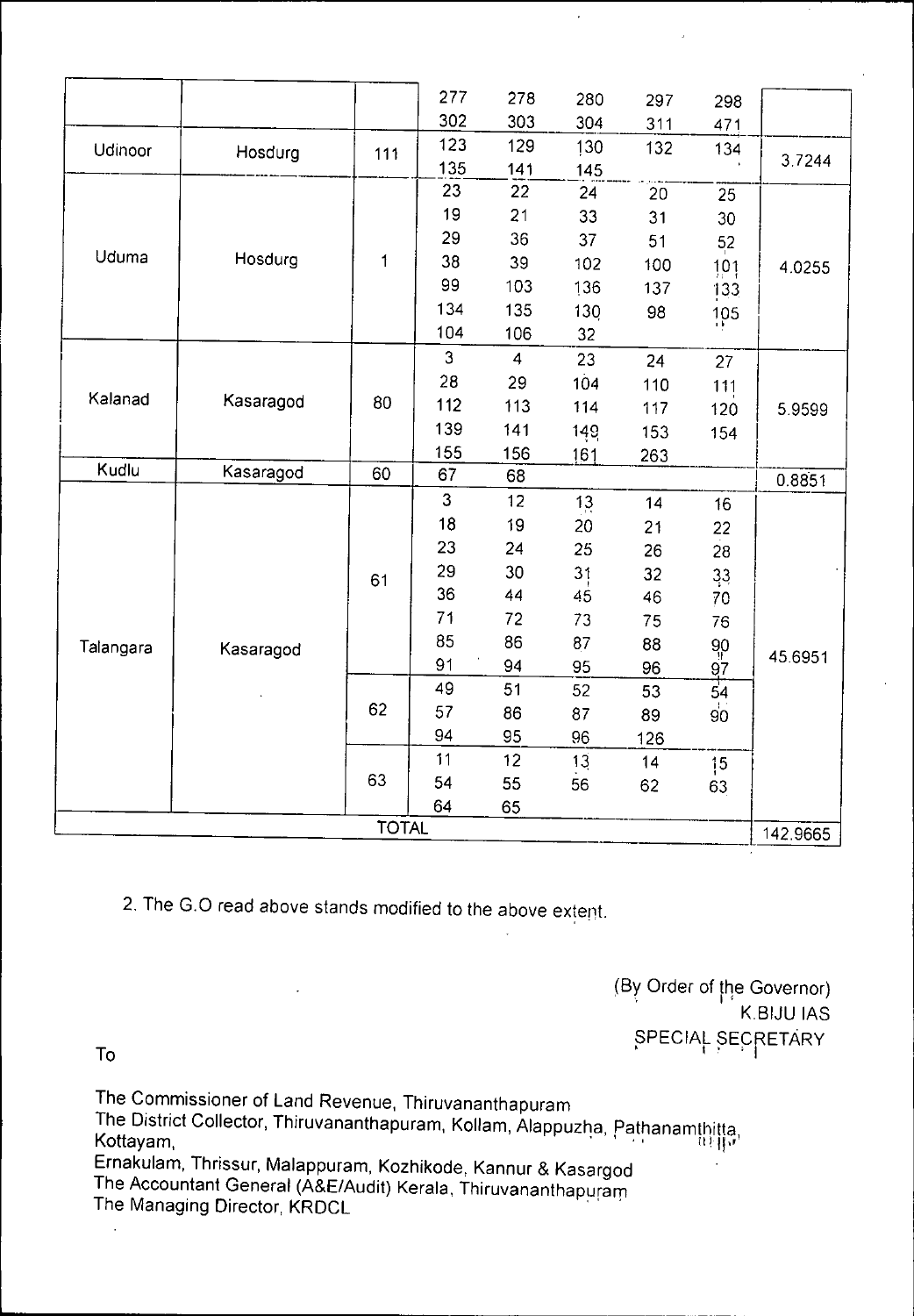|           |           |              | 277 | 278            | 280 | 297 | 298             |          |
|-----------|-----------|--------------|-----|----------------|-----|-----|-----------------|----------|
|           |           |              | 302 | 303            | 304 | 311 | 471             |          |
| Udinoor   | Hosdurg   | 111          | 123 | 129            | 130 | 132 | 134             |          |
|           |           |              | 135 | 141            | 145 |     |                 | 37244    |
|           |           |              | 23  | 22             | 24  | 20  | 25              |          |
|           |           |              | 19  | 21             | 33  | 31  | 30              |          |
|           |           |              | 29  | 36             | 37  | 51  | 52              |          |
| Uduma     | Hosdurg   | $\mathbf{1}$ | 38  | 39             | 102 | 100 | 101             | 4.0255   |
|           |           |              | 99  | 103            | 136 | 137 | 133             |          |
|           |           |              | 134 | 135            | 130 | 98  | 105             |          |
|           |           |              | 104 | 106            | 32  |     |                 |          |
|           |           |              | 3   | $\overline{4}$ | 23  | 24  | 27              | 5.9599   |
|           | Kasaragod |              | 28  | 29             | 104 | 110 | 111             |          |
| Kalanad   |           | 80           | 112 | 113            | 114 | 117 | 120             |          |
|           |           |              | 139 | 141            | 149 | 153 | 154             |          |
|           |           |              | 155 | 156            | 161 | 263 |                 |          |
| Kudlu     | Kasaragod | 60           | 67  | 68             |     |     |                 | 0.8851   |
|           |           |              | 3   | 12             | 13  | 14  | 16              |          |
|           |           | 61           | 18  | 19             | 20  | 21  | 22              |          |
|           |           |              | 23  | 24             | 25  | 26  | 28              |          |
|           |           |              | 29  | 30             | 31  | 32  | 33              |          |
|           |           |              | 36  | 44             | 45  | 46  | 70              |          |
|           |           |              | 71  | 72             | 73  | 75  | 76              |          |
| Talangara | Kasaragod |              | 85  | 86             | 87  | 88  | 90              |          |
|           |           |              | 91  | 94             | 95  | 96  | 97              | 45.6951  |
|           |           |              | 49  | 51             | 52  | 53  | 54              |          |
|           |           | 62           | 57  | 86             | 87  | 89  | 90 <sub>o</sub> |          |
|           |           |              | 94  | 95             | 96  | 126 |                 |          |
|           |           | 63           | 11  | 12             | 13  | 14  | 15 <sub>1</sub> |          |
|           |           |              | 54  | 55             | 56  | 62  | 63              |          |
|           |           |              | 64  | 65             |     |     |                 |          |
|           |           | <b>TOTAL</b> |     |                |     |     |                 | 142 9665 |
|           |           |              |     |                |     |     |                 |          |

 $\cdot$ 

2. The G.O read above stands modified to the above extent.

(By Order of the Governor). K.BIJU IAS<br>SPECIAL SECRETARY

 $\ddot{\phantom{0}}$ 

The Commissioner of Land Revenue, Thiruvananthapuram The District Collector, Thiruvananthapuram, Kollam, Alappuzha, Pathanamthitta, Kottayam, Ernakulam, Thrissur, Malappuram, Kozhikode, Kannur & Kasargod The Accountant General (A&E/Audit) Kerala, Thiruvananthapuram

The Managing Director, KRDCL